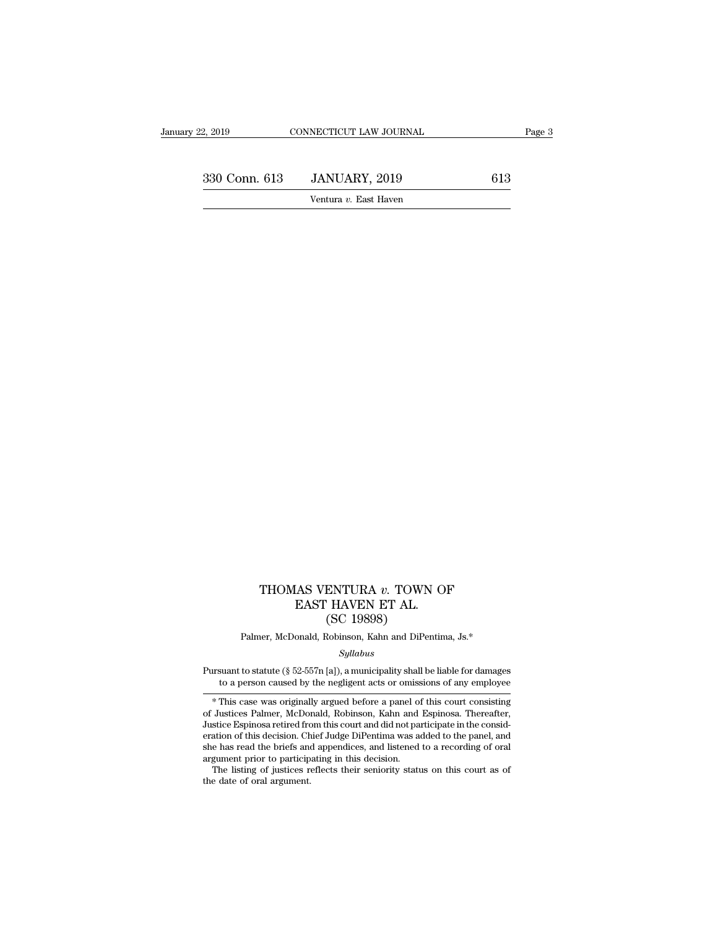### THOMAS VENTURA *v.* TOWN OF EAST HAVEN ET AL.  $[$ AS VENTURA  $v$ . TOWN ON EAST HAVEN ET AL.  $[$ SC 19898 $]$ ENTURA v. TOWN<br>' HAVEN ET AL.<br>(SC 19898)<br><sup>Robinson, Kahn and DiPer</sup> EAST HAVEN ET AL.<br>(SC 19898)<br>Palmer, McDonald, Robinson, Kahn and DiPentima, Js.\*

### *Syllabus*

EAST HAVEN ET AL.<br>
(SC 19898)<br>
Palmer, McDonald, Robinson, Kahn and DiPentima, Js.\*<br> *Syllabus*<br>
Pursuant to statute (§ 52-557n [a]), a municipality shall be liable for damages<br>
to a person caused by the negligent acts or (SC 19898)<br>
Palmer, McDonald, Robinson, Kahn and DiPentima, Js.\*<br>  $Syllabus$ <br>
suant to statute (§ 52-557n [a]), a municipality shall be liable for damages<br>
to a person caused by the negligent acts or omissions of any employee<br>

Palmer, McDonald, Robinson, Kahn and DiPentima, Js.\*<br>
Syllabus<br>
ursuant to statute (§ 52-557n [a]), a municipality shall be liable for damages<br>
to a person caused by the negligent acts or omissions of any employee<br>
\* This Syllabus<br>
Syllabus<br>
Pursuant to statute (§ 52-557n [a]), a municipality shall be liable for damages<br>
to a person caused by the negligent acts or omissions of any employee<br>
\* This case was originally argued before a panel o Syatubus<br>
Jurnsuant to statute (§ 52-557n [a]), a municipality shall be liable for damages<br>
to a person caused by the negligent acts or omissions of any employee<br>
\* This case was originally argued before a panel of this co Pursuant to statute (§ 52-557n [a]), a municipality shall be liable for damages<br>to a person caused by the negligent acts or omissions of any employee<br>\* This case was originally argued before a panel of this court consistin to a person caused by the negligent acts or omissions of any employee<br>
\* This case was originally argued before a panel of this court consisting<br>
of Justices Palmer, McDonald, Robinson, Kahn and Espinosa. Thereafter,<br>
Just <sup>\*</sup> This case was originally argued before a panel of Justices Palmer, McDonald, Robinson, Kahn and Justice Espinosa retired from this court and did not pa eration of this decision. Chief Judge DiPentima was as the has rea \* This case was originally argued before a panel of this court consisting<br>Justices Palmer, McDonald, Robinson, Kahn and Espinosa. Thereafter,<br>stice Espinosa retired from this court and did not participate in the consid-<br>at Justice Espinosa retired from this court and did not participate in the consideration of this decision. Chief Judge DiPentima was added to the panel, and she has read the briefs and appendices, and listened to a recording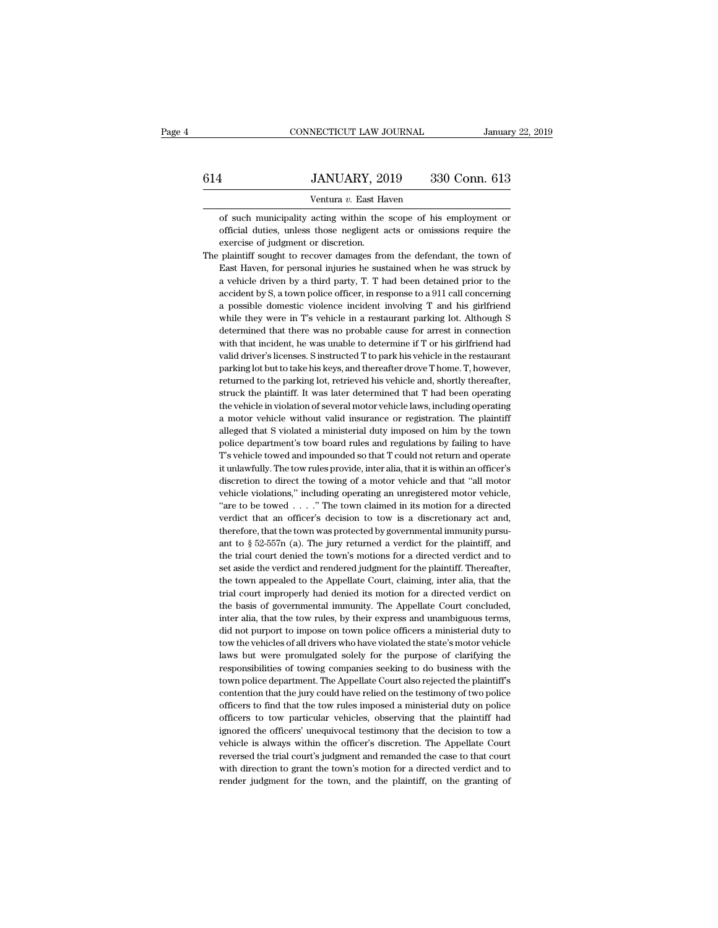|     | CONNECTICUT LAW JOURNAL                                           | January 22, 2019 |
|-----|-------------------------------------------------------------------|------------------|
| 614 | JANUARY, 2019                                                     | 330 Conn. 613    |
|     | Ventura v. East Haven                                             |                  |
|     | of such municipality acting within the scope of his employment or |                  |

JANUARY, 2019 330 Conn. 613<br>
Ventura v. East Haven<br>
of such municipality acting within the scope of his employment or<br>
official duties, unless those negligent acts or omissions require the **IMUARY**, 2019 330 Conn. 613<br>
Ventura v. East Haven<br>
of such municipality acting within the scope of his employment or<br>
official duties, unless those negligent acts or omissions require the<br>
exercise of judgment or discret FREE SANUARY, 20<br>
Ventura v. East Hand of such municipality acting within the<br>
official duties, unless those negligent and<br>
exercise of judgment or discretion.<br>
plaintiff sought to recover damages from Ventura  $v$ . East Haven<br>of such municipality acting within the scope of his employment or<br>official duties, unless those negligent acts or omissions require the<br>exercise of judgment or discretion.<br>The plaintiff sought to r

Ventura  $v$ . East Haven<br>of such municipality acting within the scope of his employment or<br>official duties, unless those negligent acts or omissions require the<br>exercise of judgment or discretion.<br>plaintiff sought to recov of such municipality acting within the scope of his employment or official duties, unless those negligent acts or omissions require the exercise of judgment or discretion.<br>
plaintiff sought to recover damages from the defe official duties, unless those negligent acts or omissions require the exercise of judgment or discretion.<br>plaintiff sought to recover damages from the defendant, the town of<br>East Haven, for personal injuries he sustained w exercise of judgment or discretion.<br>
plaintiff sought to recover damages from the defendant, the town of<br>
East Haven, for personal injuries he sustained when he was struck by<br>
a vehicle driven by a third party, T. T had be plaintiff sought to recover damages from the defendant, the town of<br>East Haven, for personal injuries he sustained when he was struck by<br>a vehicle driven by a third party, T. T had been detained prior to the<br>accident by S, East Haven, for personal injuries he sustained when he was struck by<br>a vehicle driven by a third party, T. T had been detained prior to the<br>accident by S, a town police officer, in response to a 911 call concerning<br>a possi a vehicle driven by a third party, T. T had been detained prior to the accident by S, a town police officer, in response to a 911 call concerning a possible domestic violence incident involving T and his girlfriend while t accident by S, a town police officer, in response to a 911 call concerning<br>a possible domestic violence incident involving T and his girlfriend<br>while they were in T's vehicle in a restaurant parking lot. Although S<br>determi a possible domestic violence incident involving T and his girlfriend while they were in T's vehicle in a restaurant parking lot. Although S determined that there was no probable cause for arrest in connection with that inc while they were in T's vehicle in a restaurant parking lot. Although S<br>determined that there was no probable cause for arrest in connection<br>with that incident, he was unable to determine if T or his girlfriend had<br>valid dr determined that there was no probable cause for arrest in connection<br>with that incident, he was unable to determine if T or his girlfriend had<br>valid driver's licenses. S instructed T to park his vehicle in the restaurant<br>p with that incident, he was unable to determine if T or his girlfriend had<br>valid driver's licenses. S instructed T to park his vehicle in the restaurant<br>parking lot but to take his keys, and thereafter drove T home. T, howe valid driver's licenses. S instructed T to park his vehicle in the restaurant parking lot but to take his keys, and thereafter drove T home. T, however, returned to the parking lot, retrieved his vehicle and, shortly there parking lot but to take his keys, and thereafter drove T home. T, however,<br>returned to the parking lot, retrieved his vehicle and, shortly thereafter,<br>struck the plaintiff. It was later determined that T had been operating returned to the parking lot, retrieved his vehicle and, shortly thereafter, struck the plaintiff. It was later determined that T had been operating the vehicle in violation of several motor vehicle laws, including operatin struck the plaintiff. It was later determined that T had been operating<br>the vehicle in violation of several motor vehicle laws, including operating<br>a motor vehicle without valid insurance or registration. The plaintiff<br>all the vehicle in violation of several motor vehicle laws, including operating a motor vehicle without valid insurance or registration. The plaintiff alleged that S violated a ministerial duty imposed on him by the town polic vehicle violations," including operating an unregistered motor vehicle, alleged that S violated a ministerial duty imposed on him by the town<br>police department's tow board rules and regulations by failing to have<br>T's vehicle towed and impounded so that T could not return and operate<br>it unlawfu police department's tow board rules and regulations by failing to have T's vehicle towed and impounded so that T could not return and operate it unlawfully. The tow rules provide, inter alia, that it is within an officer's T's vehicle towed and impounded so that T could not return and operate it unlawfully. The tow rules provide, inter alia, that it is within an officer's discretion to direct the towing of a motor vehicle and that "all moto it unlawfully. The tow rules provide, inter alia, that it is within an officer's discretion to direct the towing of a motor vehicle and that "all motor vehicle violations," including operating an unregistered motor vehicl discretion to direct the towing of a motor vehicle and that "all motor vehicle violations," including operating an unregistered motor vehicle, "are to be towed . . . ." The town claimed in its motion for a directed verdic vehicle violations," including operating an unregistered motor vehicle, "are to be towed . . . ." The town claimed in its motion for a directed verdict that an officer's decision to tow is a discretionary act and, therefo "are to be towed  $\ldots$ "." The town claimed in its motion for a directed verdict that an officer's decision to tow is a discretionary act and, therefore, that the town was protected by governmental immunity pursuant to  $\S$ verdict that an officer's decision to tow is a discretionary act and, therefore, that the town was protected by governmental immunity pursuant to  $\S 52-557n$  (a). The jury returned a verdict for the plaintiff, and the tri therefore, that the town was protected by governmental immunity pursu-<br>ant to § 52-557n (a). The jury returned a verdict for the plaintiff, and<br>the trial court denied the town's motions for a directed verdict and to<br>set as ant to  $\S$  52-557n (a). The jury returned a verdict for the plaintiff, and the trial court denied the town's motions for a directed verdict and to set aside the verdict and rendered judgment for the plaintiff. Thereafter, the trial court denied the town's motions for a directed verdict and to set aside the verdict and rendered judgment for the plaintiff. Thereafter, the town appealed to the Appellate Court, claiming, inter alia, that the tr set aside the verdict and rendered judgment for the plaintiff. Thereafter,<br>the town appealed to the Appellate Court, claiming, inter alia, that the<br>trial court improperly had denied its motion for a directed verdict on<br>the the town appealed to the Appellate Court, claiming, inter alia, that the trial court improperly had denied its motion for a directed verdict on the basis of governmental immunity. The Appellate Court concluded, inter alia, trial court improperly had denied its motion for a directed verdict on<br>the basis of governmental immunity. The Appellate Court concluded,<br>inter alia, that the tow rules, by their express and unambiguous terms,<br>did not purp the basis of governmental immunity. The Appellate Court concluded,<br>inter alia, that the tow rules, by their express and unambiguous terms,<br>did not purport to impose on town police officers a ministerial duty to<br>tow the veh the basis of governmental immunity. The Appellate Court concluded, inter alia, that the tow rules, by their express and unambiguous terms, did not purport to impose on town police officers a ministerial duty to tow the veh did not purport to impose on town police officers a ministerial duty to tow the vehicles of all drivers who have violated the state's motor vehicle laws but were promulgated solely for the purpose of clarifying the respons tow the vehicles of all drivers who have violated the state's motor vehicle laws but were promulgated solely for the purpose of clarifying the responsibilities of towing companies seeking to do business with the town polic laws but were promulgated solely for the purpose of clarifying the responsibilities of towing companies seeking to do business with the town police department. The Appellate Court also rejected the plaintiff's contention t responsibilities of towing companies seeking to do business with the town police department. The Appellate Court also rejected the plaintiff's contention that the jury could have relied on the testimony of two police offic town police department. The Appellate Court also rejected the plaintiff's contention that the jury could have relied on the testimony of two police officers to find that the tow rules imposed a ministerial duty on police o contention that the jury could have relied on the testimony of two police officers to find that the tow rules imposed a ministerial duty on police officers to tow particular vehicles, observing that the plaintiff had ignor officers to find that the tow rules imposed a ministerial duty on police officers to tow particular vehicles, observing that the plaintiff had ignored the officers' unequivocal testimony that the decision to tow a vehicle officers to tow particular vehicles, observing that the plaintiff had ignored the officers' unequivocal testimony that the decision to tow a vehicle is always within the officer's discretion. The Appellate Court reversed t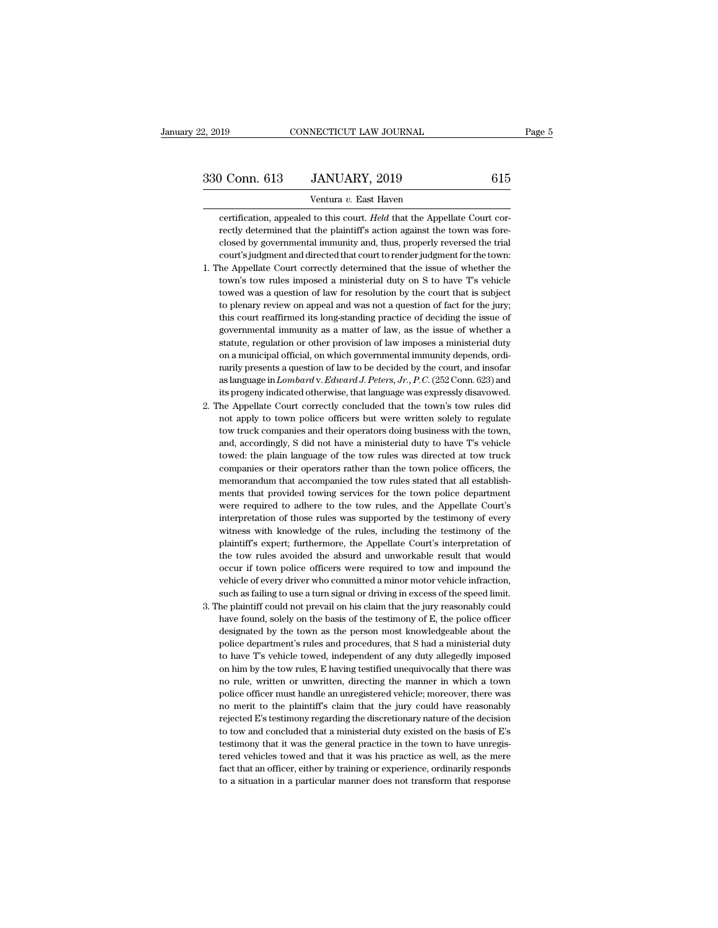# 2, 2019 CONNECTICUT LAW JOURNAL Page 5<br>330 Conn. 613 JANUARY, 2019 615<br>Ventura v. East Haven

NECTICUT LAW JOURNAL<br>JANUARY, 2019<br>Ventura *v.* East Haven<br>I to this court. *Held* that the Appel Conn. 613 JANUARY, 2019 615<br>
Ventura v. East Haven<br>
Certification, appealed to this court. *Held* that the Appellate Court cor-<br>
Trectly determined that the plaintiff's action against the town was fore-Conn. 613 JANUARY, 2019 615<br>
Ventura v. East Haven<br>
certification, appealed to this court. Held that the Appellate Court cor-<br>
rectly determined that the plaintiff's action against the town was fore-<br>
closed by governmenta Conn. 613 JANUARY, 2019 615<br>
Ventura v. East Haven<br>
certification, appealed to this court. Held that the Appellate Court cor-<br>
rectly determined that the plaintiff's action against the town was fore-<br>
closed by government Ventura v. East Haven<br>
certification, appealed to this court. Held that the Appellate Court correctly determined that the plaintiff's action against the town was fore-<br>
closed by governmental immunity and, thus, properly r Ventura v. East Haven<br>
1. The Appellate Court correctly determined that the plaintiff's action against the town was fore-<br>
1. The Appellate Court and directed that court to render judgment for the town:<br>
1. The Appellate C certification, appealed to this court. *Held* that the Appellate Court correctly determined that the plaintiff's action against the town was fore-<br>closed by governmental immunity and, thus, properly reversed the trial<br>cour

- rectly determined that the plaintiff's action against the town was fore-<br>closed by governmental immunity and, thus, properly reversed the trial<br>court's judgment and directed that court to render judgment for the town:<br>he A closed by governmental immunity and, thus, properly reversed the trial<br>court's judgment and directed that court to render judgment for the town:<br>he Appellate Court correctly determined that the issue of whether the<br>town's court's judgment and directed that court to render judgment for the town:<br>he Appellate Court correctly determined that the issue of whether the<br>town's tow rules imposed a ministerial duty on S to have T's vehicle<br>towed was he Appellate Court correctly determined that the issue of whether the town's tow rules imposed a ministerial duty on S to have T's vehicle towed was a question of law for resolution by the court that is subject to plenary town's tow rules imposed a ministerial duty on S to have T's vehicle towed was a question of law for resolution by the court that is subject to plenary review on appeal and was not a question of fact for the jury; this cou towed was a question of law for resolution by the court that is subject<br>to plenary review on appeal and was not a question of fact for the jury;<br>this court reaffirmed its long-standing practice of deciding the issue of<br>gov to plenary review on appeal and was not a question of fact for the jury;<br>this court reaffirmed its long-standing practice of deciding the issue of<br>governmental immunity as a matter of law, as the issue of whether a<br>statut this court reaffirmed its long-standing practice of deciding the issue of governmental immunity as a matter of law, as the issue of whether a statute, regulation or other provision of law imposes a ministerial duty on a mu governmental immunity as a matter of law, as the issue of whether a statute, regulation or other provision of law imposes a ministerial duty on a municipal official, on which governmental immunity depends, ordinarily prese statute, regulation or other provision of law imposes a ministerial duty<br>on a municipal official, on which governmental immunity depends, ordi-<br>narily presents a question of law to be decided by the court, and insofar<br>as on a municipal official, on which governmental immunity depends, ordinarily presents a question of law to be decided by the court, and insofar as language in *Lombard* v. *Edward J. Peters, Jr., P.C.* (252 Conn. 623) and i
- % on a municipal official, on which governmental immunity depends, ordinarily presents a question of law to be decided by the court, and insofar as language in  $Lombard$  v.  $Edward J. Peters, Jr., P.C. (252)$  Conn. 623) and its progeny indic as language in *Lombard* v. *Edward J. Peters, Jr., P.C.* (252 Conn. 623) and its progeny indicated otherwise, that language was expressly disavowed. he Appellate Court correctly concluded that the town's tow rules did not its progeny indicated otherwise, that language was expressly disavowed.<br>he Appellate Court correctly concluded that the town's tow rules did<br>not apply to town police officers but were written solely to regulate<br>tow truck c he Appellate Court correctly concluded that the town's tow rules did<br>not apply to town police officers but were written solely to regulate<br>tow truck companies and their operators doing business with the town,<br>and, accordin not apply to town police officers but were written solely to regulate<br>tow truck companies and their operators doing business with the town,<br>and, accordingly, S did not have a ministerial duty to have T's vehicle<br>towed: the tow truck companies and their operators doing business with the town, and, accordingly, S did not have a ministerial duty to have T's vehicle towed: the plain language of the tow rules was directed at tow truck companies o and, accordingly, S did not have a ministerial duty to have T's vehicle towed: the plain language of the tow rules was directed at tow truck companies or their operators rather than the town police officers, the memorandum towed: the plain language of the tow rules was directed at tow truck companies or their operators rather than the town police officers, the memorandum that accompanied the tow rules stated that all establishments that prov companies or their operators rather than the town police officers, the memorandum that accompanied the tow rules stated that all establishments that provided towing services for the town police department were required to memorandum that accompanied the tow rules stated that all establishments that provided towing services for the town police department were required to adhere to the tow rules, and the Appellate Court's interpretation of th ments that provided towing services for the town police department<br>were required to adhere to the tow rules, and the Appellate Court's<br>interpretation of those rules was supported by the testimony of every<br>witness with know were required to adhere to the tow rules, and the Appellate Court's<br>interpretation of those rules was supported by the testimony of every<br>witness with knowledge of the rules, including the testimony of the<br>plaintiff's expe interpretation of those rules was supported by the testimony of every<br>witness with knowledge of the rules, including the testimony of the<br>plaintiff's expert; furthermore, the Appellate Court's interpretation of<br>the tow rul witness with knowledge of the rules, including the testimony of the plaintiff's expert; furthermore, the Appellate Court's interpretation of the tow rules avoided the absurd and unworkable result that would occur if town p plaintiff's expert; furthermore, the Appellate Court's interpretation of<br>the tow rules avoided the absurd and unworkable result that would<br>occur if town police officers were required to tow and impound the<br>vehicle of every the tow rules avoided the absurd and unworkable result that would occur if town police officers were required to tow and impound the vehicle of every driver who committed a minor motor vehicle infraction, such as failing t
- occur if town police officers were required to tow and impound the vehicle of every driver who committed a minor motor vehicle infraction, such as failing to use a turn signal or driving in excess of the speed limit. The p vehicle of every driver who committed a minor motor vehicle infraction, such as failing to use a turn signal or driving in excess of the speed limit. <br>he plaintiff could not prevail on his claim that the jury reasonably co such as failing to use a turn signal or driving in excess of the speed limit.<br>he plaintiff could not prevail on his claim that the jury reasonably could<br>have found, solely on the basis of the testimony of E, the police off he plaintiff could not prevail on his claim that the jury reasonably could have found, solely on the basis of the testimony of E, the police officer designated by the town as the person most knowledgeable about the police have found, solely on the basis of the testimony of E, the police officer designated by the town as the person most knowledgeable about the police department's rules and procedures, that S had a ministerial duty to have T' designated by the town as the person most knowledgeable about the police department's rules and procedures, that S had a ministerial duty to have T's vehicle towed, independent of any duty allegedly imposed on him by the t police department's rules and procedures, that S had a ministerial duty<br>to have T's vehicle towed, independent of any duty allegedly imposed<br>on him by the tow rules, E having testified unequivocally that there was<br>no rule, to have T's vehicle towed, independent of any duty allegedly imposed<br>on him by the tow rules, E having testified unequivocally that there was<br>no rule, written or unwritten, directing the manner in which a town<br>police offic on him by the tow rules, E having testified unequivocally that there was no rule, written or unwritten, directing the manner in which a town police officer must handle an unregistered vehicle; moreover, there was no merit no rule, written or unwritten, directing the manner in which a town<br>police officer must handle an unregistered vehicle; moreover, there was<br>no merit to the plaintiff's claim that the jury could have reasonably<br>rejected E's police officer must handle an unregistered vehicle; moreover, there was no merit to the plaintiff's claim that the jury could have reasonably rejected E's testimony regarding the discretionary nature of the decision to tow no merit to the plaintiff's claim that the jury could have reasonably rejected E's testimony regarding the discretionary nature of the decision to tow and concluded that a ministerial duty existed on the basis of E's testi rejected E's testimony regarding the discretionary nature of the decision<br>to tow and concluded that a ministerial duty existed on the basis of E's<br>testimony that it was the general practice in the town to have unregis-<br>ter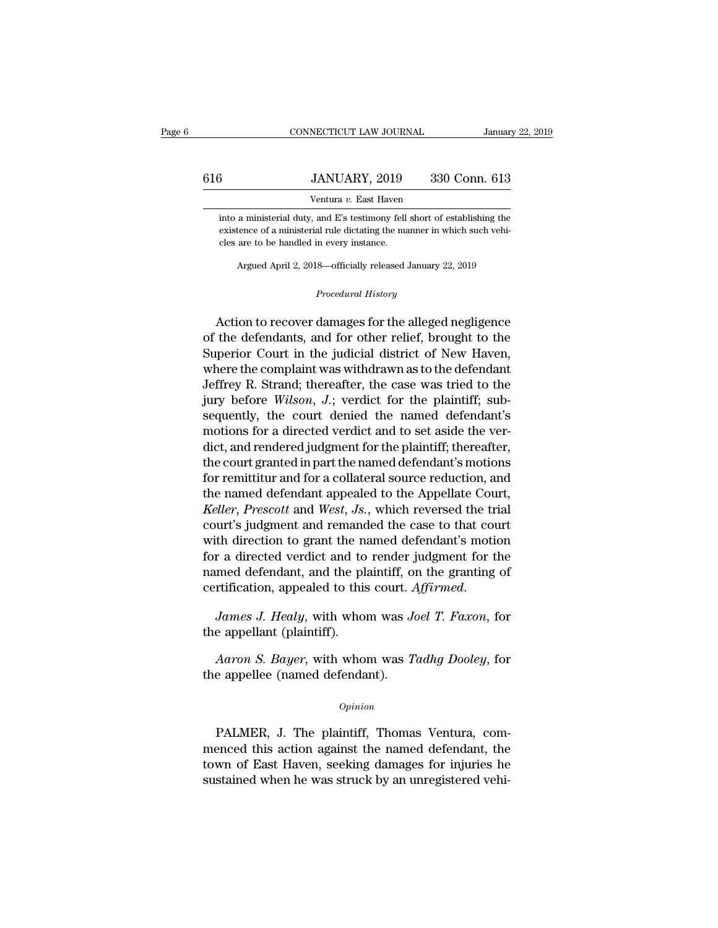|     | CONNECTICUT LAW JOURNAL                                                                                                                                                                            | January 22, 2019 |
|-----|----------------------------------------------------------------------------------------------------------------------------------------------------------------------------------------------------|------------------|
| 616 | JANUARY, 2019                                                                                                                                                                                      | 330 Conn. 613    |
|     | Ventura v. East Haven                                                                                                                                                                              |                  |
|     | into a ministerial duty, and E's testimony fell short of establishing the<br>existence of a ministerial rule dictating the manner in which such vehi-<br>cles are to be handled in every instance. |                  |
|     | $\Lambda$ reprod $\Lambda$ ruil 9, 2018 - officially released January 22, 2010                                                                                                                     |                  |

Ventura v. East Haven<br>
a ministerial duty, and E's testimony fell short of establishing the<br>
tence of a ministerial rule dictating the manner in which such vehi-<br>
are to be handled in every instance.<br>
Argued April 2, 2018— From all rule dictating the manner in value of the series of the series of the series of the series of the series of the series of the series of the series of the series of the series of the series of the series of the ser

existence of a ministerial rule dictating the manner in which such vehi-<br>cles are to be handled in every instance.<br>Argued April 2, 2018—officially released January 22, 2019<br>*Procedural History*<br>Action to recover damages fo cles are to be handled in every instance.<br>
Argued April 2, 2018—officially released January 22, 2019<br>
Procedural History<br>
Action to recover damages for the alleged negligence<br>
of the defendants, and for other relief, broug Argued April 2, 2018—officially released January 22, 2019<br>
Procedural History<br>
Action to recover damages for the alleged negligence<br>
of the defendants, and for other relief, brought to the<br>
Superior Court in the judicial d *Procedural History*<br>Action to recover damages for the alleged negligence<br>of the defendants, and for other relief, brought to the<br>Superior Court in the judicial district of New Haven,<br>where the complaint was withdrawn as t Procedural History<br>
Action to recover damages for the alleged negligence<br>
of the defendants, and for other relief, brought to the<br>
Superior Court in the judicial district of New Haven,<br>
where the complaint was withdrawn as Action to recover damages for the alleged negligence<br>of the defendants, and for other relief, brought to the<br>Superior Court in the judicial district of New Haven,<br>where the complaint was withdrawn as to the defendant<br>Jeffr Action to recover damages for the alleged negligence<br>of the defendants, and for other relief, brought to the<br>Superior Court in the judicial district of New Haven,<br>where the complaint was withdrawn as to the defendant<br>Jeffr of the defendants, and for other relief, brought to the Superior Court in the judicial district of New Haven, where the complaint was withdrawn as to the defendant Jeffrey R. Strand; thereafter, the case was tried to the j Superior Court in the judicial district of New Haven,<br>where the complaint was withdrawn as to the defendant<br>Jeffrey R. Strand; thereafter, the case was tried to the<br>jury before *Wilson*, J.; verdict for the plaintiff; sub where the complaint was withdrawn as to the defendant<br>Jeffrey R. Strand; thereafter, the case was tried to the<br>jury before *Wilson*,  $J$ ; verdict for the plaintiff; sub-<br>sequently, the court denied the named defendant's<br>m Jeffrey R. Strand; thereafter, the case was tried to the<br>jury before *Wilson*, *J*.; verdict for the plaintiff; sub-<br>sequently, the court denied the named defendant's<br>motions for a directed verdict and to set aside the ve jury before *Wilson*,  $J$ .; verdict for the plaintiff; sub-<br>sequently, the court denied the named defendant's<br>motions for a directed verdict and to set aside the ver-<br>dict, and rendered judgment for the plaintiff; thereaf *Keller, the court denied the named defendant's*<br>motions for a directed verdict and to set aside the ver-<br>dict, and rendered judgment for the plaintiff; thereafter,<br>the court granted in part the named defendant's motions<br>f motions for a directed verdict and to set aside the ver-<br>dict, and rendered judgment for the plaintiff; thereafter,<br>the court granted in part the named defendant's motions<br>for remittitur and for a collateral source reducti dict, and rendered judgment for the plaintiff; thereafter,<br>the court granted in part the named defendant's motions<br>for remittitur and for a collateral source reduction, and<br>the named defendant appealed to the Appellate Cou the court granted in part the named defendant's motions<br>for remittitur and for a collateral source reduction, and<br>the named defendant appealed to the Appellate Court,<br>*Keller*, *Prescott* and *West*, *Js.*, which reversed for remittitur and for a collateral source reduction, and<br>the named defendant appealed to the Appellate Court,<br>*Keller, Prescott* and *West, Js.*, which reversed the trial<br>court's judgment and remanded the case to that cou the named defendant appealed to the Appellate Court, *Keller*, *Prescott* and *West*, *Js.*, which reversed the trial court's judgment and remanded the case to that court with direction to grant the named defendant's motio with direction to grant the notation for a directed verdict and to named defendant, and the planetification, appealed to this *James J. Healy*, with who the appellant (plaintiff).<br>Aaron S. Bayer, with who med defendant, and the plaintiff, on the granting of<br>rtification, appealed to this court. *Affirmed*.<br>James J. Healy, with whom was *Joel T. Faxon*, for<br>e appellant (plaintiff).<br>*Aaron S. Bayer*, with whom was *Tadhg Doole* 

certification, appealed to this court. A<br>*James J. Healy*, with whom was *Jc*<br>the appellant (plaintiff).<br>*Aaron S. Bayer*, with whom was *T*<br>the appellee (named defendant).

### *Opinion*

*Aaron S. Bayer*, with whom was *Tadhg Dooley*, for<br>
e appellee (named defendant).<br> *Opinion*<br>
PALMER, J. The plaintiff, Thomas Ventura, com-<br>
enced this action against the named defendant, the Aaron S. Bayer, with whom was Tadhg Dooley, for<br>the appellee (named defendant).<br> $opinion$ <br>PALMER, J. The plaintiff, Thomas Ventura, com-<br>menced this action against the named defendant, the<br>town of East Haven, seeking damages fo opinion<br>Opinion<br>PALMER, J. The plaintiff, Thomas Ventura, com-<br>menced this action against the named defendant, the<br>town of East Haven, seeking damages for injuries he<br>sustained when he was struck by an unregistered vehiopinion<br>
DaLMER, J. The plaintiff, Thomas Ventura, com-<br>
menced this action against the named defendant, the<br>
town of East Haven, seeking damages for injuries he<br>
sustained when he was struck by an unregistered vehi-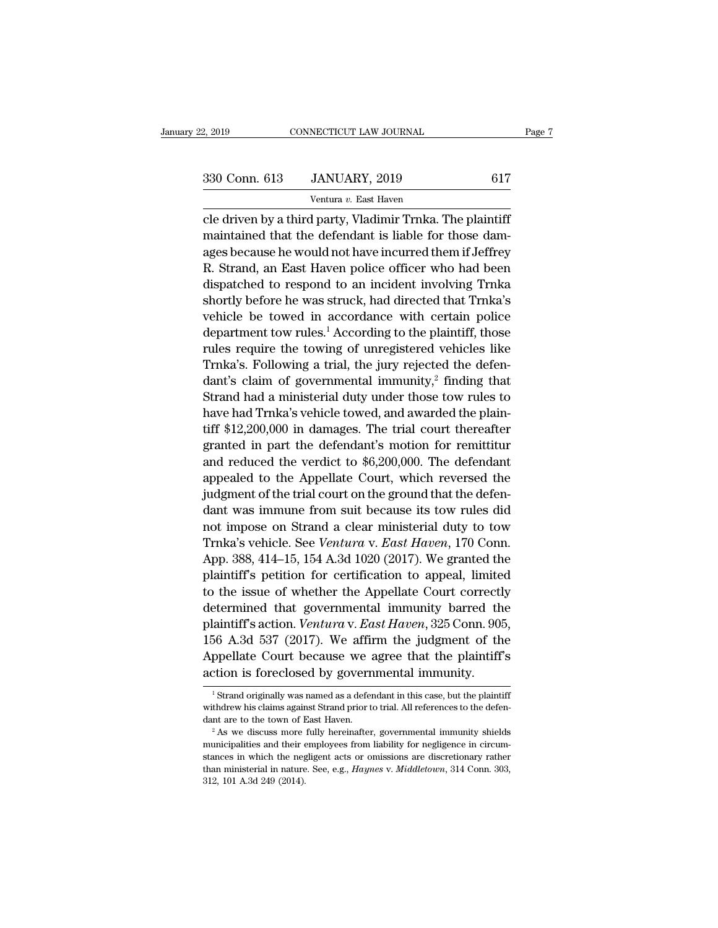| 2, 2019       | CONNECTICUT LAW JOURNAL                                    |     | Page 7 |
|---------------|------------------------------------------------------------|-----|--------|
|               |                                                            |     |        |
| 330 Conn. 613 | JANUARY, 2019                                              | 617 |        |
|               | Ventura v. East Haven                                      |     |        |
|               | cle driven by a third party. Vladimir Trnka. The plaintiff |     |        |

Example 330 Conn. 613 Connect CONNECTICUT LAW JOURNAL Page<br>  $\frac{330 \text{ Conn. } 613}{\text{Ventura } v. \text{ East Haven}}$ <br>
Cle driven by a third party, Vladimir Trnka. The plaintiff<br>
maintained that the defendant is liable for those dam-330 Conn. 613 JANUARY, 2019 617<br>Ventura v. East Haven<br>Cle driven by a third party, Vladimir Trnka. The plaintiff<br>maintained that the defendant is liable for those dam-<br>ages because he would not have incurred them if Jeffr 330 Conn. 613 JANUARY, 2019 617<br>
Ventura v. East Haven<br>
cle driven by a third party, Vladimir Trnka. The plaintiff<br>
maintained that the defendant is liable for those dam-<br>
ages because he would not have incurred them if J  $\frac{330 \text{ Conn. } 613}{\text{Ventura } v. \text{ East Haven}}$ <br>
Cle driven by a third party, Vladimir Trnka. The plaintiff<br>
maintained that the defendant is liable for those dam-<br>
ages because he would not have incurred them if Jeffrey<br>
R. Strand, a Ventura  $v$ . East Haven<br>
cle driven by a third party, Vladimir Trnka. The plaintiff<br>
maintained that the defendant is liable for those dam-<br>
ages because he would not have incurred them if Jeffrey<br>
R. Strand, an East Have cle driven by a third party, Vladimir Trnka. The plaintiff<br>maintained that the defendant is liable for those dam-<br>ages because he would not have incurred them if Jeffrey<br>R. Strand, an East Haven police officer who had been cie driven by a third party, viadimir Trinka. The plaintiff<br>maintained that the defendant is liable for those dam-<br>ages because he would not have incurred them if Jeffrey<br>R. Strand, an East Haven police officer who had bee maintained that the defendant is hable for those dam-<br>ages because he would not have incurred them if Jeffrey<br>R. Strand, an East Haven police officer who had been<br>dispatched to respond to an incident involving Trnka<br>shortl ages because he would not have incurred them if Jeffrey<br>R. Strand, an East Haven police officer who had been<br>dispatched to respond to an incident involving Trnka<br>shortly before he was struck, had directed that Trnka's<br>vehi  $R$ . Strand, an East Haven poice officer who had been<br>dispatched to respond to an incident involving Trnka<br>shortly before he was struck, had directed that Trnka's<br>vehicle be towed in accordance with certain police<br>departm dantly before he was struck, had directed that Trnka's<br>shortly before he was struck, had directed that Trnka's<br>vehicle be towed in accordance with certain police<br>department tow rules.<sup>1</sup> According to the plaintiff, those<br> shortly before he was struck, had directed that Trinka's<br>vehicle be towed in accordance with certain police<br>department tow rules.<sup>1</sup> According to the plaintiff, those<br>rules require the towing of unregistered vehicles like vehicle be towed in accordance with certain police<br>department tow rules.<sup>1</sup> According to the plaintiff, those<br>rules require the towing of unregistered vehicles like<br>Trnka's. Following a trial, the jury rejected the defendepartment tow rules. According to the plaintin, those<br>rules require the towing of unregistered vehicles like<br>Trika's. Following a trial, the jury rejected the defen-<br>dant's claim of governmental immunity,<sup>2</sup> finding that rules require the towing of unregistered venicies like<br>Trika's. Following a trial, the jury rejected the defen-<br>dant's claim of governmental immunity,<sup>2</sup> finding that<br>Strand had a ministerial duty under those tow rules to<br> Trika s. Following a trial, the jury rejected the defendant's claim of governmental immunity,<sup>2</sup> finding that Strand had a ministerial duty under those tow rules to have had Trika's vehicle towed, and awarded the plaintif dant s claim of governmentar immunity,<sup>-</sup> imaing that<br>Strand had a ministerial duty under those tow rules to<br>have had Trnka's vehicle towed, and awarded the plain-<br>tiff \$12,200,000 in damages. The trial court thereafter<br>gr strand had a himisterial duty under those tow rules to<br>have had Trnka's vehicle towed, and awarded the plain-<br>tiff \$12,200,000 in damages. The trial court thereafter<br>granted in part the defendant's motion for remittitur<br>an have had Trika s venicle towed, and awarded the plant-<br>tiff \$12,200,000 in damages. The trial court thereafter<br>granted in part the defendant's motion for remittitur<br>and reduced the verdict to \$6,200,000. The defendant<br>app un \$12,200,000 in dantages. The trial court inerelatier<br>granted in part the defendant's motion for remittitur<br>and reduced the verdict to \$6,200,000. The defendant<br>appealed to the Appellate Court, which reversed the<br>judgme granted in part the defendant s motion for remutitur<br>and reduced the verdict to \$6,200,000. The defendant<br>appealed to the Appellate Court, which reversed the<br>judgment of the trial court on the ground that the defen-<br>dant w and reduced the vertuct to <sub>90</sub>,200,000. The defendant<br>appealed to the Appellate Court, which reversed the<br>judgment of the trial court on the ground that the defen-<br>dant was immune from suit because its tow rules did<br>not i appeared to the Appenate Court, which reversed the<br>judgment of the trial court on the ground that the defen-<br>dant was immune from suit because its tow rules did<br>not impose on Strand a clear ministerial duty to tow<br>Trika's duginent of the trial court of the ground that the defendant was immune from suit because its tow rules did not impose on Strand a clear ministerial duty to tow Trnka's vehicle. See *Ventura v. East Haven*, 170 Conn.<br>App. dant was infinite front suit because its tow rules did<br>not impose on Strand a clear ministerial duty to tow<br>Trnka's vehicle. See *Ventura* v. *East Haven*, 170 Conn.<br>App. 388, 414–15, 154 A.3d 1020 (2017). We granted the<br> not impose on strand a clear numsterial duty to tow<br>Trnka's vehicle. See *Ventura* v. *East Haven*, 170 Conn.<br>App. 388, 414–15, 154 A.3d 1020 (2017). We granted the<br>plaintiff's petition for certification to appeal, limited 156 A.3d 537 (2017). We affirm the judgment of the App. 388, 414–15, 154 A.5d 1020 (2017). We granted the plaintiff's petition for certification to appeal, limited to the issue of whether the Appellate Court correctly determined that governmental immunity barred the plain planners petrol for certification to appear, influe<br>to the issue of whether the Appellate Court correctl<br>determined that governmental immunity barred th<br>plaintiff's action. *Ventura* v. *East Haven*, 325 Conn. 90?<br>156 A.3d 1 Strand originally was named as a defendant in this case, but the plaintiff's strand originally was named as a defendant in this case, but the plaintiff's that whis claims against Strand prior to trial. All references to 156 A.3d 537 (2017). We affirm the judgment of the Appellate Court because we agree that the plaintiff's action is foreclosed by governmental immunity.<br>
<sup>1</sup> Strand originally was named as a defendant in this case, but the

Appellate Court because we agree that the plaintiff's action is foreclosed by governmental immunity.<br>  $\frac{1}{1}$ Strand originally was named as a defendant in this case, but the plaintiffer withdrew his claims against Stran

municipalities and their employees from liability.<br>
<sup>1</sup> Strand originally was named as a defendant in this case, but the plaintiff<br>
withdrew his claims against Strand prior to trial. All references to the defen-<br>
dant are <sup>1</sup> Strand originally was named as a defendant in this case, but the plaintiff with<br>drew his claims against Strand prior to trial. All references to the defendant<br>are to the town of East Haven.<br><sup>2</sup> As we discuss more full withdrew his claims against Strand prior to trial. All references to the defendant are to the town of East Haven.<br><sup>2</sup> As we discuss more fully hereinafter, governmental immunity shields municipalities and their employees f dant are to the town of East Haven.<br>
<sup>2</sup> As we discuss more fully hereinafter, governmental immunity shields<br>
municipalities and their employees from liability for negligence in circum-<br>
stances in which the negligent act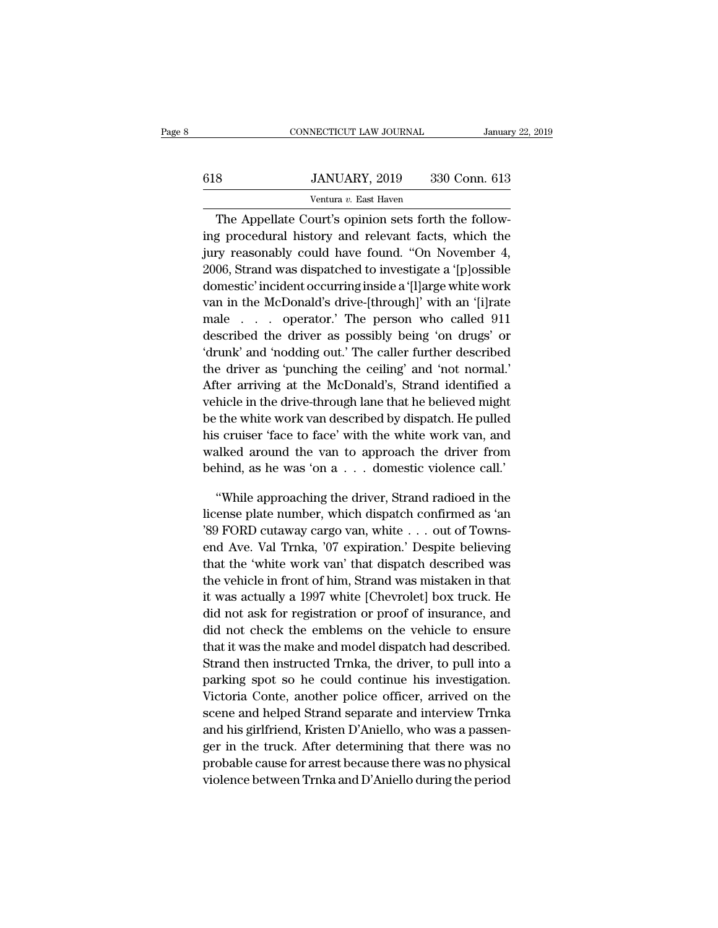## EXECUTE CONNECTICUT LAW JOURNAL January 22, 2019<br> **618** JANUARY, 2019 330 Conn. 613<br>
Ventura v. East Haven NECTICUT LAW JOURNAL<br>JANUARY, 2019 330<br>Ventura *v.* East Haven<br>purt's opinion sets forth

CONNECTICUT LAW JOURNAL<br>
SANUARY, 2019 330 Conn. 613<br>
Ventura v. East Haven<br>
The Appellate Court's opinion sets forth the follow-<br>
The Appellate Court's opinion sets forth the follow-<br>
The Appellate Court's opinion sets fo <sup>618</sup> JANUARY, 2019 330 Conn. 613<br>
Ventura v. East Haven<br>
The Appellate Court's opinion sets forth the following<br>
procedural history and relevant facts, which the<br>
jury reasonably could have found. "On November 4, JANUARY, 2019 330 Conn. 613<br>
Ventura v. East Haven<br>
The Appellate Court's opinion sets forth the following<br>
procedural history and relevant facts, which the<br>
jury reasonably could have found. "On November 4,<br>
2006, Strand 330 Conn. 613<br>
Ventura v. East Haven<br>
The Appellate Court's opinion sets forth the following<br>
procedural history and relevant facts, which the<br>
jury reasonably could have found. "On November 4,<br>
2006, Strand was dispatched Ventura v. East Haven<br>The Appellate Court's opinion sets forth the following procedural history and relevant facts, which the<br>jury reasonably could have found. "On November 4,<br>2006, Strand was dispatched to investigate a The Appellate Court's opinion sets forth the following procedural history and relevant facts, which the jury reasonably could have found. "On November 4, 2006, Strand was dispatched to investigate a '[p]ossible domestic' i Inc Appenate court's opmort sets form the follow-<br>ing procedural history and relevant facts, which the<br>jury reasonably could have found. "On November 4,<br>2006, Strand was dispatched to investigate a '[p]ossible<br>domestic' in described the driver's and 'clevant races', which the driver's drivery reasonably could have found. "On November 4, 2006, Strand was dispatched to investigate a '[p]ossible domestic' incident occurring inside a '[l]arge wh 2006, Strand was dispatched to investigate a '[p]ossible domestic' incident occurring inside a '[l]arge white work van in the McDonald's drive-[through]' with an '[i]rate male  $\ldots$  operator.' The person who called 911 de 2000, Strand was uspacence to investigate a [p]ossible<br>domestic' incident occurring inside a '[l]arge white work<br>van in the McDonald's drive-[through]' with an '[i]rate<br>male . . . . operator.' The person who called 911<br>des After arriving at the McDonald's drive-through)' with an '[i] rate male . . . . operator.' The person who called 911 described the driver as possibly being 'on drugs' or 'drunk' and 'nodding out.' The caller further descr van in the mebonates dive [through] with an [f] and<br>male . . . operator.' The person who called 911<br>described the driver as possibly being 'on drugs' or<br>'drunk' and 'nodding out.' The caller further described<br>the driver as he diver as possibly being 'on drugs' or<br>
described the driver as possibly being 'on drugs' or<br>
"drunk' and 'nodding out.' The caller further described<br>
the driver as 'punching the ceiling' and 'not normal.'<br>
After arrivin described the driver as possibly being on drugs of<br>
drunk' and 'nodding out.' The caller further described<br>
the driver as 'punching the ceiling' and 'not normal.'<br>
After arriving at the McDonald's, Strand identified a<br>
veh the driver as 'punching but. The cancer runther described<br>the driver as 'punching the ceiling' and 'not normal.'<br>After arriving at the McDonald's, Strand identified a<br>vehicle in the drive-through lane that he believed mig After arriving at the McDonald's, Strand identified a<br>vehicle in the drive-through lane that he believed might<br>be the white work van described by dispatch. He pulled<br>his cruiser 'face to face' with the white work van, and<br> hicle in the drive-through lane that he believed might<br>
the white work van described by dispatch. He pulled<br>
s cruiser 'face to face' with the white work van, and<br>
alked around the van to approach the driver from<br>
hind, as be the white work van described by dispatch. He pulled<br>his cruiser 'face to face' with the white work van, and<br>walked around the van to approach the driver from<br>behind, as he was 'on a . . . domestic violence call.'<br>"While

has cruiser Tace to face' with the white work van, and<br>walked around the van to approach the driver from<br>behind, as he was 'on a . . . domestic violence call.'<br>"While approaching the driver, Strand radioed in the<br>license p walked around the van to approach the driver from<br>behind, as he was 'on a . . . domestic violence call.'<br>"While approaching the driver, Strand radioed in the<br>license plate number, which dispatch confirmed as 'an<br>'89 FORD c behind, as he was 'on a . . . domestic violence call.<br>
"While approaching the driver, Strand radioed in the<br>
license plate number, which dispatch confirmed as 'an<br>
"89 FORD cutaway cargo van, white . . . out of Towns-<br>
end "While approaching the driver, Strand radioed in the license plate number, which dispatch confirmed as 'an '89 FORD cutaway cargo van, white  $\ldots$  out of Townsend Ave. Val Trnka, '07 expiration.' Despite believing that th while approaching the dirver, strand radioca in the license plate number, which dispatch confirmed as 'an '89 FORD cutaway cargo van, white  $\ldots$  out of Towns-<br>end Ave. Val Trnka, '07 expiration.' Despite believing<br>that t did not check the emblems on the vehicle to ensure<br>the registration of Towns-<br>that the 'white work van' that dispatch described was<br>the vehicle in front of him, Strand was mistaken in that<br>it was actually a 1997 white [Che did not check the emblems on the vehicle to ensure<br>that the 'white work van' that dispatch described was<br>the vehicle in front of him, Strand was mistaken in that<br>it was actually a 1997 white [Chevrolet] box truck. He<br>did that the 'white work van' that dispatch. Despite beneving<br>that the 'white work van' that dispatch described was<br>the vehicle in front of him, Strand was mistaken in that<br>it was actually a 1997 white [Chevrolet] box truck. H the vehicle in front of him, Strand was mistaken in that<br>it was actually a 1997 white [Chevrolet] box truck. He<br>did not ask for registration or proof of insurance, and<br>did not check the emblems on the vehicle to ensure<br>tha it was actually a 1997 white [Chevrolet] box truck. He<br>did not ask for registration or proof of insurance, and<br>did not check the emblems on the vehicle to ensure<br>that it was the make and model dispatch had described.<br>Stran R was actually a 1991 while [Chevrolet] box a duck. He<br>did not ask for registration or proof of insurance, and<br>did not check the emblems on the vehicle to ensure<br>that it was the make and model dispatch had described.<br>Stran did not disk for registration of proof of instantate, and<br>did not check the emblems on the vehicle to ensure<br>that it was the make and model dispatch had described.<br>Strand then instructed Trnka, the driver, to pull into a<br>p and hot check are embedded dispatch had described.<br>Strand then instructed Trnka, the driver, to pull into a<br>parking spot so he could continue his investigation.<br>Victoria Conte, another police officer, arrived on the<br>scene Strand then instructed Trnka, the driver, to pull into a<br>parking spot so he could continue his investigation.<br>Victoria Conte, another police officer, arrived on the<br>scene and helped Strand separate and interview Trnka<br>and parking spot so he could continue his investigation.<br>Victoria Conte, another police officer, arrived on the<br>scene and helped Strand separate and interview Trnka<br>and his girlfriend, Kristen D'Aniello, who was a passen-<br>ger parting spot so he could continue his investigation.<br>Victoria Conte, another police officer, arrived on the<br>scene and helped Strand separate and interview Trnka<br>and his girlfriend, Kristen D'Aniello, who was a passen-<br>ger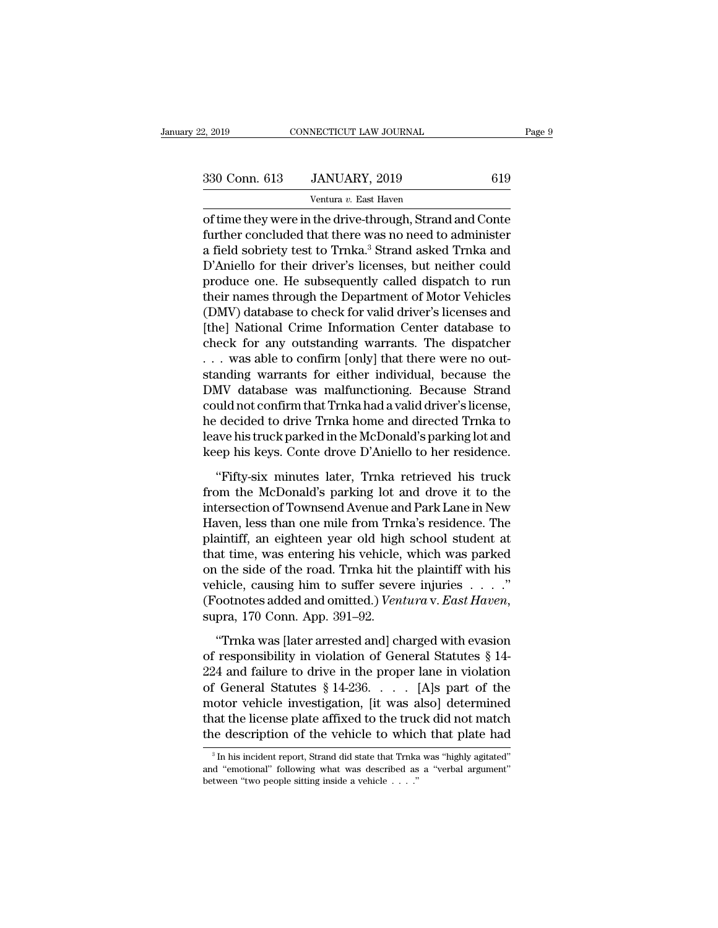NECTICUT LAW JOURNAL<br>JANUARY, 2019<br><sup>Ventura v.</sup> East Haven<br>the drive-through Strand <sup>2, 2019</sup> CONNECTICUT LAW JOURNAL Page 9<br>
330 Conn. 613 JANUARY, 2019 619<br>
Ventura v. East Haven<br>
of time they were in the drive-through, Strand and Conte<br>
further concluded that there was no need to administer<br>
a field se 330 Conn. 613 JANUARY, 2019 619<br>
Ventura v. East Haven<br>
of time they were in the drive-through, Strand and Conte<br>
further concluded that there was no need to administer<br>
a field sobriety test to Trnka.<sup>3</sup> Strand asked Trnk 330 Conn. 613 JANUARY, 2019 619<br>
Ventura v. East Haven<br>
of time they were in the drive-through, Strand and Conte<br>
further concluded that there was no need to administer<br>
a field sobriety test to Trnka.<sup>3</sup> Strand asked Trn  $\frac{330 \text{ Conn. } 613}{\text{Vertura } v. \text{ East Haven}}$ <br>  $\frac{100}{\text{Vert. } 619}$ <br>  $\frac{100}{\text{Vert. } 619}$ <br>  $\frac{100}{\text{Vert. } 619}$ <br>  $\frac{100}{\text{Vert. } 619}$ <br>  $\frac{100}{\text{Vert. } 619}$ <br>  $\frac{100}{\text{Vert. } 619}$ <br>  $\frac{100}{\text{Vert. } 619}$ <br>  $\frac{100}{\text{Vert. } 619}$ <br>  $\frac{100}{\text$ Ventura v. East Haven<br>
of time they were in the drive-through, Strand and Conte<br>
further concluded that there was no need to administer<br>
a field sobriety test to Trnka.<sup>3</sup> Strand asked Trnka and<br>
D'Aniello for their driver Figure 1 and 20 East Haven<br>of time they were in the drive-through, Strand and Conte<br>further concluded that there was no need to administer<br>a field sobriety test to Trnka.<sup>3</sup> Strand asked Trnka and<br>D'Aniello for their drive of time they were in the drive-through, Strand and Conte<br>further concluded that there was no need to administer<br>a field sobriety test to Trnka.<sup>3</sup> Strand asked Trnka and<br>D'Aniello for their driver's licenses, but neither c further concluded that there was no need to administer<br>a field sobriety test to Trnka.<sup>3</sup> Strand asked Trnka and<br>D'Aniello for their driver's licenses, but neither could<br>produce one. He subsequently called dispatch to run<br> a field sobriety test to Trnka.<sup>3</sup> Strand asked Trnka and<br>D'Aniello for their driver's licenses, but neither could<br>produce one. He subsequently called dispatch to run<br>their names through the Department of Motor Vehicles<br>(D D'Aniello for their driver's licenses, but neither could<br>produce one. He subsequently called dispatch to run<br>their names through the Department of Motor Vehicles<br>(DMV) database to check for valid driver's licenses and<br>[the produce one. He subsequently called dispatch to run<br>their names through the Department of Motor Vehicles<br>(DMV) database to check for valid driver's licenses and<br>[the] National Crime Information Center database to<br>check for their names through the Department of Motor Vehicles<br>(DMV) database to check for valid driver's licenses and<br>[the] National Crime Information Center database to<br>check for any outstanding warrants. The dispatcher<br>... was ab (DMV) database to check for valid driver's licenses and<br>[the] National Crime Information Center database to<br>check for any outstanding warrants. The dispatcher<br>... was able to confirm [only] that there were no out-<br>standing [the] National Crime Information Center database to<br>check for any outstanding warrants. The dispatcher<br>...was able to confirm [only] that there were no out-<br>standing warrants for either individual, because the<br>DMV database check for any outstanding warrants. The dispatcher<br>
... was able to confirm [only] that there were no out-<br>
standing warrants for either individual, because the<br>
DMV database was malfunctioning. Because Strand<br>
could not c was able to confirm [only] that there were no out-<br>standing warrants for either individual, because the<br>DMV database was malfunctioning. Because Strand<br>could not confirm that Trnka had a valid driver's license,<br>he decided MV database was malfunctioning. Because Strand<br>
uld not confirm that Trnka had a valid driver's license,<br>
decided to drive Trnka home and directed Trnka to<br>
ave his truck parked in the McDonald's parking lot and<br>
ep his ke could not confirm that Trnka had a valid driver's license,<br>he decided to drive Trnka home and directed Trnka to<br>leave his truck parked in the McDonald's parking lot and<br>keep his keys. Conte drove D'Aniello to her residence

he decided to drive Trnka home and directed Trnka to<br>leave his truck parked in the McDonald's parking lot and<br>keep his keys. Conte drove D'Aniello to her residence.<br>"Fifty-six minutes later, Trnka retrieved his truck<br>from leave his truck parked in the McDonald's parking lot and<br>keep his keys. Conte drove D'Aniello to her residence.<br>"Fifty-six minutes later, Trnka retrieved his truck<br>from the McDonald's parking lot and drove it to the<br>inters keep his keys. Conte drove D'Aniello to her residence.<br>
"Fifty-six minutes later, Trnka retrieved his truck<br>
from the McDonald's parking lot and drove it to the<br>
intersection of Townsend Avenue and Park Lane in New<br>
Haven, "Fifty-six minutes later, Trnka retrieved his truck<br>from the McDonald's parking lot and drove it to the<br>intersection of Townsend Avenue and Park Lane in New<br>Haven, less than one mile from Trnka's residence. The<br>plaintiff, "Fifty-six minutes later, Trnka retrieved his truck<br>from the McDonald's parking lot and drove it to the<br>intersection of Townsend Avenue and Park Lane in New<br>Haven, less than one mile from Trnka's residence. The<br>plaintiff, from the McDonald's parking lot and drove it to the<br>intersection of Townsend Avenue and Park Lane in New<br>Haven, less than one mile from Trnka's residence. The<br>plaintiff, an eighteen year old high school student at<br>that ti intersection of Townsend Avenue and Park Lane in New<br>Haven, less than one mile from Trnka's residence. The<br>plaintiff, an eighteen year old high school student at<br>that time, was entering his vehicle, which was parked<br>on the at time, was entering his vehicle, which was parked<br>
the side of the road. Trnka hit the plaintiff with his<br>
hicle, causing him to suffer severe injuries . . . . ."<br>
ootnotes added and omitted.) *Ventura* v. *East Haven*, on the side of the road. Trnka hit the plaintiff with his<br>vehicle, causing him to suffer severe injuries . . . ."<br>(Footnotes added and omitted.) *Ventura* v. *East Haven*,<br>supra, 170 Conn. App. 391–92.<br>"Trnka was [later a

vehicle, causing him to suffer severe injuries . . . ."<br>
(Footnotes added and omitted.) *Ventura* v. *East Haven*,<br>
supra, 170 Conn. App. 391–92.<br>
"Trnka was [later arrested and] charged with evasion<br>
of responsibility in (Footnotes added and omitted.) *Ventura* v. *East Haven*,<br>supra, 170 Conn. App. 391–92.<br>"Trnka was [later arrested and] charged with evasion<br>of responsibility in violation of General Statutes § 14-<br>224 and failure to driv supra, 170 Conn. App. 391–92.<br>
"Trnka was [later arrested and] charged with evasion<br>
of responsibility in violation of General Statutes  $\S$  14–<br>
224 and failure to drive in the proper lane in violation<br>
of General Statute "Translave" in Franch ("Translave" in the license of responsibility in violation of General Statutes  $\S$  14-224 and failure to drive in the proper lane in violation of General Statutes  $\S$  14-236. . . . [A]s part of the m "Trnka was [later arrested and] charged with evasion<br>of responsibility in violation of General Statutes § 14-<br>224 and failure to drive in the proper lane in violation<br>of General Statutes § 14-236. . . . [A]s part of the<br>m 1 General Statutes  $\frac{1}{2}$  14-230. . . . . [A]S part of the otor vehicle investigation, [it was also] determined at the license plate affixed to the truck did not match in the description of the vehicle to which that pl motor vehicle investigation, [it was also] determined<br>that the license plate affixed to the truck did not match<br>the description of the vehicle to which that plate had<br> $\frac{3}{\text{In}}$  his incident report, Strand did state tha

that the license plate affixed to the true<br>the description of the vehicle to which  $\frac{1}{\sin \theta}$  in his incident report, Strand did state that Truka<br>and "emotional" following what was described as<br>between "two people sitti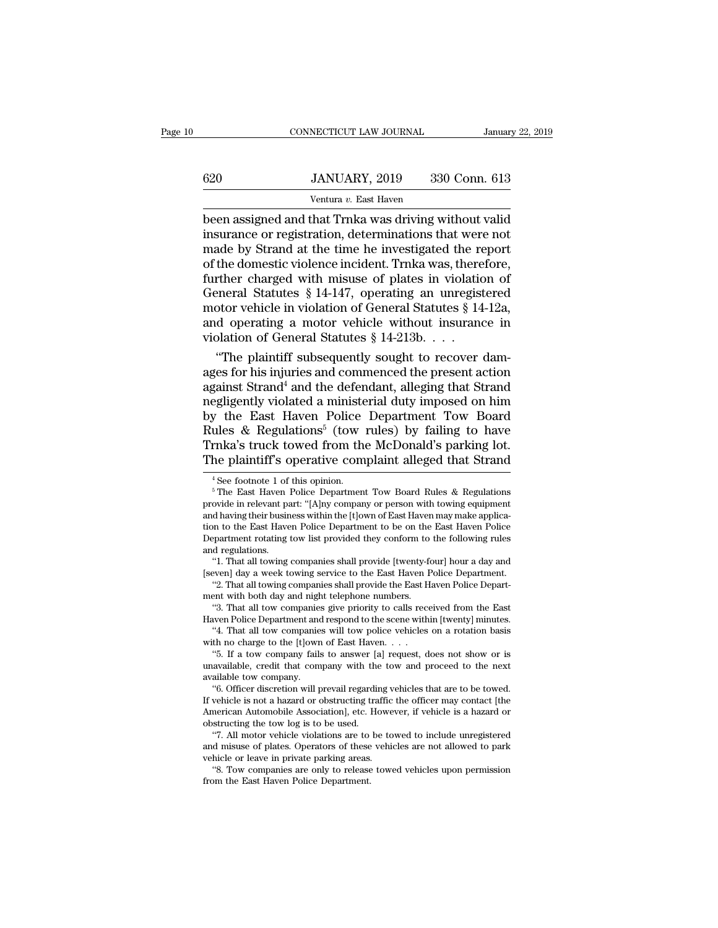## EXECUTE CONNECTICUT LAW JOURNAL January 22, 2019<br> **620** JANUARY, 2019 330 Conn. 613<br>
Ventura v. East Haven NECTICUT LAW JOURNAL<br>JANUARY, 2019 330<br>Ventura *v.* East Haven<br>that Trnka was driving wi

CONNECTICUT LAW JOURNAL January 22, 2019<br>
620 JANUARY, 2019 330 Conn. 613<br>
Ventura v. East Haven<br>
been assigned and that Trnka was driving without valid<br>
insurance or registration, determinations that were not<br>
made by Str 620 JANUARY, 2019 330 Conn. 613<br>
Ventura v. East Haven<br>
been assigned and that Trnka was driving without valid<br>
insurance or registration, determinations that were not<br>
made by Strand at the time he investigated the report  $\frac{620}{\text{Ventura } v. \text{ East Haven}}$ <br>  $\frac{Ventura v. \text{ East Haven}}{\text{been assigned and that Trnka was driving without valid}}$ <br>
insurance or registration, determinations that were not<br>
made by Strand at the time he investigated the report<br>
of the domestic violence incident. Trnka was, ther  $\frac{620}{\text{Ventura } v. \text{ East Haven}}$ <br>  $\frac{613}{\text{Ventura } v. \text{ East Haven}}$ <br>
been assigned and that Trnka was driving without valid<br>
insurance or registration, determinations that were not<br>
made by Strand at the time he investigated the report<br>
o Further, 2019 800 Colub. 019<br>
Ventura v. East Haven<br>
been assigned and that Trnka was driving without valid<br>
insurance or registration, determinations that were not<br>
made by Strand at the time he investigated the report<br> Ventura v. East Haven<br>been assigned and that Trnka was driving without valid<br>insurance or registration, determinations that were not<br>made by Strand at the time he investigated the report<br>of the domestic violence incident. been assigned and that Trnka was driving without valid<br>insurance or registration, determinations that were not<br>made by Strand at the time he investigated the report<br>of the domestic violence incident. Trnka was, therefore,<br> insurance or registration, determinations that were not<br>made by Strand at the time he investigated the report<br>of the domestic violence incident. Trnka was, therefore,<br>further charged with misuse of plates in violation of<br> made by Strand at the time he investigated the reform the domestic violence incident. Trnka was, there further charged with misuse of plates in violatio General Statutes § 14-147, operating an unregist motor vehicle in vi the domestic violence incident. Trnka was, therefore,<br>
rther charged with misuse of plates in violation of<br>
eneral Statutes § 14-147, operating an unregistered<br>
otor vehicle in violation of General Statutes § 14-12a,<br>
d o further charged with misuse of plates in violation of<br>General Statutes § 14-147, operating an unregistered<br>motor vehicle in violation of General Statutes § 14-12a,<br>and operating a motor vehicle without insurance in<br>violat

General Statutes § 14-147, operating an unregistered<br>motor vehicle in violation of General Statutes § 14-12a,<br>and operating a motor vehicle without insurance in<br>violation of General Statutes § 14-213b. . . .<br>"The plaintif motor vehicle in violation of General Statutes § 14-12a,<br>and operating a motor vehicle without insurance in<br>violation of General Statutes § 14-213b. . . .<br>"The plaintiff subsequently sought to recover dam-<br>ages for his in and operating a motor vehicle without insurance in<br>violation of General Statutes § 14-213b. . . .<br>"The plaintiff subsequently sought to recover dam-<br>ages for his injuries and commenced the present action<br>against Strand<sup>4</sup> violation of General Statutes  $\S 14-213b.$ ...<br>"The plaintiff subsequently sought to recover damages for his injuries and commenced the present action<br>against Strand<sup>4</sup> and the defendant, alleging that Strand<br>negligently v "The plaintiff subsequently sought to recover damages for his injuries and commenced the present action against Strand<sup>4</sup> and the defendant, alleging that Strand negligently violated a ministerial duty imposed on him by t ages for his injuries and commenced the present action<br>against Strand<sup>4</sup> and the defendant, alleging that Strand<br>negligently violated a ministerial duty imposed on him<br>by the East Haven Police Department Tow Board<br>Rules & by the East Haven Police Department Tow Board<br>Rules & Regulations<sup>5</sup> (tow rules) by failing to have<br>Trnka's truck towed from the McDonald's parking lot.<br>The plaintiff's operative complaint alleged that Strand<br><sup>4</sup>See footno

Trnka's truck towed from the McDonald's parking lot.<br>The plaintiff's operative complaint alleged that Strand<br><sup>4</sup>See footnote 1 of this opinion.<br><sup>5</sup>The East Haven Police Department Tow Board Rules & Regulations<br>provide in r The plaintiff's operative complaint alleged that Strand<br>
<sup>4</sup>See footnote 1 of this opinion.<br>
<sup>5</sup> The East Haven Police Department Tow Board Rules & Regulations<br>
provide in relevant part: "[A]ny company or person with towin The plaintiff's operative complaint alleged that Strand<br>  $^{4}$ See footnote 1 of this opinion.<br>  $^{5}$ The East Haven Police Department Tow Board Rules & Regulations<br>
provide in relevant part: "[A]ny company or person with t <sup>4</sup> See footnote 1 of this opinion.<br>
<sup>5</sup> The East Haven Police Department Tow Board Rules & Regulations<br>
provide in relevant part: "[A]ny company or person with towing equipment<br>
and having their business within the [t]ow France dottote 1 of<br>
France in relevant payabor<br>
provide in relevant payabor<br>
and having their busin<br>
tion to the East Have<br>
Department rotating<br>
and regulations.<br>
"1. That all towing The East Haven Police Department Tow Board Rules & Regulations<br>
ovide in relevant part: "[A]ny company or person with towing equipment<br>
d having their business within the [t]own of East Haven may make applica-<br>
n to the Ea provide in relevant part: "[A]ny company or person with towing equipment<br>and having their business within the [t]own of East Haven may make applica-<br>tion to the East Haven Police Department to be on the East Haven Police<br>D d having their business within the [t]own of East Haven may make application to the East Haven Police Department to be on the East Haven Police partment rotating tow list provided they conform to the following rules depart tion to the East Haven Police Department to be on the Department rotating tow list provided they conform to and regulations. "1. That all towing companies shall provide [twenty-fc] [seven] day a week towing service to the

<sup>&</sup>quot;<br>
"I That all towing companies shall provide (twenty-four) hour a day and<br>
"I. That all towing companies shall provide (twenty-four) hour a day and<br>
"2. That all towing companies shall provide the East Haven Police Depart and regulations.<br>
"1. That all towing companies shall provide [twenty-four] hour a day and<br>
[seven] day a week towing service to the East Haven Police Department.<br>
"2. That all towing companies shall provide the East Haven

<sup>&</sup>quot;1. That all towing companies shall provide [twenty-four] hour a day and<br>even] day a week towing service to the East Haven Police Department.<br>"2. That all towing companies shall provide the East Haven Police Depart-<br>ent wi [seven] day a week towing service to the East Haven]<br>
"2. That all towing companies shall provide the East Haven 1<br>
"3. That all tow companies give priority to calls rec-<br>
Haven Police Department and respond to the scene w

<sup>&</sup>quot;2. That all towing companies shall provide the East Haven Police Depart-<br>ent with both day and night telephone numbers.<br>"3. That all tow companies give priority to calls received from the East<br>wen Police Department and re ment with both day and night telephone numbers.<br>
"3. That all tow companies give priority to calls received from the East<br>
Haven Police Department and respond to the scene within [twenty] minutes.<br>
"4. That all tow compani Haven Police Department and respond to the scene within [twenty] minutes. "4. That all tow companies will tow police vehicles on a rotation basis with no charge to the [t]own of East Haven.  $\ldots$  "5. If a tow company fail Wen Police Department and respond to the scene within [twenty] minutes.<br>"4. That all tow companies will tow police vehicles on a rotation basis<br>th no charge to the [t]own of East Haven. . . .<br>"5. If a tow company fails to

The U.S. That all tow companies will tow police vehicles on a rotation basis<br>with no charge to the [t]own of East Haven. . . .<br>"5. If a tow company fails to answer [a] request, does not show or is<br>unavailable, credit that with no charge to the [t]own of East Haven. . . .<br>
"5. If a tow company fails to answer [a] request, does not show or is<br>
unavailable, credit that company with the tow and proceed to the next<br>
available tow company.<br>
"6. O <sup>o</sup>b. If a tow company tails to answer [a]<br>unavailable, credit that company with the<br>available tow company.<br><sup>6</sup> officer discretion will prevail regarding the used.<br>If vehicle is not a hazard or obstructing trade<br>merican Au All motor vehicle is a tasket that company with the tow and proceed to the next<br>
allable tow company.<br>
"6. Officer discretion will prevail regarding vehicles that are to be towed.<br>
vehicle is not a hazard or obstructing tr available tow company.<br>
"6. Officer discretion will prevail regarding vehicles that are to be towed.<br>
If vehicle is not a hazard or obstructing traffic the officer may contact [the<br>
American Automobile Association], etc. H

American Automobile Association], etc. However, if vehicle is a hazard or obstructing the tow log is to be used.<br>
"7. All motor vehicle violations are to be towed to include unregistered and misuse of plates. Operators of venicle is not a hazard or obstructing trainc the officer may contact [the<br>merican Automobile Association], etc. However, if vehicle is a hazard or<br>structing the tow log is to be used.<br>"7. All motor vehicle violations are and misuse of plates. Operators of these vehicles are not allowed to park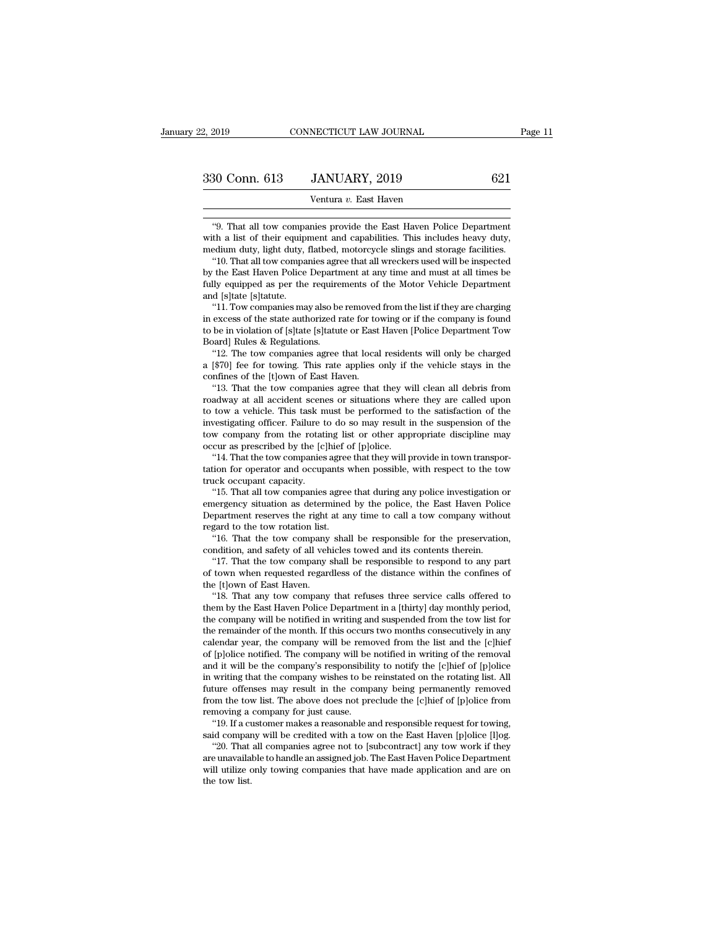30 Conn. 613 JANUARY, 2019 621<br>
Ventura v. East Haven<br>
"9. That all tow companies provide the East Haven Police Department<br>
th a list of their equipment and capabilities. This includes heavy duty,<br>
adjum duty, light duty, 330 Conn. 613 JANUARY, 2019 621<br>
Ventura v. East Haven<br>
"9. That all tow companies provide the East Haven Police Department<br>
with a list of their equipment and capabilities. This includes heavy duty,<br>
medium duty, light d medium duty, light duty, flatbed, motorcycle slings and storage facilities.<br>That all tow companies provide the East Haven Police Department<br>with a list of their equipment and capabilities. This includes heavy duty,<br>medium Ventura v. East Haven<br>
"9. That all tow companies provide the East Haven Police Department<br>
th a list of their equipment and capabilities. This includes heavy duty,<br>
edium duty, light duty, flatbed, motorcycle slings and s

Final C. East Haven<br>
State Haven Police Department<br>
with a list of their equipment and capabilities. This includes heavy duty,<br>
medium duty, light duty, flatbed, motorcycle slings and storage facilities.<br>
"10. That all tow "9. That all tow companies provide the East Haven Police Department with a list of their equipment and capabilities. This includes heavy duty, medium duty, light duty, flatbed, motorcycle slings and storage facilities. "1 "9. That all tow compart<br>with a list of their equipy<br>medium duty, light duty,<br>"10. That all tow compart<br>by the East Haven Police<br>fully equipped as per the<br>and [s]tate [s]tatute.<br>"11. Tow companies ma th a list of their equipment and capabilities. This includes heavy duty,<br>edium duty, light duty, flatbed, motorcycle slings and storage facilities.<br>"10. That all tow companies agree that all wreckers used will be inspected medium duty, light duty, liatbed, motorcycle slings and storage facilities.<br>
"10. That all tow companies agree that all wreckers used will be inspected<br>
by the East Haven Police Department at any time and must at all times

To. That all tow companies agree that all wreckers used will be inspected<br>by the East Haven Police Department at any time and must at all times be<br>fully equipped as per the requirements of the Motor Vehicle Department<br>and by the East Haven Police Department at any time and must at all times be fully equipped as per the requirements of the Motor Vehicle Department and [s]tate [s]tatute.<br>"11. Tow companies may also be removed from the list if ly equipped as per the requirements of the Motor Vehicle Department<br>
d [s]tate [s]tatute.<br>
"11. Tow companies may also be removed from the list if they are charging<br>
excess of the state authorized rate for towing or if the and [s] flattical]<br>
"11. Tow companies may also be removed from the list if they are charging<br>
in excess of the state authorized rate for towing or if the company is found<br>
to be in violation of [s] tate [s] tatute or East

to be in violation of [s]tate [s]tatute or East Haven [Police Department Tow<br>Board] Rules & Regulations.<br>"12. The tow companies agree that local residents will only be charged<br>a [\$70] fee for towing. This rate applies only excess of the state authorized rate for towing or if the company is found<br>be in violation of [s]tate [s]tatute or East Haven [Police Department Tow<br>ard] Rules & Regulations.<br>"12. The tow companies agree that local resident

to be in violation of [s]tate [s]tatute or East Haven [Police Department Tow<br>Board] Rules & Regulations.<br>"12. The tow companies agree that local residents will only be charged<br>a [\$70] fee for towing. This rate applies only Board] Rules & Regulations.<br>
"12. The tow companies agree that local residents will only be charged<br>
a [\$70] fee for towing. This rate applies only if the vehicle stays in the<br>
confines of the [t]own of East Haven.<br>
"13. T <sup>11</sup> The tow companies agree that local residents will only be charged<br>a [\$70] fee for towing. This rate applies only if the vehicle stays in the<br>confines of the [t]own of East Haven.<br><sup>41</sup> <sup>41</sup> <sup>4</sup> <sup>4</sup> <sup>4</sup> <sup>4</sup> <sup>4</sup> <sup>4</sup> <sup>4</sup> a [ $\frac{8}{10}$ ] tee for towing. This rate applies only if the vehicle stays in the confines of the [t]own of East Haven.<br>
"13. That the tow companies agree that they will clean all debris from roadway at all accident scene contines of the [t]own of East Haven.<br>
"13. That the tow companies agree that they wiro<br>
roadway at all accident scenes or situations where<br>
to tow a vehicle. This task must be performed to<br>
investigating officer. Failure "13. That the tow companies agree that they will clean all debris from adway at all accident scenes or situations where they are called upon tow a vehicle. This task must be performed to the satisfaction of the vestigating roadway at all accident scenes or situations where they are called upon<br>to tow a vehicle. This task must be performed to the satisfaction of the<br>investigating officer. Failure to do so may result in the suspension of the<br>t to tow a venicle. This task m<br>investigating officer. Failure t<br>tow company from the rotati<br>occur as prescribed by the [c]<br>"14. That the tow companies<br>tation for operator and occup<br>truck occupant capacity.<br>"15. That all tow

vestigating officer. Failure to do so may result in the suspension of the<br>w company from the rotating list or other appropriate discipline may<br>cur as prescribed by the [c]hief of [p]olice.<br>"14. That the tow companies agree

tow company from the rotating list or other appropriate discipline may<br>occur as prescribed by the [c]hief of [p]olice.<br>"14. That the tow companies agree that they will provide in town transpor-<br>tation for operator and occu occur as prescribed by the [c]niet of [p]olice.<br>
"14. That the tow companies agree that they will provide in town transpor-<br>
tation for operator and occupants when possible, with respect to the tow<br>
truck occupant capacity tation for operator and occupants when possible, with respect to the tow<br>truck occupant capacity.<br>"15. That all tow companies agree that during any police investigation or<br>emergency situation as determined by the police, t tion for operator and occupants when possible, with respect to the tow<br>ck occupant capacity.<br>"15. That all tow companies agree that during any police investigation or<br>rergency situation as determined by the police, the Eas emergency situation as determined by the police, the East Haven Police Department reserves the right at any time to call a tow company without regard to the tow rotation list. "16. That the tow company shall be responsible "15. That all tow companies agree that during any police investigation or energency situation as determined by the police, the East Haven Police epartment reserves the right at any time to call a tow company without gard t

emergency situation as determined by the police, the East Haven Police<br>Department reserves the right at any time to call a tow company without<br>regard to the tow rotation list.<br>"16. That the tow company shall be responsible Department reserves the right<br>regard to the tow rotation list.<br>"16. That the tow company<br>condition, and safety of all veh<br>"17. That the tow company s<br>of town when requested regard<br>the [t]own of East Haven.<br>"18. That any to gard to the tow rotation list.<br>"16. That the tow company shall be responsible for the preservation,<br>mdition, and safety of all vehicles towed and its contents therein.<br>"17. That the tow company shall be responsible to resp

<sup>16</sup> That the tow company shall be responsible for the preservation, condition, and safety of all vehicles towed and its contents therein.<br>
<sup>4</sup> 17. That the tow company shall be responsible to respond to any part<br>
of town condition, and safety of all vehicles towed and its contents therein.<br>
"17. That the tow company shall be responsible to respond to any part<br>
of town when requested regardless of the distance within the confines of<br>
the [t The remainder of the month. If this occurs two months consecutively in any part of town when requested regardless of the distance within the confines of the [t]own of East Haven.<br>
"18. That any tow company that refuses thr of town when requested regardless of the distance within the contines of<br>the [t]own of East Haven.<br>"18. That any tow company that refuses three service calls offered to<br>them by the East Haven Police Department in a [thirty the [t]own of East Haven.<br>
"18. That any tow company that refuses three service calls offered to<br>
them by the East Haven Police Department in a [thirty] day monthly period,<br>
the company will be notified in writing and susp <sup>a</sup> T8. That any tow company that retuses three service calls offered to them by the East Haven Police Department in a [thirty] day monthly period, the company will be notified in writing and suspended from the tow list fo them by the East Haven Police Department in a [thirty] day monthly period,<br>the company will be notified in writing and suspended from the tow list for<br>the remainder of the month. If this occurs two months consecutively in the company will be notified in writing and suspended from the tow list for the remainder of the month. If this occurs two months consecutively in any calendar year, the company will be removed from the list and the [c]hi the remainder of the month. If this occurs two months consecutively in any calendar year, the company will be removed from the list and the [c]hief of [p]olice notified. The company will be notified in writing of the remov of [p]olice notified. The company will be notified in writing of the removal<br>and it will be the company's responsibility to notify the [c]hief of [p]olice<br>in writing that the company wishes to be reinstated on the rotating (p) folice notified. The company will be notified in writing of the removal<br>d it will be the company's responsibility to notify the [c]hief of [p]olice<br>writing that the company wishes to be reinstated on the rotating list. and it will be the company's responsibility to notify the [c]hier of [p]olice<br>in writing that the company wishes to be reinstated on the rotating list. All<br>future offenses may result in the company being permanently remove writing that the company wishes to be reinstated on the rotating list. All<br>ture offenses may result in the company being permanently removed<br>om the tow list. The above does not preclude the [c]hief of [p]olice from<br>moving

future offenses may result in the company being permanently removed<br>from the tow list. The above does not preclude the [c]hief of [p]olice from<br>removing a company for just cause.<br>"19. If a customer makes a reasonable and r from the tow list. The above does not preclude the [c]hier of [p]olice from<br>removing a company for just cause.<br>"19. If a customer makes a reasonable and responsible request for towing,<br>said company will be credited with a said company will be credited with a tow on the East Haven [p]olice [l]og. "20. That all companies agree not to [subcontract] any tow work if they are unavailable to handle an assigned job. The East Haven Police Department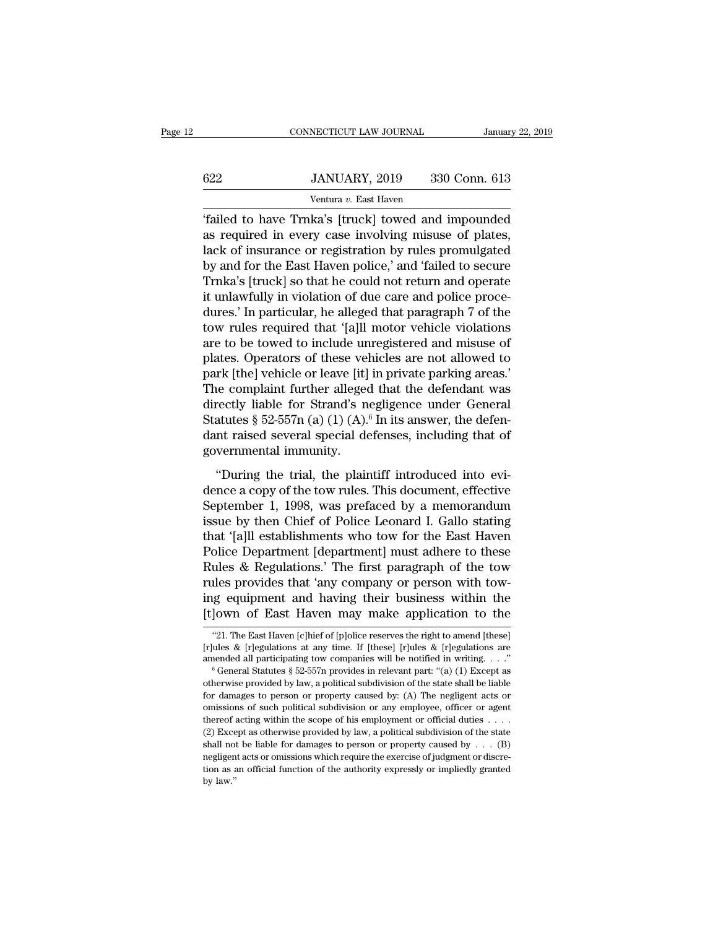|     | CONNECTICUT LAW JOURNAL                            | January 22, 2019 |
|-----|----------------------------------------------------|------------------|
| 622 |                                                    |                  |
|     | JANUARY, 2019<br>Ventura v. East Haven             | 330 Conn. 613    |
|     | failed to have Trnka's [truck] towed and impounded |                  |

CONNECTICUT LAW JOURNAL January 22, 2019<br> **EXECUTE ANTINEARY, 2019** 330 Conn. 613<br>
Ventura v. East Haven<br> **EXECUTE ASSEMENT ASSEM**<br> **EXECUTE ASSEMBED 41**<br> **EXECUTE ASSEMBED AND SET ASSEMBED ASSEMBED ASSEMBED ASSEMBED ASSEM** 622 JANUARY, 2019 330 Conn. 613<br>
Ventura v. East Haven<br>
"failed to have Trnka's [truck] towed and impounded<br>
as required in every case involving misuse of plates,<br>
lack of insurance or registration by rules promulgated<br>
by  $\frac{622}{\text{Ventura } v. \text{ East Haven}}$ <br>  $\frac{Ventura v. \text{ East Haven}}{\text{failed to have Thrka's [truck] toward and impounded}}$ <br>
as required in every case involving misuse of plates,<br>
lack of insurance or registration by rules promulgated<br>
by and for the East Haven police,' and 'failed t  $\frac{622}{\text{Ventura } v. \text{ East Haven}}$ <br>  $\frac{1}{2}$ <br>  $\frac{1}{2}$ <br>  $\frac{1}{2}$ <br>  $\frac{1}{2}$ <br>  $\frac{1}{2}$ <br>  $\frac{1}{2}$ <br>  $\frac{1}{2}$ <br>  $\frac{1}{2}$ <br>  $\frac{1}{2}$ <br>  $\frac{1}{2}$ <br>  $\frac{1}{2}$ <br>  $\frac{1}{2}$ <br>  $\frac{1}{2}$ <br>  $\frac{1}{2}$ <br>  $\frac{1}{2}$ <br>  $\frac{1}{2}$ <br>  $\frac{1}{2}$ <br>  $\frac{1}{2}$ Ventura v. East Haven<br>
"Trailed to have Trnka's [truck] towed and impounded<br>
as required in every case involving misuse of plates,<br>
lack of insurance or registration by rules promulgated<br>
by and for the East Haven police, Failed to have Trnka's [truck] towed and impounded<br>
is required in every case involving misuse of plates,<br>
lack of insurance or registration by rules promulgated<br>
by and for the East Haven police,' and 'failed to secure<br> "failed to have Trnka's [truck] towed and impounded<br>as required in every case involving misuse of plates,<br>lack of insurance or registration by rules promulgated<br>by and for the East Haven police," and "failed to secure<br>Trnk as required in every case involving misuse of plates,<br>lack of insurance or registration by rules promulgated<br>by and for the East Haven police,' and 'failed to secure<br>Trnka's [truck] so that he could not return and operate<br> lack of insurance or registration by rules promulgated<br>by and for the East Haven police,' and 'failed to secure<br>Trnka's [truck] so that he could not return and operate<br>it unlawfully in violation of due care and police proc by and for the East Haven police,' and 'failed to secure<br>Trnka's [truck] so that he could not return and operate<br>it unlawfully in violation of due care and police proce-<br>dures.' In particular, he alleged that paragraph 7 o Trnka's [truck] so that he could not return and operate<br>it unlawfully in violation of due care and police proce-<br>dures.' In particular, he alleged that paragraph 7 of the<br>tow rules required that '[a]ll motor vehicle violat it unlawfully in violation of due care and police proce-<br>dures.' In particular, he alleged that paragraph 7 of the<br>tow rules required that '[a]ll motor vehicle violations<br>are to be towed to include unregistered and misuse dures.' In particular, he alleged that paragraph 7 of the<br>tow rules required that '[a]ll motor vehicle violations<br>are to be towed to include unregistered and misuse of<br>plates. Operators of these vehicles are not allowed to tow rules required that '[a]ll motor vehicle violations<br>are to be towed to include unregistered and misuse of<br>plates. Operators of these vehicles are not allowed to<br>park [the] vehicle or leave [it] in private parking areas are to be towed to include unregistered and misuse of<br>plates. Operators of these vehicles are not allowed to<br>park [the] vehicle or leave [it] in private parking areas.'<br>The complaint further alleged that the defendant was<br> plates. Operators of these vel<br>park [the] vehicle or leave [it]<br>The complaint further alleged<br>directly liable for Strand's n<br>Statutes § 52-557n (a) (1) (A).<br>dant raised several special de<br>governmental immunity.<br>"During the the trial, the plaintiff introduced into evi-<br>
e complaint further alleged that the defendant was<br>
rectly liable for Strand's negligence under General<br>
atutes § 52-557n (a) (1) (A).<sup>6</sup> In its answer, the defen-<br>
intraised The complaint farmer analysed and the defendant of directly liable for Strand's negligence under General<br>Statutes § 52-557n (a) (1) (A).<sup>6</sup> In its answer, the defen-<br>dant raised several special defenses, including that of

Statutes § 52-557n (a) (1) (A).<sup>6</sup> In its answer, the defendant raised several special defenses, including that of governmental immunity.<br>
"During the trial, the plaintiff introduced into evidence a copy of the tow rules. dant raised several special defenses, including that of<br>dant raised several special defenses, including that of<br>governmental immunity.<br>"During the trial, the plaintiff introduced into evi-<br>dence a copy of the tow rules. T data Existed Several Special determines, therating due of<br>governmental immunity.<br>
"During the trial, the plaintiff introduced into evi-<br>
dence a copy of the tow rules. This document, effective<br>
September 1, 1998, was prefa "During the trial, the plaintiff introduced into evidence a copy of the tow rules. This document, effective September 1, 1998, was prefaced by a memorandum issue by then Chief of Police Leonard I. Gallo stating that '[a]l "During the trial, the plaintiff introduced into evi-<br>dence a copy of the tow rules. This document, effective<br>September 1, 1998, was prefaced by a memorandum<br>issue by then Chief of Police Leonard I. Gallo stating<br>that '[a] dence a copy of the tow rules. This document, effective<br>September 1, 1998, was prefaced by a memorandum<br>issue by then Chief of Police Leonard I. Gallo stating<br>that '[a]ll establishments who tow for the East Haven<br>Police De September 1, 1998, was prefaced by a memorandum<br>issue by then Chief of Police Leonard I. Gallo stating<br>that '[a]ll establishments who tow for the East Haven<br>Police Department [department] must adhere to these<br>Rules & Regul issue by then Chief of Police Leonard I. Gallo stating<br>that '[a]ll establishments who tow for the East Haven<br>Police Department [department] must adhere to these<br>Rules & Regulations.' The first paragraph of the tow<br>rules pr ules & Regulations.' The first paragraph of the tow<br>les provides that 'any company or person with tow-<br>ig equipment and having their business within the<br>lown of East Haven may make application to the<br>"21. The East Haven [c rules provides that 'any company or person with tow-<br>ing equipment and having their business within the<br>[t]own of East Haven may make application to the<br>"21. The East Haven [c]hief of [p]olice reserves the right to amend [

ing equipment and having their business within the [t]own of East Haven may make application to the "21. The East Haven [c]hief of [p]olice reserves the right to amend [these] [r]ules & [r]egulations at any time. If [thes

<sup>[1]</sup> JOWN OF EAST HAVEN MAY MAKE APPIDCATION TO The<br>
"21. The East Haven [c]hief of [p]olice reserves the right to amend [these]<br>
[r]ules & [r]egulations at any time. If [these] [r]ules & [r]egulations are<br>
amended all par "21. The East Haven [c]hief of [p]olice reserves the right to amend [these] [r]ules & [r]egulations at any time. If [these] [r]ules & [r]egulations are amended all participating tow companies will be notified in writing. 21. The Last Haven [e]nter or [p]once reserves are right to antend [these] [r]ules & [r]egulations are amended all participating tow companies will be notified in writing. . . ."<br>
<sup>6</sup> General Statutes § 52-557n provides i Thereof acting the scope of his employee, officer or agent the scope of his employee, officer and the scope of his employee, officer or agent or omissions of such political subdivision or any employee, officer or agent th <sup>6</sup> General Statutes § 52-557n provides in relevant part: "(a) (1) Except as otherwise provided by law, a political subdivision of the state shall be liable for damages to person or property caused by: (A) The negligent a otherwise provided by law, a political subdivision of the state shall be liable for damages to person or property caused by: (A) The negligent acts or omissions of such political subdivision or any employee, officer or ag for damages to person or property caused by: (A) The negligent acts or omissions of such political subdivision or any employee, officer or agent thereof acting within the scope of his employment or official duties . . . . to an original function of such political subdivision or any employee, officer or agent thereof acting within the scope of his employment or official duties . . . . (2) Except as otherwise provided by law, a political sub thereof acting within the scope of his employment or official duties  $\ldots$ .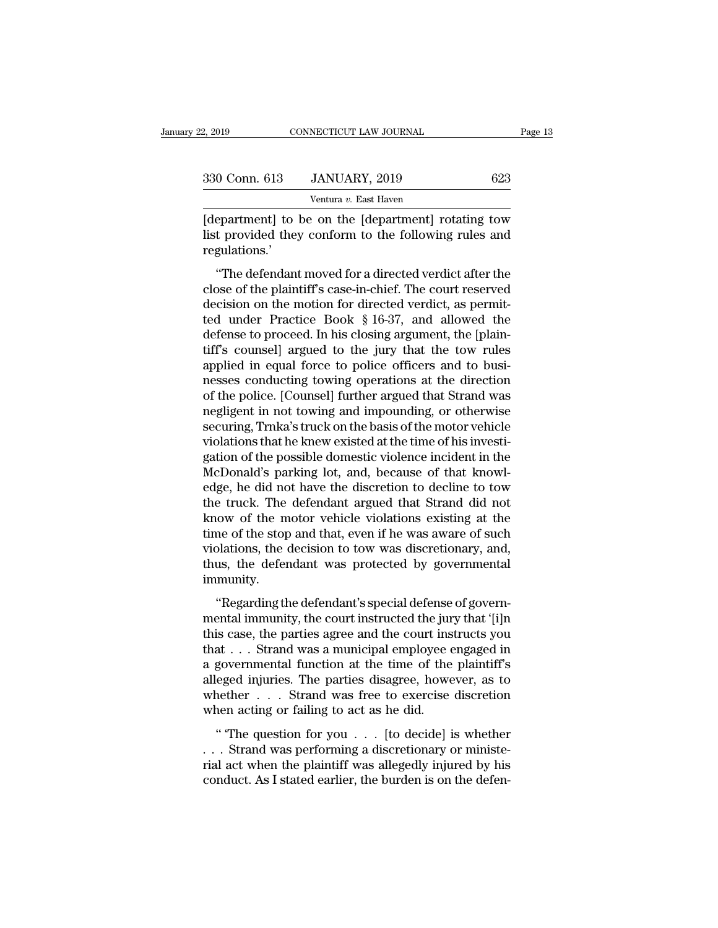| 22, 2019      | CONNECTICUT LAW JOURNAL                                                                                      |     | Page 13 |
|---------------|--------------------------------------------------------------------------------------------------------------|-----|---------|
| 330 Conn. 613 | JANUARY, 2019                                                                                                | 623 |         |
|               | Ventura v. East Haven                                                                                        |     |         |
| roquestions'  | (department) to be on the (department) rotating tow<br>list provided they conform to the following rules and |     |         |

330 Conn. 613 JANUARY, 2019 623<br>Ventura v. East Haven<br>[department] to be on the [department] rotating tow<br>list provided they conform to the following rules and<br>regulations.' regulations.'  $\frac{1}{2}$ <br>  $\frac{1}{2}$ <br>  $\frac{1}{2}$ <br>  $\frac{1}{2}$ <br>  $\frac{1}{2}$ <br>  $\frac{1}{2}$ <br>  $\frac{1}{2}$ <br>  $\frac{1}{2}$ <br>  $\frac{1}{2}$ <br>  $\frac{1}{2}$ <br>  $\frac{1}{2}$ <br>  $\frac{1}{2}$ <br>  $\frac{1}{2}$ <br>  $\frac{1}{2}$ <br>  $\frac{1}{2}$ <br>  $\frac{1}{2}$ <br>  $\frac{1}{2}$ <br>  $\frac{1}{2}$ <br>  $\frac{1}{2}$ <br>  $\frac{1}{2}$ <br>

Ventura v. East Haven<br>
[department] to be on the [department] rotating tow<br>
list provided they conform to the following rules and<br>
regulations.'<br>
"The defendant moved for a directed verdict after the<br>
close of the plainti [department] to be on the [department] rotating tow<br>list provided they conform to the following rules and<br>regulations.'<br>"The defendant moved for a directed verdict after the<br>close of the plaintiff's case-in-chief. The cour the parameter of the technomic state is provided they conform to the following rules and regulations.'<br>"The defendant moved for a directed verdict after the close of the plaintiff's case-in-chief. The court reserved decisi defendant moved for a directed verdict after the<br>close of the plaintiff's case-in-chief. The court reserved<br>decision on the motion for directed verdict, as permit-<br>ted under Practice Book § 16-37, and allowed the<br>defense t "The defendant moved for a directed verdict after the<br>close of the plaintiff's case-in-chief. The court reserved<br>decision on the motion for directed verdict, as permit-<br>ted under Practice Book  $\S 16-37$ , and allowed the<br>d "The defendant moved for a directed verdict after the close of the plaintiff's case-in-chief. The court reserved decision on the motion for directed verdict, as permitted under Practice Book  $\S$  16-37, and allowed the def close of the plaintiff's case-in-chief. The court reserved<br>decision on the motion for directed verdict, as permit-<br>ted under Practice Book § 16-37, and allowed the<br>defense to proceed. In his closing argument, the [plain-<br>t decision on the motion for directed verdict, as permit-<br>ted under Practice Book § 16-37, and allowed the<br>defense to proceed. In his closing argument, the [plain-<br>tiff's counsel] argued to the jury that the tow rules<br>applie ted under Practice Book § 16-37, and allowed the<br>defense to proceed. In his closing argument, the [plain-<br>tiff's counsel] argued to the jury that the tow rules<br>applied in equal force to police officers and to busi-<br>nesses defense to proceed. In his closing argument, the [plain-<br>tiff's counsel] argued to the jury that the tow rules<br>applied in equal force to police officers and to busi-<br>nesses conducting towing operations at the direction<br>of tiff's counsel] argued to the jury that the tow rules<br>applied in equal force to police officers and to busi-<br>nesses conducting towing operations at the direction<br>of the police. [Counsel] further argued that Strand was<br>negl applied in equal force to police officers and to businesses conducting towing operations at the direction<br>of the police. [Counsel] further argued that Strand was<br>negligent in not towing and impounding, or otherwise<br>securin nesses conducting towing operations at the direction<br>of the police. [Counsel] further argued that Strand was<br>negligent in not towing and impounding, or otherwise<br>securing, Trnka's truck on the basis of the motor vehicle<br>vi of the police. [Counsel] further argued that Strand was<br>negligent in not towing and impounding, or otherwise<br>securing, Trnka's truck on the basis of the motor vehicle<br>violations that he knew existed at the time of his inve negligent in not towing and impounding, or otherwise<br>securing, Trnka's truck on the basis of the motor vehicle<br>violations that he knew existed at the time of his investi-<br>gation of the possible domestic violence incident i securing, Trnka's truck on the basis of the motor vehicle<br>violations that he knew existed at the time of his investi-<br>gation of the possible domestic violence incident in the<br>McDonald's parking lot, and, because of that kn violations that he knew existed at the time of his investigation of the possible domestic violence incident in the McDonald's parking lot, and, because of that knowledge, he did not have the discretion to decline to tow th gation of the possible domestic violence incident in the McDonald's parking lot, and, because of that knowledge, he did not have the discretion to decline to tow the truck. The defendant argued that Strand did not know of McDonald's parking lot, and, because of that knowledge, he did not have the discretion to decline to tow the truck. The defendant argued that Strand did not know of the motor vehicle violations existing at the time of the immunity. ow of the motor vehicle violations existing at the<br>
me of the stop and that, even if he was aware of such<br>
blations, the decision to tow was discretionary, and,<br>
us, the defendant was protected by governmental<br>
munity.<br>
"R mental immunity, the court instructed the jury that increases the violations, the decision to tow was discretionary, and, thus, the defendant was protected by governmental immunity.<br>
"Regarding the defendant's special defe

Find the step and that, even if it was about the step violations, the decision to tow was discretionary, and, thus, the defendant was protected by governmental immunity.<br>
"Regarding the defendant's special defense of gove thus, the defendant was protected by governmental<br>immunity.<br>"Regarding the defendant's special defense of governmental immunity, the court instructed the jury that '[i]n<br>this case, the parties agree and the court instruct in<br>
immunity.<br>
"Regarding the defendant's special defense of governmental immunity, the court instructed the jury that '[i]n<br>
this case, the parties agree and the court instructs you<br>
that . . . Strand was a municipal empl "Regarding the defendant's special defense of governmental immunity, the court instructed the jury that '[i]n this case, the parties agree and the court instructs you that  $\ldots$  Strand was a municipal employee engaged in "Regarding the defendant's special defense of govern-<br>mental immunity, the court instructed the jury that '[i]n<br>this case, the parties agree and the court instructs you<br>that . . . Strand was a municipal employee engaged i mental immunity, the court instructed the jure<br>this case, the parties agree and the court ins<br>that . . . Strand was a municipal employee  $\epsilon$ <br>a governmental function at the time of the<br>alleged injuries. The parties disagr as ease, are paracs agree and are coard instances you at . . . Strand was a municipal employee engaged in governmental function at the time of the plaintiff's eged injuries. The parties disagree, however, as to nether  $\dots$ a governmental function at the time of the plaintiff's<br>alleged injuries. The parties disagree, however, as to<br>whether  $\dots$  Strand was free to exercise discretion<br>when acting or failing to act as he did.<br>"The question for

alleged injuries. The parties disagree, however, as to whether . . . Strand was free to exercise discretion when acting or failing to act as he did. "The question for you . . . [to decide] is whether . . . Strand was perfo Example 2. The parties and give, nowever, as to whether  $\ldots$ . Strand was free to exercise discretion when acting or failing to act as he did.<br>
"The question for you  $\ldots$  [to decide] is whether  $\ldots$  Strand was performin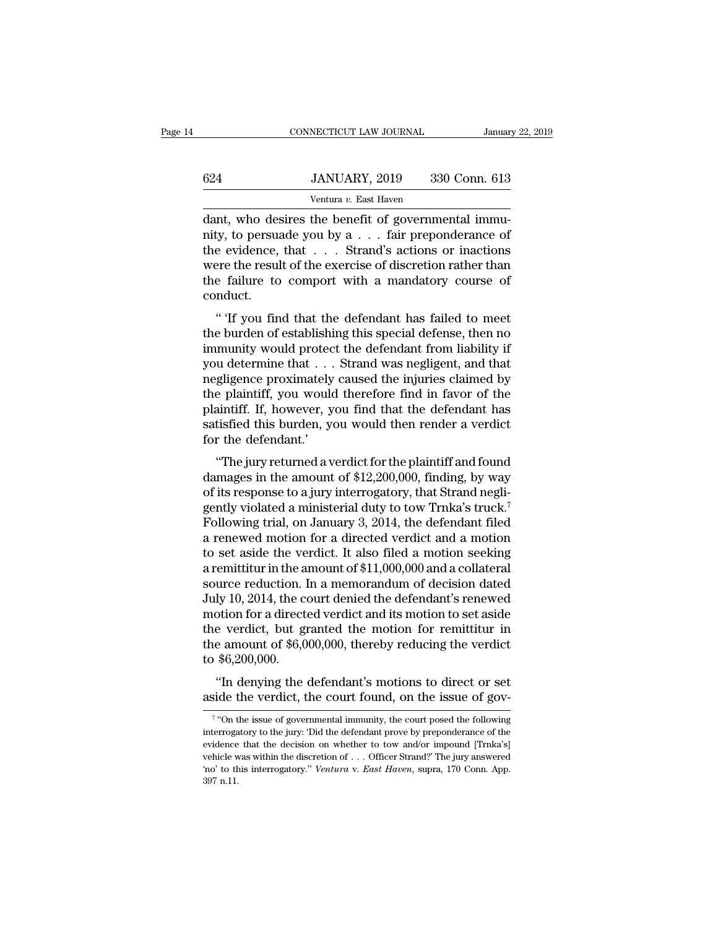## EXECUTE CONNECTICUT LAW JOURNAL January 22, 2019<br> **624** JANUARY, 2019 330 Conn. 613<br>
Ventura v. East Haven NECTICUT LAW JOURNAL<br>JANUARY, 2019 330<br>Ventura *v.* East Haven<br>the benefit of government

CONNECTICUT LAW JOURNAL<br>
G24 JANUARY, 2019 330 Conn. 613<br>
Ventura v. East Haven<br>
dant, who desires the benefit of governmental immu-<br>
mity, to persuade you by a . . . fair preponderance of<br>
the gydenge that  $\frac{624}{\text{Ventura } v. \text{ East Haven}}$ <br>  $\frac{1}{\text{Antuar } v. \text{ East Haven}}$ <br>  $\frac{1}{\text{dant}}$ , who desires the benefit of governmental immunity, to persuade you by a . . . fair preponderance of the evidence, that . . . Strand's actions or inactions we  $\frac{624}{\text{Ventura } v. \text{ East Haven}}$ <br>  $\frac{Ventura v. \text{ East Haven}}{\text{dant, who desires the benefit of governmental immunity, to persuade you by a . . . fair preponderance of the evidence, that . . . Strand's actions or inactions were the result of the exercise of discretion rather than the failure to comport with a mandatory course of$  $\frac{624}{\text{Ventura } v. \text{ East Haven}}$ <br>
Ventura  $v. \text{ East Haven}}$ <br>
dant, who desires the benefit of governmental immunity, to persuade you by a . . . fair preponderance of<br>
the evidence, that . . . Strand's actions or inactions<br>
were the resu Ventura v. East Haven<br>
dant, who desires the benefit of governmental immu-<br>
nity, to persuade you by a . . . fair preponderance of<br>
the evidence, that . . . Strand's actions or inactions<br>
were the result of the exercise o conduct. Find, who desires the benefit of governmental minimatry, to persuade you by a  $\dots$  fair preponderance of  $e$  evidence, that  $\dots$ . Strand's actions or inactions ere the result of the exercise of discretion rather than  $e$  the evidence, that  $\ldots$  Strand's actions or inactions<br>were the result of the exercise of discretion rather than<br>the failure to comport with a mandatory course of<br>conduct.<br>"If you find that the defendant has failed to mee

For evolutions, that  $\cdot \cdot \cdot$  is straight sections of matrions<br>were the result of the exercise of discretion rather than<br>the failure to comport with a mandatory course of<br>conduct.<br>" If you find that the defendant has fail were the result of the exercise of uscretion rather than<br>the failure to comport with a mandatory course of<br>conduct.<br>" If you find that the defendant has failed to meet<br>the burden of establishing this special defense, then nee langue to comport what a manuatory course of<br>conduct.<br>"<br>"If you find that the defendant has failed to meet<br>the burden of establishing this special defense, then no<br>immunity would protect the defendant from liability if " If you find that the defendant has failed to meet<br>the burden of establishing this special defense, then no<br>immunity would protect the defendant from liability if<br>you determine that  $\dots$  Strand was negligent, and that<br>ne " If you find that the defendant has failed to meet<br>the burden of establishing this special defense, then no<br>immunity would protect the defendant from liability if<br>you determine that  $\dots$  Strand was negligent, and that<br>ne the burden of establishing this special defense, then no<br>immunity would protect the defendant from liability if<br>you determine that  $\dots$  Strand was negligent, and that<br>negligence proximately caused the injuries claimed by<br> immunity would protec<br>you determine that . . .<br>negligence proximately<br>the plaintiff, you would<br>plaintiff. If, however, y<br>satisfied this burden, y<br>for the defendant.'<br>"The jury returned a v of determine that  $\cdot \cdot \cdot$  Strand was negligent, and that gligence proximately caused the injuries claimed by<br>e plaintiff, you would therefore find in favor of the<br>aintiff. If, however, you find that the defendant has<br>tisf depended proximately caused the highles claimed by<br>the plaintiff, you would therefore find in favor of the<br>plaintiff. If, however, you find that the defendant has<br>satisfied this burden, you would then render a verdict<br>for

of the plaintiff. If, however, you find that the defendant has<br>satisfied this burden, you would then render a verdict<br>for the defendant.'<br>"The jury returned a verdict for the plaintiff and found<br>damages in the amount of \$1 plantin. It, nowever, you find that the defendant has<br>satisfied this burden, you would then render a verdict<br>for the defendant.'<br>"The jury returned a verdict for the plaintiff and found<br>damages in the amount of \$12,200,000 saished this butden, you would then render a vertict<br>for the defendant.'<br>"The jury returned a verdict for the plaintiff and found<br>damages in the amount of \$12,200,000, finding, by way<br>of its response to a jury interrogator "The jury returned a verdict for the plaintiff and found<br>damages in the amount of \$12,200,000, finding, by way<br>of its response to a jury interrogatory, that Strand negli-<br>gently violated a ministerial duty to tow Trnka's "The jury returned a verdict for the plaintiff and found<br>damages in the amount of \$12,200,000, finding, by way<br>of its response to a jury interrogatory, that Strand negli-<br>gently violated a ministerial duty to tow Trnka's damages in the amount of \$12,200,000, finding, by way<br>of its response to a jury interrogatory, that Strand negli-<br>gently violated a ministerial duty to tow Trnka's truck.<sup>7</sup><br>Following trial, on January 3, 2014, the defend of its response to a jury interrogatory, that Strand negligently violated a ministerial duty to tow Trnka's truck.<sup>7</sup><br>Following trial, on January 3, 2014, the defendant filed<br>a renewed motion for a directed verdict and a m gently violated a ministerial duty to tow Trnka's truck.<sup>7</sup><br>Following trial, on January 3, 2014, the defendant filed<br>a renewed motion for a directed verdict and a motion<br>to set aside the verdict. It also filed a motion see Following trial, on January 3, 2014, the defendant filed<br>a renewed motion for a directed verdict and a motion<br>to set aside the verdict. It also filed a motion seeking<br>a remittitur in the amount of \$11,000,000 and a collat a renewed motion for a directed verdict and a motion<br>to set aside the verdict. It also filed a motion seeking<br>a remittitur in the amount of \$11,000,000 and a collateral<br>source reduction. In a memorandum of decision dated<br>J to set aside the verdict. It also filed a motion seeking<br>a remittitur in the amount of  $$11,000,000$  and a collateral<br>source reduction. In a memorandum of decision dated<br>July 10, 2014, the court denied the defendant's ren a remittitur in the a<br>source reduction. 1<br>July 10, 2014, the co<br>motion for a direct<br>the verdict, but gi<br>the amount of \$6,0<br>to \$6,200,000.<br>"In denying the ly 10, 2014, the court denied the defendant's renewed<br>by 10, 2014, the court denied the defendant's renewed<br>botion for a directed verdict and its motion to set aside<br>e verdict, but granted the motion for remittitur in<br>e am as in the verdict, the court defined the detendant is reflewed motion for a directed verdict and its motion to set aside the verdict, but granted the motion for remittitur in the amount of \$6,000,000, thereby reducing the

\$6,200,000.<br>
"In denying the defendant's motions to direct or set<br>
ide the verdict, the court found, on the issue of gov-<br>
"On the issue of governmental immunity, the court posed the following<br>
progatory to the jury: Did t

 $7$  "On ti <sup>1</sup> The defendant's motions to direct or set aside the verdict, the court found, on the issue of governmental immunity, the court posed the following interrogatory to the jury: 'Did the defendant prove by preponderance of "In denying the defendant's motions to direct or set aside the verdict, the court found, on the issue of governmental impound, on the issue of governmental immunity, the court posed the following interrogatory to the jury aside the verdict, the court found, on the issue of gov-<br>
<sup>7</sup> "On the issue of governmental immunity, the court posed the following<br>
interrogatory to the jury: Did the defendant prove by preponderance of the<br>
evidence tha <sup>7</sup> "On the issue of governmental immunity, the court posed the following interrogatory to the jury: 'Did the defendant prove by preponderance of the evidence that the decision on whether to tow and/or impound [Trnka's] ve interrogatory to the jury: 'Did the defendant prove by preponderance of the evidence that the decision on whether to tow and/or impound [Trnka's] vehicle was within the discretion of . . . Officer Strand?' The jury answer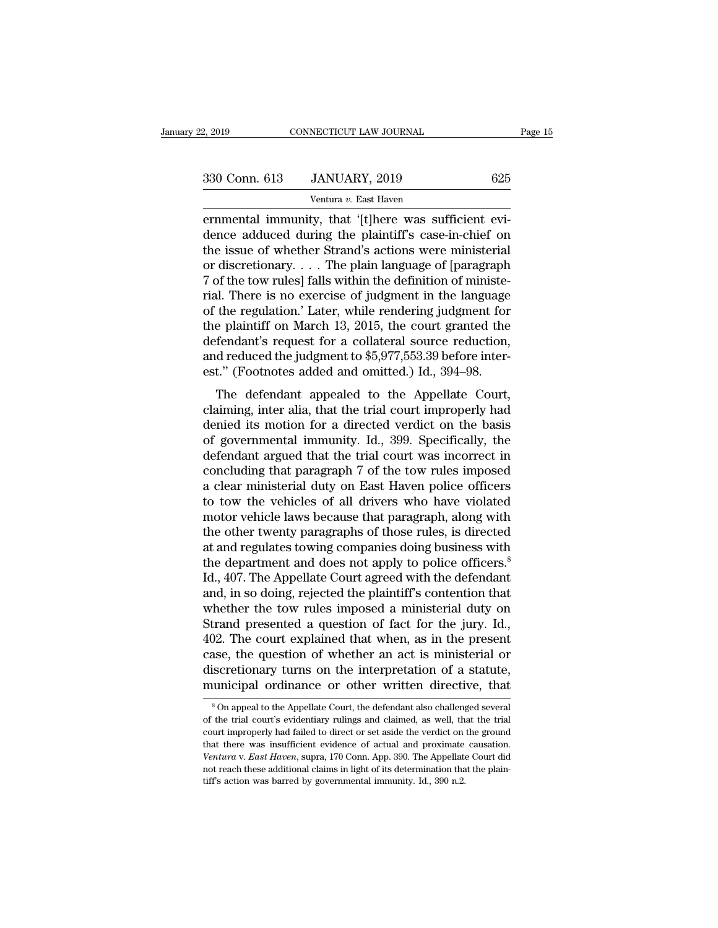| 2, 2019       | CONNECTICUT LAW JOURNAL                              | Page 15 |
|---------------|------------------------------------------------------|---------|
| 330 Conn. 613 | JANUARY, 2019                                        | 625     |
|               | Ventura v. East Haven                                |         |
|               | ernmental immunity that 'Itlhere was sufficient evi- |         |

ernmental immunity, that '[t]here was sufficient evi-<br>that immunity, that '[t]here was sufficient evi-<br>dence adduced during the plaintiff's case-in-chief on<br>the issue of whother Strand's actions were ministerial 330 Conn. 613 JANUARY, 2019 625<br>
Ventura v. East Haven<br>
ernmental immunity, that '[t]here was sufficient evi-<br>
dence adduced during the plaintiff's case-in-chief on<br>
the issue of whether Strand's actions were ministerial<br> 330 Conn. 613 JANUARY, 2019 625<br>
Ventura v. East Haven<br>
ernmental immunity, that '[t]here was sufficient evidence adduced during the plaintiff's case-in-chief on<br>
the issue of whether Strand's actions were ministerial<br>
or 330 Conn. 613 JANUARY, 2019 625<br>
Ventura v. East Haven<br>
ernmental immunity, that '[t]here was sufficient evi-<br>
dence adduced during the plaintiff's case-in-chief on<br>
the issue of whether Strand's actions were ministerial<br> Ventura v. East Haven<br>
Framental immunity, that '[t]here was sufficient evi-<br>
dence adduced during the plaintiff's case-in-chief on<br>
the issue of whether Strand's actions were ministerial<br>
or discretionary.... The plain l ventura v. East Haven<br>
ernmental immunity, that '[t]here was sufficient evi-<br>
dence adduced during the plaintiff's case-in-chief on<br>
the issue of whether Strand's actions were ministerial<br>
or discretionary.... The plain l ernmental immunity, that '[t]here was sufficient evidence adduced during the plaintiff's case-in-chief on<br>the issue of whether Strand's actions were ministerial<br>or discretionary.... The plain language of [paragraph<br>7 of th dence adduced during the plaintiff's case-in-chief on<br>the issue of whether Strand's actions were ministerial<br>or discretionary.... The plain language of [paragraph<br>7 of the tow rules] falls within the definition of ministe the issue of whether Strand's actions were ministerial<br>or discretionary.... The plain language of [paragraph<br>7 of the tow rules] falls within the definition of ministe-<br>rial. There is no exercise of judgment in the langua or discretionary.... The plain language of [paragraph 7 of the tow rules] falls within the definition of ministe-<br>rial. There is no exercise of judgment in the language<br>of the regulation.' Later, while rendering judgment 7 of the tow rules] falls within the definition of ministe-<br>rial. There is no exercise of judgment in the language<br>of the regulation.' Later, while rendering judgment for<br>the plaintiff on March 13, 2015, the court granted a. There is no exercise of judgment in the language<br>the regulation.' Later, while rendering judgment for<br>e plaintiff on March 13, 2015, the court granted the<br>fendant's request for a collateral source reduction,<br>d reduced t of the plaintiff on March 13, 2015, the court granted the<br>defendant's request for a collateral source reduction,<br>and reduced the judgment to  $$5,977,553.39$  before inter-<br>est." (Footnotes added and omitted.) Id., 394–98.<br>

defendant's request for a collateral source reduction,<br>and reduced the judgment to \$5,977,553.39 before inter-<br>est." (Footnotes added and omitted.) Id., 394–98.<br>The defendant appealed to the Appellate Court,<br>claiming, inte detendant s request for a conateral solitic reduction,<br>and reduced the judgment to \$5,977,553.39 before inter-<br>est." (Footnotes added and omitted.) Id., 394–98.<br>The defendant appealed to the Appellate Court,<br>claiming, inte and reduced the judgment to  $\psi$ <sub>2</sub>,  $\psi$ <sub>1</sub>,  $\psi$ 35.55 before interest." (Footnotes added and omitted.) Id., 394–98.<br>The defendant appealed to the Appellate Court, claiming, inter alia, that the trial court improperly ha The defendant appealed to the Appellate Court,<br>claiming, inter alia, that the trial court improperly had<br>denied its motion for a directed verdict on the basis<br>of governmental immunity. Id., 399. Specifically, the<br>defendan The defendant appealed to the Appellate Court,<br>claiming, inter alia, that the trial court improperly had<br>denied its motion for a directed verdict on the basis<br>of governmental immunity. Id., 399. Specifically, the<br>defendant claiming, inter alia, that the trial court improperly had<br>denied its motion for a directed verdict on the basis<br>of governmental immunity. Id., 399. Specifically, the<br>defendant argued that the trial court was incorrect in<br>c denied its motion for a directed verdict on the basis<br>of governmental immunity. Id., 399. Specifically, the<br>defendant argued that the trial court was incorrect in<br>concluding that paragraph 7 of the tow rules imposed<br>a clea of governmental immunity. Id., 399. Specifically, the<br>defendant argued that the trial court was incorrect in<br>concluding that paragraph 7 of the tow rules imposed<br>a clear ministerial duty on East Haven police officers<br>to to defendant argued that the trial court was incorrect in<br>concluding that paragraph 7 of the tow rules imposed<br>a clear ministerial duty on East Haven police officers<br>to tow the vehicles of all drivers who have violated<br>motor concluding that paragraph 7 of the tow rules imposed<br>a clear ministerial duty on East Haven police officers<br>to tow the vehicles of all drivers who have violated<br>motor vehicle laws because that paragraph, along with<br>the oth a clear ministerial duty on East Haven police officers<br>to tow the vehicles of all drivers who have violated<br>motor vehicle laws because that paragraph, along with<br>the other twenty paragraphs of those rules, is directed<br>at a to tow the vehicles of all drivers who have violated<br>motor vehicle laws because that paragraph, along with<br>the other twenty paragraphs of those rules, is directed<br>at and regulates towing companies doing business with<br>the d motor vehicle laws because that paragraph, along with<br>the other twenty paragraphs of those rules, is directed<br>at and regulates towing companies doing business with<br>the department and does not apply to police officers.<sup>8</sup><br>I the other twenty paragraphs of those rules, is directed<br>at and regulates towing companies doing business with<br>the department and does not apply to police officers.<sup>8</sup><br>Id., 407. The Appellate Court agreed with the defendant at and regulates towing companies doing business with<br>the department and does not apply to police officers.<sup>8</sup><br>Id., 407. The Appellate Court agreed with the defendant<br>and, in so doing, rejected the plaintiff's contention t the department and does not apply to police officers.<sup>8</sup><br>Id., 407. The Appellate Court agreed with the defendant<br>and, in so doing, rejected the plaintiff's contention that<br>whether the tow rules imposed a ministerial duty o Id., 407. The Appellate Court agreed with the defendant<br>and, in so doing, rejected the plaintiff's contention that<br>whether the tow rules imposed a ministerial duty on<br>Strand presented a question of fact for the jury. Id.,<br> and, in so doing, rejected the plaintiff's contention that<br>whether the tow rules imposed a ministerial duty on<br>Strand presented a question of fact for the jury. Id.,<br>402. The court explained that when, as in the present<br>c 92. The court explained that when, as in the present<br>ase, the question of whether an act is ministerial or<br>iscretionary turns on the interpretation of a statute,<br>unicipal ordinance or other written directive, that<br> ${}^8$ On case, the question of whether an act is ministerial or discretionary turns on the interpretation of a statute, municipal ordinance or other written directive, that  $8$ On appeal to the Appellate Court, the defendant also c

discretionary turns on the interpretation of a statute,<br>municipal ordinance or other written directive, that<br><sup>8</sup>On appeal to the Appellate Court, the defendant also challenged several<br>of the trial court's evidentiary rulin municipal ordinance or other written directive, that<br><sup>8</sup>On appeal to the Appellate Court, the defendant also challenged several<br>of the trial court's evidentiary rulings and claimed, as well, that the trial<br>court improperly <sup>8</sup> On appeal to the Appellate Court, the defendant also challenged several<br><sup>8</sup> On appeal to the Appellate Court, the defendant also challenged several<br>of the trial court's evidentiary rulings and claimed, as well, that th <sup>8</sup> On appeal to the Appellate Court, the defendant also challenged several of the trial court's evidentiary rulings and claimed, as well, that the trial court improperly had failed to direct or set aside the verdict on t of the trial court's evidentiary rulings and claimed, as well, that the trial court improperly had failed to direct or set aside the verdict on the ground that there was insufficient evidence of actual and proximate causa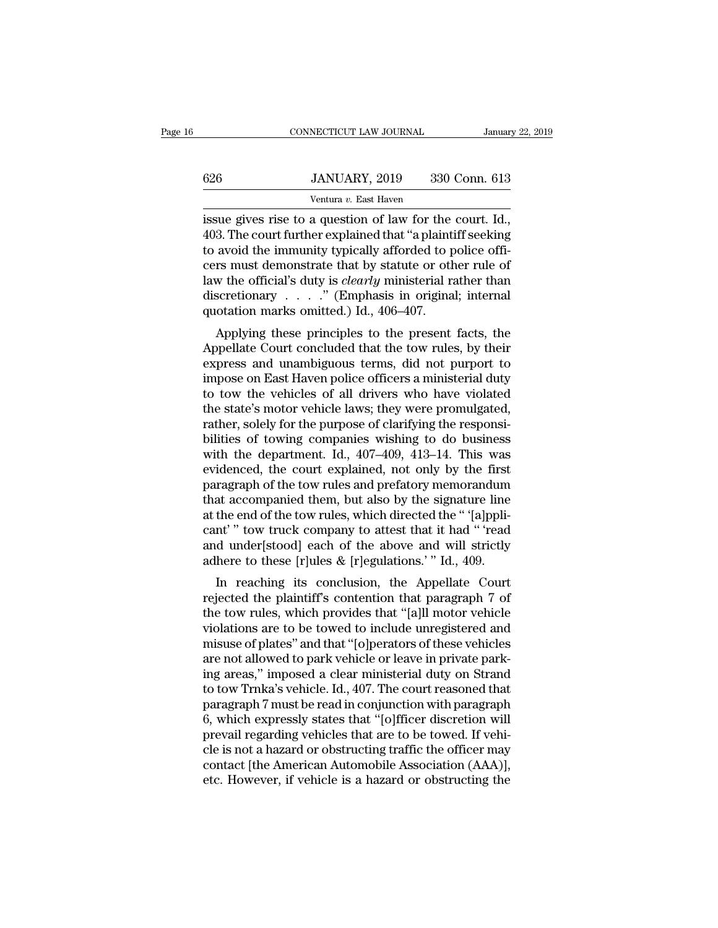|     | CONNECTICUT LAW JOURNAL                                 | January 22, 2019 |
|-----|---------------------------------------------------------|------------------|
|     |                                                         |                  |
| 626 | JANUARY, 2019                                           | 330 Conn. 613    |
|     | Ventura v. East Haven                                   |                  |
|     | issue gives rise to a question of law for the court. Id |                  |

CONNECTICUT LAW JOURNAL January 22, 2<br>
626 JANUARY, 2019 330 Conn. 613<br>
Ventura v. East Haven<br>
issue gives rise to a question of law for the court. Id.,<br>
403. The court further explained that "a plaintiff seeking<br>
to avoid 403. The court further explained that 's plaintiff seeking<br>
403. The court further explained that ''a plaintiff seeking<br>
403. The court further explained that ''a plaintiff seeking<br>
403. The court further explained that '' 626 JANUARY, 2019 330 Conn. 613<br>
Ventura v. East Haven<br>
issue gives rise to a question of law for the court. Id.,<br>
403. The court further explained that "a plaintiff seeking<br>
to avoid the immunity typically afforded to po 626 JANUARY, 2019 330 Conn. 613<br>
Ventura v. East Haven<br>
issue gives rise to a question of law for the court. Id.,<br>
403. The court further explained that "a plaintiff seeking<br>
to avoid the immunity typically afforded to po Ventura *v*. East Haven<br>
issue gives rise to a question of law for the court. Id.,<br>
403. The court further explained that "a plaintiff seeking<br>
to avoid the immunity typically afforded to police offi-<br>
cers must demonstrat Ventura v. East Haven<br>issue gives rise to a question of law for the court. Id.,<br>403. The court further explained that "a plaintiff seeking<br>to avoid the immunity typically afforded to police offi-<br>cers must demonstrate tha issue gives rise to a question of law for the 403. The court further explained that "a plaint<br>to avoid the immunity typically afforded to p<br>cers must demonstrate that by statute or oth<br>law the official's duty is *clearly* 3. The court number explained that a plaintiff seeking<br>avoid the immunity typically afforded to police offi-<br>rs must demonstrate that by statute or other rule of<br>w the official's duty is *clearly* ministerial rather than<br> to avoid the infinitity typically arroteed to police officers<br>cers must demonstrate that by statute or other rule of<br>law the official's duty is *clearly* ministerial rather than<br>discretionary  $\ldots$ ." (Emphasis in original

Law the official's duty is *clearly* ministerial rather than<br>discretionary  $\ldots$ ." (Emphasis in original; internal<br>quotation marks omitted.) Id., 406–407.<br>Applying these principles to the present facts, the<br>Appellate Cour Example 12. The method is considered in the discretionary  $\ldots$ ." (Emphasis in original; internal quotation marks omitted.) Id., 406–407.<br>Applying these principles to the present facts, the Appellate Court concluded that discretionary  $\ldots$  (Emphasis in original, internation marks omitted.) Id., 406–407.<br>Applying these principles to the present facts, the<br>Appellate Court concluded that the tow rules, by their<br>express and unambiguous terms quotation marks omitted.) id., 400–407.<br>Applying these principles to the present facts, the<br>Appellate Court concluded that the tow rules, by their<br>express and unambiguous terms, did not purport to<br>impose on East Haven poli Applying these principles to the present facts, the<br>Appellate Court concluded that the tow rules, by their<br>express and unambiguous terms, did not purport to<br>impose on East Haven police officers a ministerial duty<br>to tow t Appellate Court concluded that the tow rules, by their<br>express and unambiguous terms, did not purport to<br>impose on East Haven police officers a ministerial duty<br>to tow the vehicles of all drivers who have violated<br>the stat express and unambiguous terms, did not purport to<br>impose on East Haven police officers a ministerial duty<br>to tow the vehicles of all drivers who have violated<br>the state's motor vehicle laws; they were promulgated,<br>rather, impose on East Haven police officers a ministerial duty<br>to tow the vehicles of all drivers who have violated<br>the state's motor vehicle laws; they were promulgated,<br>rather, solely for the purpose of clarifying the responsito tow the vehicles of all drivers who have violated<br>the state's motor vehicle laws; they were promulgated,<br>rather, solely for the purpose of clarifying the responsi-<br>bilities of towing companies wishing to do business<br>wit the state's motor vehicle laws; they were promulgated,<br>rather, solely for the purpose of clarifying the responsi-<br>bilities of towing companies wishing to do business<br>with the department. Id., 407–409, 413–14. This was<br>evid rather, solely for the purpose of clarifying the responsi-<br>bilities of towing companies wishing to do business<br>with the department. Id., 407–409, 413–14. This was<br>evidenced, the court explained, not only by the first<br>parag bilities of towing companies wishing to do business<br>with the department. Id., 407–409, 413–14. This was<br>evidenced, the court explained, not only by the first<br>paragraph of the tow rules and prefatory memorandum<br>that accompa with the department. Id., 407–409, 413–14. This was<br>evidenced, the court explained, not only by the first<br>paragraph of the tow rules and prefatory memorandum<br>that accompanied them, but also by the signature line<br>at the end evidenced, the court explained, not only by the first<br>paragraph of the tow rules and prefatory memorandum<br>that accompanied them, but also by the signature line<br>at the end of the tow rules, which directed the " '[a]ppli-<br>ca ragraph of the tow rules and prelatory inemorandum<br>at accompanied them, but also by the signature line<br>the end of the tow rules, which directed the " '[a]ppli-<br>nt' " tow truck company to attest that it had " 'read<br>d under[ reflat the end of the tow rules, which directed the " '[a]pplicant' " tow truck company to attest that it had " 'read and under[stood] each of the above and will strictly adhere to these [r]ules & [r]egulations.' " Id., 40

at the end of the tow rules, which directed the lapporecant'" tow truck company to attest that it had "'read and under[stood] each of the above and will strictly adhere to these [r]ules & [r]egulations.'" Id., 409.<br>In reac cant " tow truck company to attest that it had " read<br>and under[stood] each of the above and will strictly<br>adhere to these [r]ules & [r]egulations.'" Id., 409.<br>In reaching its conclusion, the Appellate Court<br>rejected the p and under stood each of the above and win strictly<br>adhere to these [r]ules & [r]egulations.'" Id., 409.<br>In reaching its conclusion, the Appellate Court<br>rejected the plaintiff's contention that paragraph 7 of<br>the tow rules, at a reaching its conclusion, the Appellate Court<br>rejected the plaintiff's contention that paragraph 7 of<br>the tow rules, which provides that "[a]ll motor vehicle<br>violations are to be towed to include unregistered and<br>misu In reaching its conclusion, the Appellate Court<br>rejected the plaintiff's contention that paragraph 7 of<br>the tow rules, which provides that "[a]ll motor vehicle<br>violations are to be towed to include unregistered and<br>misuse rejected the plaintiff's contention that paragraph 7 of<br>the tow rules, which provides that "[a]ll motor vehicle<br>violations are to be towed to include unregistered and<br>misuse of plates" and that "[o]perators of these vehicl the tow rules, which provides that "[a]ll motor vehicle<br>violations are to be towed to include unregistered and<br>misuse of plates" and that "[o]perators of these vehicles<br>are not allowed to park vehicle or leave in private p violations are to be towed to include unregistered and<br>misuse of plates" and that "[o]perators of these vehicles<br>are not allowed to park vehicle or leave in private park-<br>ing areas," imposed a clear ministerial duty on Str misuse of plates" and that "[o]perators of these vehicles<br>are not allowed to park vehicle or leave in private park-<br>ing areas," imposed a clear ministerial duty on Strand<br>to tow Trnka's vehicle. Id., 407. The court reasone are not allowed to park vehicle or leave in private parking areas," imposed a clear ministerial duty on Strand<br>to tow Trnka's vehicle. Id., 407. The court reasoned that<br>paragraph 7 must be read in conjunction with paragrap ing areas," imposed a clear ministerial duty on Strand<br>to tow Trnka's vehicle. Id., 407. The court reasoned that<br>paragraph 7 must be read in conjunction with paragraph<br>6, which expressly states that "[o]fficer discretion w to tow Trnka's vehicle. Id., 407. The court reasoned that paragraph 7 must be read in conjunction with paragraph 6, which expressly states that "[o]fficer discretion will prevail regarding vehicles that are to be towed. If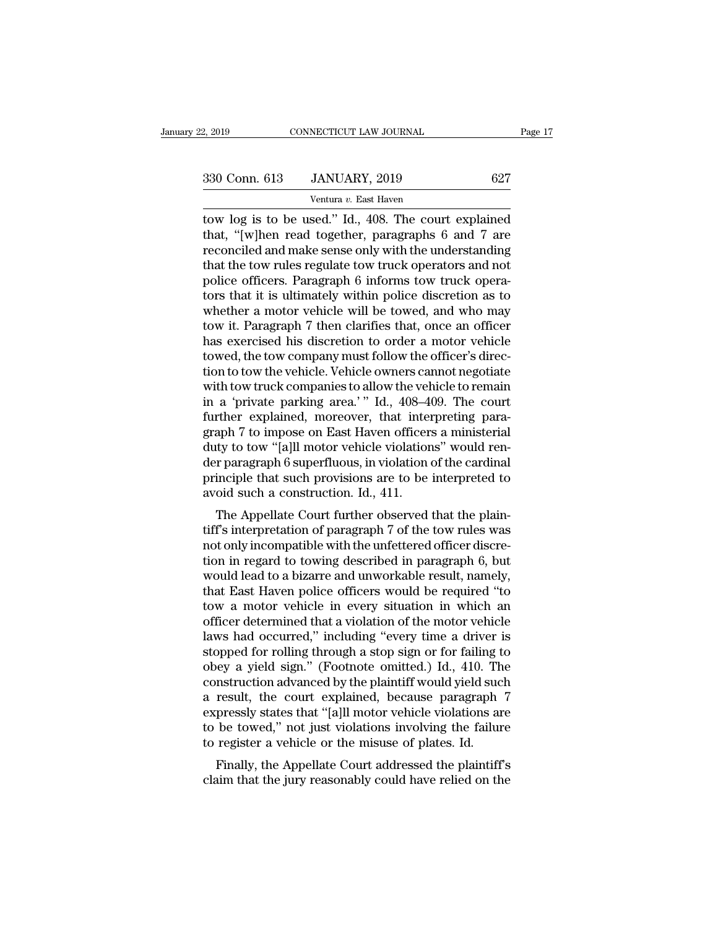| 2, 2019       | CONNECTICUT LAW JOURNAL                             |     | Page 17 |
|---------------|-----------------------------------------------------|-----|---------|
|               |                                                     |     |         |
| 330 Conn. 613 | JANUARY, 2019                                       | 627 |         |
|               | Ventura v. East Haven                               |     |         |
|               | tow log is to be used " Id 408. The court explained |     |         |

2, 2019 CONNECTICUT LAW JOURNAL Page 17<br>
330 Conn. 613 JANUARY, 2019 627<br>
Ventura v. East Haven<br>
tow log is to be used.'' Id., 408. The court explained<br>
that, "[w]hen read together, paragraphs 6 and 7 are<br>
reconciled and m 330 Conn. 613 JANUARY, 2019 627<br>
Ventura v. East Haven<br>
tow log is to be used." Id., 408. The court explained<br>
that, "[w]hen read together, paragraphs 6 and 7 are<br>
reconciled and make sense only with the understanding<br>
tha 330 Conn. 613 JANUARY, 2019 627<br>
Ventura v. East Haven<br>
tow log is to be used." Id., 408. The court explained<br>
that, "[w]hen read together, paragraphs 6 and 7 are<br>
reconciled and make sense only with the understanding<br>
th 330 Conn. 613 JANUARY, 2019 627<br>
Ventura v. East Haven<br>
tow log is to be used." Id., 408. The court explained<br>
that, "[w]hen read together, paragraphs 6 and 7 are<br>
reconciled and make sense only with the understanding<br>
th Ventura v. East Haven<br>tow log is to be used." Id., 408. The court explained<br>that, "[w]hen read together, paragraphs 6 and 7 are<br>reconciled and make sense only with the understanding<br>that the tow rules regulate tow truck o Ventura v. East Haven<br>tow log is to be used." Id., 408. The court explained<br>that, "[w]hen read together, paragraphs 6 and 7 are<br>reconciled and make sense only with the understanding<br>that the tow rules regulate tow truck o tow log is to be used." Id., 408. The court explained<br>that, "[w]hen read together, paragraphs 6 and 7 are<br>reconciled and make sense only with the understanding<br>that the tow rules regulate tow truck operators and not<br>police that, "[w]hen read together, paragraphs 6 and 7 are<br>reconciled and make sense only with the understanding<br>that the tow rules regulate tow truck operators and not<br>police officers. Paragraph 6 informs tow truck opera-<br>tors t reconciled and make sense only with the understanding<br>that the tow rules regulate tow truck operators and not<br>police officers. Paragraph 6 informs tow truck opera-<br>tors that it is ultimately within police discretion as to<br> that the tow rules regulate tow truck operators and not police officers. Paragraph 6 informs tow truck operators that it is ultimately within police discretion as to whether a motor vehicle will be towed, and who may tow i police officers. Paragraph 6 informs tow truck operators that it is ultimately within police discretion as to whether a motor vehicle will be towed, and who may tow it. Paragraph 7 then clarifies that, once an officer has tors that it is ultimately within police discretion as to whether a motor vehicle will be towed, and who may<br>tow it. Paragraph 7 then clarifies that, once an officer<br>has exercised his discretion to order a motor vehicle<br>to whether a motor vehicle will be towed, and who may<br>tow it. Paragraph 7 then clarifies that, once an officer<br>has exercised his discretion to order a motor vehicle<br>towed, the tow company must follow the officer's direc-<br>tion tow it. Paragraph 7 then clarifies that, once an officer<br>has exercised his discretion to order a motor vehicle<br>towed, the tow company must follow the officer's direc-<br>tion to tow the vehicle. Vehicle owners cannot negotiat has exercised his discretion to order a motor vehicle<br>towed, the tow company must follow the officer's direc-<br>tion to tow the vehicle. Vehicle owners cannot negotiate<br>with tow truck companies to allow the vehicle to remain towed, the tow company must follow the officer's direction to tow the vehicle. Vehicle owners cannot negotiate with tow truck companies to allow the vehicle to remain in a 'private parking area.' " Id., 408–409. The court tion to tow the vehicle. Vehicle owners cannot negotiate<br>with tow truck companies to allow the vehicle to remain<br>in a 'private parking area.' " Id., 408–409. The court<br>further explained, moreover, that interpreting para-<br>g with tow truck companies to allow the vehicle to remain<br>in a 'private parking area.' " Id., 408–409. The court<br>further explained, moreover, that interpreting para-<br>graph 7 to impose on East Haven officers a ministerial<br>dut in a 'private parking area.'" Id., 408–4<br>further explained, moreover, that inter<br>graph 7 to impose on East Haven officer<br>duty to tow "[a]ll motor vehicle violation<br>der paragraph 6 superfluous, in violation<br>principle that s Fuller explained, individual interpreting para-<br>aph 7 to impose on East Haven officers a ministerial<br>ty to tow "[a]ll motor vehicle violations" would ren-<br>r paragraph 6 superfluous, in violation of the cardinal<br>inciple tha graph 7 to mipose on East Haven officers a ministerial<br>duty to tow "[a]ll motor vehicle violations" would ren-<br>der paragraph 6 superfluous, in violation of the cardinal<br>principle that such provisions are to be interpreted

notatively to tow [a] in motor venture violations would refi-<br>der paragraph 6 superfluous, in violation of the cardinal<br>principle that such provisions are to be interpreted to<br>avoid such a construction. Id., 411.<br>The Appel der paragraph 6 supernuous, in violation of the cardinal<br>principle that such provisions are to be interpreted to<br>avoid such a construction. Id., 411.<br>The Appellate Court further observed that the plain-<br>tiff's interpretati principle that such provisions are to be interpreted to<br>avoid such a construction. Id., 411.<br>The Appellate Court further observed that the plain-<br>tiff's interpretation of paragraph 7 of the tow rules was<br>not only incompati avoid such a construction. Id., 411.<br>The Appellate Court further observed that the plain-<br>tiff's interpretation of paragraph 7 of the tow rules was<br>not only incompatible with the unfettered officer discre-<br>tion in regard t The Appellate Court further observed that the plain-<br>tiff's interpretation of paragraph 7 of the tow rules was<br>not only incompatible with the unfettered officer discre-<br>tion in regard to towing described in paragraph 6, bu tiff's interpretation of paragraph 7 of the tow rules was<br>not only incompatible with the unfettered officer discre-<br>tion in regard to towing described in paragraph 6, but<br>would lead to a bizarre and unworkable result, name not only incompatible with the unfettered officer discretion in regard to towing described in paragraph 6, but<br>would lead to a bizarre and unworkable result, namely,<br>that East Haven police officers would be required "to<br>to tion in regard to towing described in paragraph 6, but<br>would lead to a bizarre and unworkable result, namely,<br>that East Haven police officers would be required "to<br>tow a motor vehicle in every situation in which an<br>officer would lead to a bizarre and unworkable result, namely,<br>that East Haven police officers would be required "to<br>tow a motor vehicle in every situation in which an<br>officer determined that a violation of the motor vehicle<br>laws that East Haven police officers would be required "to<br>tow a motor vehicle in every situation in which an<br>officer determined that a violation of the motor vehicle<br>laws had occurred," including "every time a driver is<br>stoppe tow a motor vehicle in every situation in which an officer determined that a violation of the motor vehicle laws had occurred," including "every time a driver is stopped for rolling through a stop sign or for failing to ob officer determined that a violation of the motor vehicle<br>laws had occurred," including "every time a driver is<br>stopped for rolling through a stop sign or for failing to<br>obey a yield sign." (Footnote omitted.) Id., 410. The laws had occurred," including "every time a driver is<br>stopped for rolling through a stop sign or for failing to<br>obey a yield sign." (Footnote omitted.) Id., 410. The<br>construction advanced by the plaintiff would yield such<br> stopped for rolling through a stop sign or for failing tobey a yield sign." (Footnote omitted.) Id., 410. The<br>construction advanced by the plaintiff would yield suc<br>a result, the court explained, because paragraph<br>expressl Figure 2.7 a yield sight. (Foothote onlitted.) fd., 410. The<br>mstruction advanced by the plaintiff would yield such<br>result, the court explained, because paragraph 7<br>pressly states that "[a]ll motor vehicle violations are<br>be construction advanced by the plantiful would yield such<br>a result, the court explained, because paragraph 7<br>expressly states that "[a]ll motor vehicle violations are<br>to be towed," not just violations involving the failure<br>t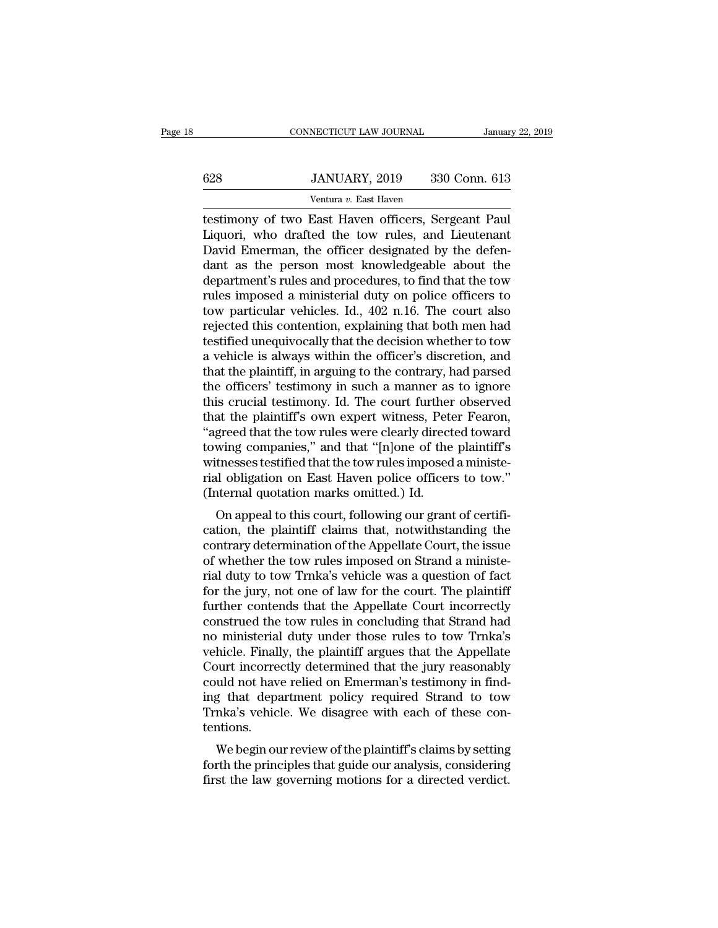## EXECUTE CONNECTICUT LAW JOURNAL January 22, 2019<br> **628** JANUARY, 2019 330 Conn. 613<br>
Ventura v. East Haven NECTICUT LAW JOURNAL<br>JANUARY, 2019 330<br>Ventura *v.* East Haven<br>East Haven officers Ser

CONNECTICUT LAW JOURNAL January 22, 20<br>
628 JANUARY, 2019 330 Conn. 613<br>
Ventura v. East Haven<br>
testimony of two East Haven officers, Sergeant Paul<br>
Liquori, who drafted the tow rules, and Lieutenant<br>
David Emerman, the of G28 JANUARY, 2019 330 Conn. 613<br>
Ventura v. East Haven<br>
Lestimony of two East Haven officers, Sergeant Paul<br>
Liquori, who drafted the tow rules, and Lieutenant<br>
David Emerman, the officer designated by the defendant as the  $\frac{628}{\text{Ventura } v. \text{ East Haven}}$  330 Conn. 613<br>  $\frac{13}{\text{Ventura } v. \text{ East Haven}}$ <br>
testimony of two East Haven officers, Sergeant Paul<br>
Liquori, who drafted the tow rules, and Lieutenant<br>
David Emerman, the officer designated by the defen- $\frac{628}{\text{Ventura } v. \text{ East Haven}}$ <br>  $\frac{133}{\text{Ventura } v. \text{ East Haven}}$ <br>
testimony of two East Haven officers, Sergeant Paul<br>
Liquori, who drafted the tow rules, and Lieutenant<br>
David Emerman, the officer designated by the defen-<br>
dant as the Ventura v. East Haven<br>
testimony of two East Haven officers, Sergeant Paul<br>
Liquori, who drafted the tow rules, and Lieutenant<br>
David Emerman, the officer designated by the defen-<br>
dant as the person most knowledgeable ab Ventura v. East Haven<br>testimony of two East Haven officers, Sergeant Paul<br>Liquori, who drafted the tow rules, and Lieutenant<br>David Emerman, the officer designated by the defen-<br>dant as the person most knowledgeable about t testimony of two East Haven officers, Sergeant Paul<br>Liquori, who drafted the tow rules, and Lieutenant<br>David Emerman, the officer designated by the defen-<br>dant as the person most knowledgeable about the<br>department's rules Liquori, who drafted the tow rules, and Lieutenant<br>David Emerman, the officer designated by the defen-<br>dant as the person most knowledgeable about the<br>department's rules and procedures, to find that the tow<br>rules imposed a David Emerman, the officer designated by the defen-<br>dant as the person most knowledgeable about the<br>department's rules and procedures, to find that the tow<br>rules imposed a ministerial duty on police officers to<br>tow particu dant as the person most knowledgeable about the<br>department's rules and procedures, to find that the tow<br>rules imposed a ministerial duty on police officers to<br>tow particular vehicles. Id., 402 n.16. The court also<br>rejected department's rules and procedures, to find that the tow<br>rules imposed a ministerial duty on police officers to<br>tow particular vehicles. Id., 402 n.16. The court also<br>rejected this contention, explaining that both men had<br>t rules imposed a ministerial duty on police officers to<br>tow particular vehicles. Id., 402 n.16. The court also<br>rejected this contention, explaining that both men had<br>testified unequivocally that the decision whether to tow<br> tow particular vehicles. Id., 402 n.16. The court also<br>rejected this contention, explaining that both men had<br>testified unequivocally that the decision whether to tow<br>a vehicle is always within the officer's discretion, an rejected this contention, explaining that both men had<br>testified unequivocally that the decision whether to tow<br>a vehicle is always within the officer's discretion, and<br>that the plaintiff, in arguing to the contrary, had p testified unequivocally that the decision whether to tow<br>a vehicle is always within the officer's discretion, and<br>that the plaintiff, in arguing to the contrary, had parsed<br>the officers' testimony in such a manner as to ig a vehicle is always within the officer's discretion, and<br>that the plaintiff, in arguing to the contrary, had parsed<br>the officers' testimony in such a manner as to ignore<br>this crucial testimony. Id. The court further observ that the plaintiff, in arguing to the contrary, had parsed<br>the officers' testimony in such a manner as to ignore<br>this crucial testimony. Id. The court further observed<br>that the plaintiff's own expert witness, Peter Fearon, the officers' testimony in such a manner as to ignore<br>this crucial testimony. Id. The court further observed<br>that the plaintiff's own expert witness, Peter Fearon,<br>"agreed that the tow rules were clearly directed toward<br>to this crucial testimony. Id. The court further<br>that the plaintiff's own expert witness, Pet<br>"agreed that the tow rules were clearly direct<br>towing companies," and that "[n]one of the<br>witnesses testified that the tow rules im that the plaintiff's own expert witness, Peter Fearon, "agreed that the tow rules were clearly directed toward towing companies," and that "[n]one of the plaintiff's witnesses testified that the tow rules imposed a ministe agreed that the tow rules were clearly directed toward<br>towing companies," and that "[n]one of the plaintiff's<br>witnesses testified that the tow rules imposed a ministe-<br>rial obligation on East Haven police officers to tow."

towing companies, and that [fijone of the plaintin's<br>witnesses testified that the tow rules imposed a ministe-<br>rial obligation on East Haven police officers to tow."<br>(Internal quotation marks omitted.) Id.<br>On appeal to thi whetesses testined that the tow rules imposed a minister-<br>rial obligation on East Haven police officers to tow."<br>(Internal quotation marks omitted.) Id.<br>On appeal to this court, following our grant of certifi-<br>cation, the rial during during the solution marks on the during our grant of certification, the plaintiff claims that, notwithstanding the contrary determination of the Appellate Court, the issue of whether the tow rules imposed on St (internal quotation marks onlited.) id.<br>
On appeal to this court, following our grant of certification, the plaintiff claims that, notwithstanding the<br>
contrary determination of the Appellate Court, the issue<br>
of whether t On appeal to this court, following our grant of certification, the plaintiff claims that, notwithstanding the contrary determination of the Appellate Court, the issue of whether the tow rules imposed on Strand a ministeria cation, the plaintiff claims that, notwithstanding the<br>contrary determination of the Appellate Court, the issue<br>of whether the tow rules imposed on Strand a ministe-<br>rial duty to tow Trnka's vehicle was a question of fact<br> contrary determination of the Appellate Court, the issue<br>of whether the tow rules imposed on Strand a ministe-<br>rial duty to tow Trnka's vehicle was a question of fact<br>for the jury, not one of law for the court. The plainti of whether the tow rules imposed on Strand a ministerial duty to tow Trnka's vehicle was a question of fact<br>for the jury, not one of law for the court. The plaintiff<br>further contends that the Appellate Court incorrectly<br>co rial duty to tow Trnka's vehicle was a question of fact<br>for the jury, not one of law for the court. The plaintiff<br>further contends that the Appellate Court incorrectly<br>construed the tow rules in concluding that Strand had<br> for the jury, not one of law for the court. The plaintiff<br>further contends that the Appellate Court incorrectly<br>construed the tow rules in concluding that Strand had<br>no ministerial duty under those rules to tow Trnka's<br>veh further contends that the Appellate Court incorrectly<br>construed the tow rules in concluding that Strand had<br>no ministerial duty under those rules to tow Trnka's<br>vehicle. Finally, the plaintiff argues that the Appellate<br>Cou construed the tow rules in concluding that Strand had<br>no ministerial duty under those rules to tow Trnka's<br>vehicle. Finally, the plaintiff argues that the Appellate<br>Court incorrectly determined that the jury reasonably<br>cou tentions. Filte. Fritally, the plaintiff argues that the Appendice.<br>Function of the plantificant of the plantifical model and to tow<br>that department policy required Strand to tow<br>mka's vehicle. We disagree with each of these con-<br>nt Fourt incorrectly determined that the jury reasonably<br>could not have relied on Emerman's testimony in find-<br>ing that department policy required Strand to tow<br>Trnka's vehicle. We disagree with each of these con-<br>tentions.<br>W First the law governing motions for a directed verdict.<br>Trixta's vehicle. We disagree with each of these contentions.<br>We begin our review of the plaintiff's claims by setting<br>forth the principles that guide our analysis, c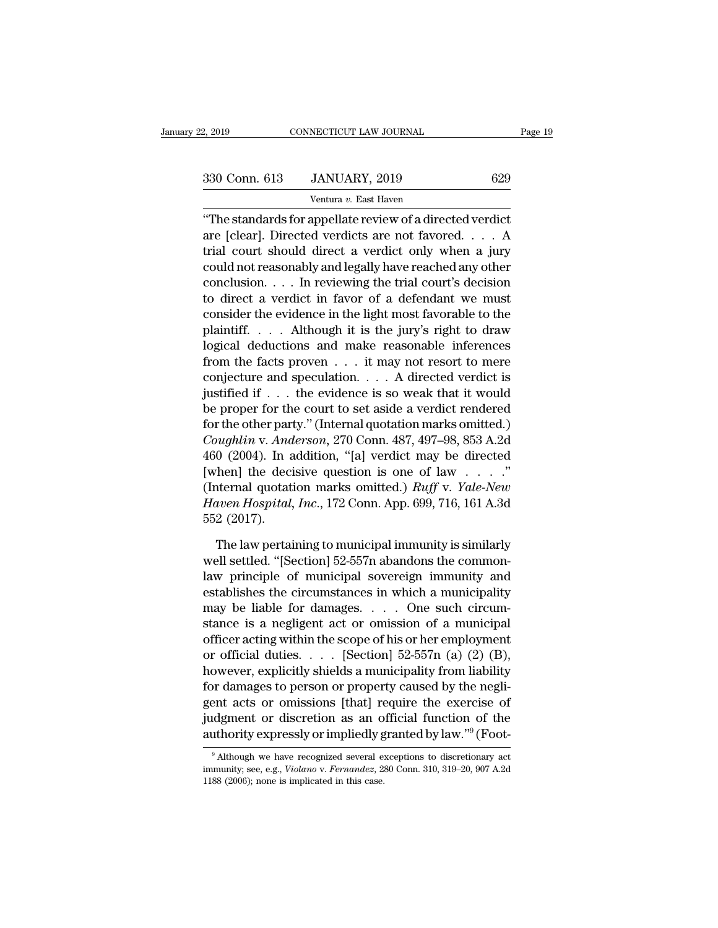2, 2019 CONNECTICUT LAW JOURNAL Page 19<br>330 Conn. 613 JANUARY, 2019 629<br>Ventura v. East Haven

NECTICUT LAW JOURNAL<br>JANUARY, 2019<br><sup>Ventura v.</sup> East Haven<br>annellate review of a direct 2, 2019 CONNECTICUT LAW JOURNAL Page 1:<br>
330 Conn. 613 JANUARY, 2019 629<br>
Ventura v. East Haven<br>
"The standards for appellate review of a directed verdict<br>
are [clear]. Directed verdicts are not favored.... A<br>
trial court 330 Conn. 613 JANUARY, 2019 629<br>
Ventura v. East Haven<br>
"The standards for appellate review of a directed verdict<br>
are [clear]. Directed verdicts are not favored. . . . A<br>
trial court should direct a verdict only when a j 330 Conn. 613 JANUARY, 2019 629<br>
Ventura v. East Haven<br>
"The standards for appellate review of a directed verdict<br>
are [clear]. Directed verdicts are not favored. . . . A<br>
trial court should direct a verdict only when a j 330 Conn. 613 JANUARY, 2019 629<br>
Ventura v. East Haven<br>
"The standards for appellate review of a directed verdict<br>
are [clear]. Directed verdicts are not favored. . . . A<br>
trial court should direct a verdict only when a j Ventura v. East Haven<br>
"The standards for appellate review of a directed verdict<br>
are [clear]. Directed verdicts are not favored. . . . A<br>
trial court should direct a verdict only when a jury<br>
could not reasonably and leg The standards for appellate review of a directed verdict<br>are [clear]. Directed verdicts are not favored. . . . A<br>trial court should direct a verdict only when a jury<br>could not reasonably and legally have reached any other "The standards for appellate review of a directed verdict<br>are [clear]. Directed verdicts are not favored.... A<br>trial court should direct a verdict only when a jury<br>could not reasonably and legally have reached any other<br>c are [clear]. Directed verdicts are not favored. . . . A<br>trial court should direct a verdict only when a jury<br>could not reasonably and legally have reached any other<br>conclusion. . . . In reviewing the trial court's decision trial court should direct a verdict only when a jury<br>could not reasonably and legally have reached any other<br>conclusion.... In reviewing the trial court's decision<br>to direct a verdict in favor of a defendant we must<br>consi could not reasonably and legally have reached any other<br>conclusion. . . . In reviewing the trial court's decision<br>to direct a verdict in favor of a defendant we must<br>consider the evidence in the light most favorable to th conclusion. . . . In reviewing the trial court's decision<br>to direct a verdict in favor of a defendant we must<br>consider the evidence in the light most favorable to the<br>plaintiff. . . . Although it is the jury's right to dr to direct a verdict in favor of a defendant we must<br>consider the evidence in the light most favorable to the<br>plaintiff.... Although it is the jury's right to draw<br>logical deductions and make reasonable inferences<br>from the consider the evidence in the light most favorable to the<br>plaintiff.... Although it is the jury's right to draw<br>logical deductions and make reasonable inferences<br>from the facts proven ... it may not resort to mere<br>conjectu plaintiff..... Although it is the jury's right to draw<br>logical deductions and make reasonable inferences<br>from the facts proven ... it may not resort to mere<br>conjecture and speculation.... A directed verdict is<br>justified i *Coughlin* v. *Anderson,* 270 Conn. 487, 497–98, 853 A.2d [Completive and speculation. . . . . A directed verdict is justified if . . . the evidence is so weak that it would be proper for the court to set aside a verdict r from the facts proven  $\dots$  it may not resort to mere<br>conjecture and speculation.  $\dots$  A directed verdict is<br>justified if  $\dots$  the evidence is so weak that it would<br>be proper for the court to set aside a verdict rendered<br>f conjecture and speculation. . . . . A directed verdict is<br>justified if . . . the evidence is so weak that it would<br>be proper for the court to set aside a verdict rendered<br>for the other party." (Internal quotation marks om justified if . . . the evidence is so weak that it would<br>be proper for the court to set aside a verdict rendered<br>for the other party." (Internal quotation marks omitted.)<br>*Coughlin v. Anderson*, 270 Conn. 487, 497–98, 853 be proper for the court to set aside a verdict rendered<br>for the other party." (Internal quotation marks omitted.)<br>*Coughlin v. Anderson*, 270 Conn. 487, 497–98, 853 A.2d<br>460 (2004). In addition, "[a] verdict may be directe for the other part<br>*Coughlin v. And*<br>460 (2004). In a<br>[when] the deci<br>(Internal quotati<br>*Haven Hospital*,<br>552 (2017).<br>The law pertai 0 (2004). In addition, "[a] verdict may be directed<br>then] the decisive question is one of law . . . ."<br>nternal quotation marks omitted.) *Ruff* v. *Yale-New*<br>*aven Hospital, Inc.,* 172 Conn. App. 699, 716, 161 A.3d<br>2 (201 [when] the decisive question is one of law . . . . . "<br>(Internal quotation marks omitted.) *Ruff* v. *Yale-New*<br>*Haven Hospital, Inc.,* 172 Conn. App. 699, 716, 161 A.3d<br>552 (2017).<br>The law pertaining to municipal immunit

(Internal quotation marks omitted.)  $Ruff$  v.  $Yale-New$ <br>Haven Hospital, Inc., 172 Conn. App. 699, 716, 161 A.3d<br>552 (2017).<br>The law pertaining to municipal immunity is similarly<br>well settled. "[Section] 52-557n abandons the co Haven Hospital, Inc., 172 Conn. App. 699, 716, 161 A.3d<br>552 (2017).<br>The law pertaining to municipal immunity is similarly<br>well settled. "[Section] 52-557n abandons the common-<br>law principle of municipal sovereign immunity 552 (2017).<br>The law pertaining to municipal immunity is similarly<br>well settled. "[Section] 52-557n abandons the common-<br>law principle of municipal sovereign immunity and<br>establishes the circumstances in which a municipali The law pertaining to municipal immunity is similarly<br>well settled. "[Section] 52-557n abandons the common-<br>law principle of municipal sovereign immunity and<br>establishes the circumstances in which a municipality<br>may be li The law pertaining to municipal immunity is similarly<br>well settled. "[Section] 52-557n abandons the common-<br>law principle of municipal sovereign immunity and<br>establishes the circumstances in which a municipality<br>may be li well settled. "[Section] 52-557n abandons the common-<br>law principle of municipal sovereign immunity and<br>establishes the circumstances in which a municipality<br>may be liable for damages. . . . . One such circum-<br>stance is a have principle of municipal sovereign immunity and<br>establishes the circumstances in which a municipality<br>may be liable for damages. . . . One such circum-<br>stance is a negligent act or omission of a municipal<br>officer actin establishes the circumstances in which a municipality<br>may be liable for damages. . . . One such circum-<br>stance is a negligent act or omission of a municipal<br>officer acting within the scope of his or her employment<br>or offi may be liable for damages. . . . . One such circum-<br>stance is a negligent act or omission of a municipal<br>officer acting within the scope of his or her employment<br>or official duties. . . . [Section] 52-557n (a) (2) (B),<br>ho stance is a negligent act or omission of a municipal<br>officer acting within the scope of his or her employment<br>or official duties. . . . [Section] 52-557n (a) (2) (B),<br>however, explicitly shields a municipality from liabil officer acting within the scope of his or her employment<br>or official duties.... [Section] 52-557n (a) (2) (B),<br>however, explicitly shields a municipality from liability<br>for damages to person or property caused by the negl for damages to person or property caused by the negligent acts or omissions [that] require the exercise of judgment or discretion as an official function of the authority expressly or impliedly granted by law."<sup>9</sup> (Foot-<br> gent acts or omissions [that] require the exercise of<br>judgment or discretion as an official function of the<br>authority expressly or impliedly granted by law."<sup>9</sup> (Foot-<br><sup>9</sup> Although we have recognized several exceptions to

judgment or discretion as an o<br>authority expressly or impliedly g<br><sup>9</sup> Although we have recognized several exemmunity; see, e.g., *Violano* v. *Fernandez*, 2:<br>1188 (2006); none is implicated in this case.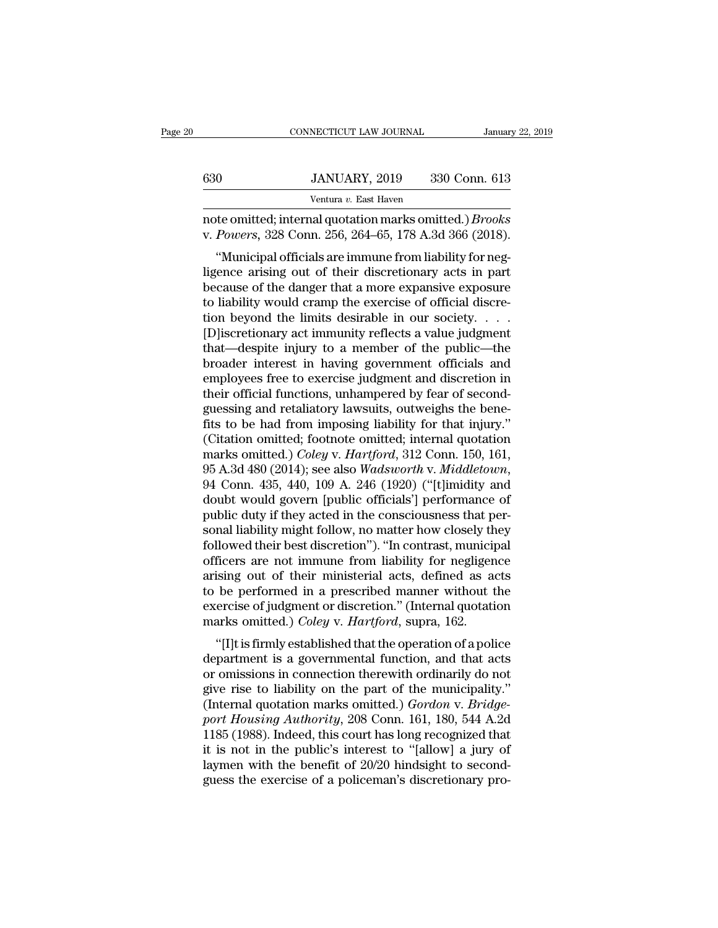|     | CONNECTICUT LAW JOURNAL                                                                                                  | January 22, 2019 |
|-----|--------------------------------------------------------------------------------------------------------------------------|------------------|
|     |                                                                                                                          |                  |
| 630 | JANUARY, 2019                                                                                                            | 330 Conn. 613    |
|     | Ventura v. East Haven                                                                                                    |                  |
|     | note omitted; internal quotation marks omitted.) <i>Brooks</i><br>v. Powers, 328 Conn. 256, 264–65, 178 A.3d 366 (2018). |                  |
|     | "Municipal officials are immune from liability for neg-                                                                  |                  |
|     | ligence arising out of their discretionary acts in part                                                                  |                  |
|     | bogause of the danger that a more expansive experience                                                                   |                  |

630 JANUARY, 2019 330 Conn. 613<br>
Ventura v. East Haven<br>
note omitted; internal quotation marks omitted.) *Brooks*<br>
v. *Powers*, 328 Conn. 256, 264–65, 178 A.3d 366 (2018).<br>
"Municipal officials are immune from liability f Ventura v. East Haven<br>
note omitted; internal quotation marks omitted.) *Brooks*<br>
v. Powers, 328 Conn. 256, 264–65, 178 A.3d 366 (2018).<br>
"Municipal officials are immune from liability for neg-<br>
ligence arising out of the note omitted; internal quotation marks omitted.) *Brooks*<br>v. Powers, 328 Conn. 256, 264–65, 178 A.3d 366 (2018).<br>"Municipal officials are immune from liability for neg-<br>ligence arising out of their discretionary acts in pa the buttled, internal quotation marks onlitted. *J Brooks*<br>v. *Powers*, 328 Conn. 256, 264–65, 178 A.3d 366 (2018).<br>"Municipal officials are immune from liability for neg-<br>ligence arising out of their discretionary acts in w. *Towers*, 528 Colul. 250, 204–05, 176 A.5d 500 (2016).<br>
"Municipal officials are immune from liability for neg-<br>
ligence arising out of their discretionary acts in part<br>
because of the danger that a more expansive expo "Municipal officials are immune from liability for neg-<br>ligence arising out of their discretionary acts in part<br>because of the danger that a more expansive exposure<br>to liability would cramp the exercise of official discre ligence arising out of their discretionary acts in part<br>because of the danger that a more expansive exposure<br>to liability would cramp the exercise of official discre-<br>tion beyond the limits desirable in our society. . . .<br> because of the danger that a more expansive exposure<br>to liability would cramp the exercise of official discre-<br>tion beyond the limits desirable in our society. . . . .<br>[D]iscretionary act immunity reflects a value judgmen to liability would cramp the exercise of official discretion beyond the limits desirable in our society. . . . . [D]<br>iscretionary act immunity reflects a value judgment that—despite injury to a member of the public—the<br>br tion beyond the limits desirable in our society. . . . [D]<br>iscretionary act immunity reflects a value judgment<br>that—despite injury to a member of the public—the<br>broader interest in having government officials and<br>employee [D]<br>iscretionary act immunity reflects a value judgment<br>that—despite injury to a member of the public—the<br>broader interest in having government officials and<br>employees free to exercise judgment and discretion in<br>their off that—despite injury to a member of the public—the<br>broader interest in having government officials and<br>employees free to exercise judgment and discretion in<br>their official functions, unhampered by fear of second-<br>guessing broader interest in having government officials and<br>employees free to exercise judgment and discretion in<br>their official functions, unhampered by fear of second-<br>guessing and retaliatory lawsuits, outweighs the bene-<br>fits employees free to exercise judgment and discretion in<br>their official functions, unhampered by fear of second-<br>guessing and retaliatory lawsuits, outweighs the bene-<br>fits to be had from imposing liability for that injury."<br> guessing and retaliatory lawsuits, outweighs the bene-<br>fits to be had from imposing liability for that injury."<br>(Citation omitted; footnote omitted; internal quotation<br>marks omitted.) *Coley* v. *Hartford*, 312 Conn. 150, fits to be had from imposing liability for that injury."<br>(Citation omitted; footnote omitted; internal quotation<br>marks omitted.) Coley v. Hartford, 312 Conn. 150, 161,<br>95 A.3d 480 (2014); see also *Wadsworth* v. *Middleto* (Citation omitted; footnote omitted; internal quotation<br>marks omitted.) *Coley* v. *Hartford*, 312 Conn. 150, 161,<br>95 A.3d 480 (2014); see also *Wadsworth v. Middletown*,<br>94 Conn. 435, 440, 109 A. 246 (1920) ("[t]imidity a marks omitted.) *Coley v. Hartford*, 312 Conn. 150, 161, 95 A.3d 480 (2014); see also *Wadsworth v. Middletown*, 94 Conn. 435, 440, 109 A. 246 (1920) ("[t]imidity and doubt would govern [public officials'] performance of p 95 A.3d 480 (2014); see also *Wadsworth v. Middletown*,<br>94 Conn. 435, 440, 109 A. 246 (1920) ("[t]imidity and<br>doubt would govern [public officials'] performance of<br>public duty if they acted in the consciousness that per-<br>s 94 Conn. 435, 440, 109 A. 246 (1920) ("[t]imidity and<br>doubt would govern [public officials'] performance of<br>public duty if they acted in the consciousness that per-<br>sonal liability might follow, no matter how closely they<br> doubt would govern [public officials'] performance of<br>public duty if they acted in the consciousness that per-<br>sonal liability might follow, no matter how closely they<br>followed their best discretion"). "In contrast, munici public duty if they acted in the consciousness that per-<br>sonal liability might follow, no matter how closely they<br>followed their best discretion"). "In contrast, municipal<br>officers are not immune from liability for neglige sonal liability might follow, no matter how closely the<br>followed their best discretion"). "In contrast, municip<br>officers are not immune from liability for negligen<br>arising out of their ministerial acts, defined as a<br>to be ficers are not immune from liability for negligence<br>
ising out of their ministerial acts, defined as acts<br>
be performed in a prescribed manner without the<br>
ercise of judgment or discretion." (Internal quotation<br>
arks omitt omeers are not minime from nability for negligence<br>arising out of their ministerial acts, defined as acts<br>to be performed in a prescribed manner without the<br>exercise of judgment or discretion." (Internal quotation<br>marks o

ansing out of their infinisteriar acts, defined as acts<br>to be performed in a prescribed manner without the<br>exercise of judgment or discretion." (Internal quotation<br>marks omitted.) *Coley v. Hartford*, supra, 162.<br>"[I]t is to be performed in a prescribed mailiner whilout the<br>exercise of judgment or discretion." (Internal quotation<br>marks omitted.) *Coley* v. *Hartford*, supra, 162.<br>"[I]t is firmly established that the operation of a police<br>d exercise or judgment or discretion. (internal quotation<br>marks omitted.) *Coley v. Hartford*, supra, 162.<br>"[I]t is firmly established that the operation of a police<br>department is a governmental function, and that acts<br>or om *port Housing Authority, 208 Conn. 161, 180, 544 A.2d*<br> *port Housing Authority on the part of the municipality."*<br> *port Housing Authority, 208 Conn. 161, 180, 544 A.2d*<br> *port Housing Authority, 208 Conn. 161, 180, 544 A* "[I]t is firmly established that the operation of a police<br>department is a governmental function, and that acts<br>or omissions in connection therewith ordinarily do not<br>give rise to liability on the part of the municipality department is a governmental function, and that acts<br>or omissions in connection therewith ordinarily do not<br>give rise to liability on the part of the municipality."<br>(Internal quotation marks omitted.) *Gordon* v. *Bridge-<br>* or omissions in connection therewith ordinarily do not<br>give rise to liability on the part of the municipality."<br>(Internal quotation marks omitted.)  $Gordon$  v.  $Bridge$ <br>port Housing Authority, 208 Conn. 161, 180, 544 A.2d<br>1185 (19 give rise to liability on the part of the municipality."<br>(Internal quotation marks omitted.) *Gordon* v. *Bridge-*<br>port Housing Authority, 208 Conn. 161, 180, 544 A.2d<br>1185 (1988). Indeed, this court has long recognized th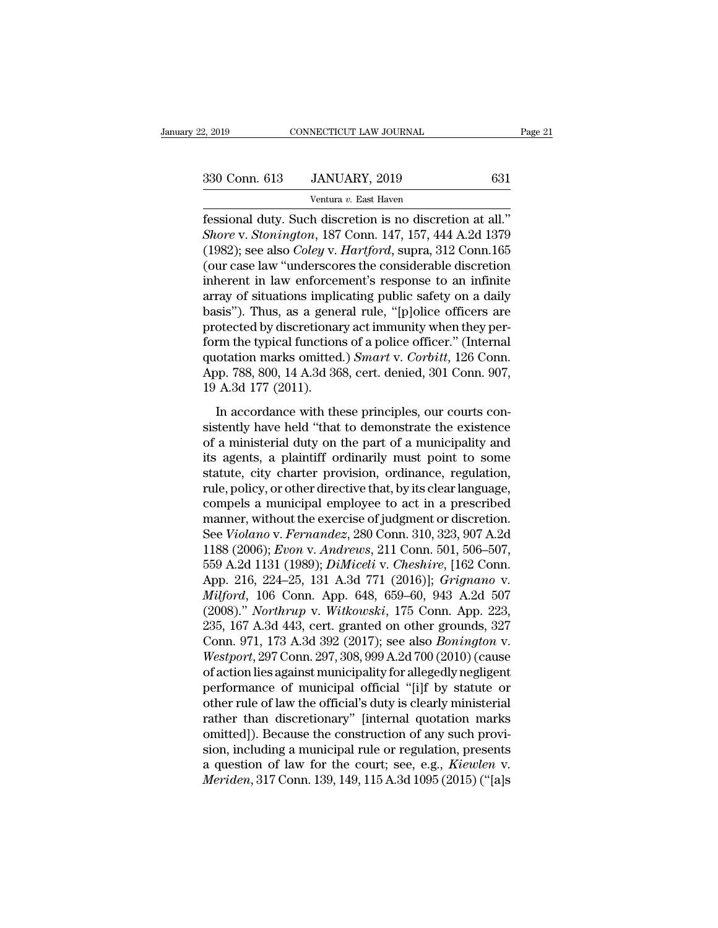2, 2019 CONNECTICUT LAW JOURNAL<br>
330 Conn. 613 JANUARY, 2019 631<br>
Ventura *v*. East Haven<br>
fessional duty. Such discretion is no discretion at all." Fag. 2019 CONNECTICUT LAW JOURNAL Pag.<br>
330 Conn. 613 JANUARY, 2019 631<br>
Ventura v. East Haven<br>
Fessional duty. Such discretion is no discretion at all."<br>
Shore v. Stonington, 187 Conn. 147, 157, 444 A.2d 1379<br>
(1982): see <sup>330</sup> Conn. 613 JANUARY, 2019 631<br>
<sup>Ventura v. East Haven<br> **Fessional duty. Such discretion is no discretion at all.**"<br> *Shore* v. *Stonington*, 187 Conn. 147, 157, 444 A.2d 1379<br>
(1982); see also *Coley* v. *Hartford*, su</sup> (1982); see also *Coley* v. *Hartford*, suppressional duty. Such discretion is no discretion at all."<br>
Shore v. *Stonington*, 187 Conn. 147, 157, 444 A.2d 1379<br>
(1982); see also *Coley* v. *Hartford*, supra, 312 Conn. 165<br> (330 Conn. 613 JANUARY, 2019 631<br>
Ventura v. East Haven<br>
(essional duty. Such discretion is no discretion at all.)<br>
Shore v. Stonington, 187 Conn. 147, 157, 444 A.2d 1379<br>
(1982); see also *Coley v. Hartford*, supra, 312 Ventura v. East Haven<br>
fessional duty. Such discretion is no discretion at all."<br>
Shore v. Stonington, 187 Conn. 147, 157, 444 A.2d 1379<br>
(1982); see also *Coley* v. *Hartford*, supra, 312 Conn. 165<br>
(our case law "unders ventura v. East Haven<br>fessional duty. Such discretion is no discretion at all."<br>*Shore* v. *Stonington*, 187 Conn. 147, 157, 444 A.2d 1379<br>(1982); see also *Coley* v. *Hartford*, supra, 312 Conn. 165<br>(our case law "unders fessional duty. Such discretion is no discretion at all."<br> *Shore* v. *Stonington*, 187 Conn. 147, 157, 444 A.2d 1379<br>
(1982); see also *Coley* v. *Hartford*, supra, 312 Conn.165<br>
(our case law "underscores the considerabl Shore v. Stonington, 187 Conn. 147, 157, 444 A.2d 1379 (1982); see also *Coley* v. *Hartford*, supra, 312 Conn.165 (our case law "underscores the considerable discretion inherent in law enforcement's response to an infini (1982); see also *Coley* v. *Hartford*, supra, 312 Conn.165<br>(our case law "underscores the considerable discretion<br>inherent in law enforcement's response to an infinite<br>array of situations implicating public safety on a d (our case law "underscores the considerable discretion<br>inherent in law enforcement's response to an infinite<br>array of situations implicating public safety on a daily<br>basis"). Thus, as a general rule, "[p]olice officers are inherent in law enforcement's response to an infinite<br>array of situations implicating public safety on a daily<br>basis"). Thus, as a general rule, "[p]olice officers are<br>protected by discretionary act immunity when they perarray of situations implibasis"). Thus, as a gene<br>protected by discretionar<br>form the typical function<br>quotation marks omitted<br>App. 788, 800, 14 A.3d 36<br>19 A.3d 177 (2011).<br>In accordance with the otected by discretionary act immunity when they per-<br>otected by discretionary act immunity when they per-<br>m the typical functions of a police officer." (Internal<br>otation marks omitted.) *Smart* v. *Corbitt*, 126 Conn.<br>pp. form the typical functions of a police officer." (Internal<br>quotation marks omitted.) *Smart v. Corbitt*, 126 Conn.<br>App. 788, 800, 14 A.3d 368, cert. denied, 301 Conn. 907,<br>19 A.3d 177 (2011).<br>In accordance with these prin

From the typical functions of a police officer. (International duotation marks omitted.) *Smart v. Corbitt*, 126 Conn.<br>App. 788, 800, 14 A.3d 368, cert. denied, 301 Conn. 907, 19 A.3d 177 (2011).<br>In accordance with these p quotation marks omitted.) Small V. Solotid, 125 Com.<br>App. 788, 800, 14 A.3d 368, cert. denied, 301 Conn. 907,<br>19 A.3d 177 (2011).<br>In accordance with these principles, our courts con-<br>sistently have held "that to demonstrat statute, city charter provision, ordinance, regulation, and the provision, and the existence of a ministerial duty on the part of a municipality and its agents, a plaintiff ordinarily must point to some statute, city chart In accordance with these principles, our courts consistently have held "that to demonstrate the existence of a ministerial duty on the part of a municipality and its agents, a plaintiff ordinarily must point to some statu In accordance with these principles, our courts consistently have held "that to demonstrate the existence<br>of a ministerial duty on the part of a municipality and<br>its agents, a plaintiff ordinarily must point to some<br>statu sistently have held "that to demonstrate the existence<br>of a ministerial duty on the part of a municipality and<br>its agents, a plaintiff ordinarily must point to some<br>statute, city charter provision, ordinance, regulation,<br>r of a ministerial duty on the part of a municipality and<br>its agents, a plaintiff ordinarily must point to some<br>statute, city charter provision, ordinance, regulation,<br>rule, policy, or other directive that, by its clear lang its agents, a plaintiff ordinarily must point to some<br>statute, city charter provision, ordinance, regulation,<br>rule, policy, or other directive that, by its clear language,<br>compels a municipal employee to act in a prescribe statute, city charter provision, ordinance, regulation,<br>rule, policy, or other directive that, by its clear language,<br>compels a municipal employee to act in a prescribed<br>manner, without the exercise of judgment or discreti rule, policy, or other directive that, by its clear language,<br>compels a municipal employee to act in a prescribed<br>manner, without the exercise of judgment or discretion.<br>See *Violano* v. *Fernandez*, 280 Conn. 310, 323, 90 compels a municipal employee to act in a prescribed<br>manner, without the exercise of judgment or discretion.<br>See *Violano* v. *Fernandez*, 280 Conn. 310, 323, 907 A.2d<br>1188 (2006); *Evon* v. *Andrews*, 211 Conn. 501, 506–50 manner, without the exercise of judgment or discretion.<br>See *Violano v. Fernandez*, 280 Conn. 310, 323, 907 A.2d<br>1188 (2006); *Evon v. Andrews*, 211 Conn. 501, 506–507,<br>559 A.2d 1131 (1989); *DiMiceli v. Cheshire*, [162 Co See *Violano v. Fernandez*, 280 Conn. 310, 323, 907 A.2d<br>1188 (2006); *Evon v. Andrews*, 211 Conn. 501, 506–507,<br>559 A.2d 1131 (1989); *DiMiceli v. Cheshire*, [162 Conn.<br>App. 216, 224–25, 131 A.3d 771 (2016)]; *Grignano v.* 1188 (2006); *Evon v. Andrews*, 211 Conn. 501, 506–507,<br>559 A.2d 1131 (1989); *DiMiceli v. Cheshire*, [162 Conn.<br>App. 216, 224–25, 131 A.3d 771 (2016)]; *Grignano v.<br>Milford*, 106 Conn. App. 648, 659–60, 943 A.2d 507<br>(2008 559 A.2d 1131 (1989); *DiMiceli v. Cheshire*, [162 Conn.<br>*App.* 216, 224–25, 131 A.3d 771 (2016)]; *Grignano v.*<br>*Milford*, 106 Conn. App. 648, 659–60, 943 A.2d 507<br>(2008)." *Northrup v. Witkowski*, 175 Conn. App. 223,<br>235 App. 216, 224–25, 131 A.3d 771 (2016)]; *Grignano* v.<br>*Milford*, 106 Conn. App. 648, 659–60, 943 A.2d 507<br>(2008)." *Northrup* v. *Witkowski*, 175 Conn. App. 223,<br>235, 167 A.3d 443, cert. granted on other grounds, 327<br>Conn. Milford, 106 Conn. App. 648, 659–60, 943 A.2d 507<br>(2008)." *Northrup* v. *Witkowski*, 175 Conn. App. 223,<br>235, 167 A.3d 443, cert. granted on other grounds, 327<br>Conn. 971, 173 A.3d 392 (2017); see also *Bonington* v.<br>*West* (2008)." *Northrup* v. *Witkowski*, 175 Conn. App. 223, 235, 167 A.3d 443, cert. granted on other grounds, 327 Conn. 971, 173 A.3d 392 (2017); see also *Bonington* v. *Westport*, 297 Conn. 297, 308, 999 A.2d 700 (2010) (c 235, 167 A.3d 443, cert. granted on other grounds, 327<br>Conn. 971, 173 A.3d 392 (2017); see also *Bonington* v.<br>Westport, 297 Conn. 297, 308, 999 A.2d 700 (2010) (cause<br>of action lies against municipality for allegedly negl Conn. 971, 173 A.3d 392 (2017); see also *Bonington* v.<br>Westport, 297 Conn. 297, 308, 999 A.2d 700 (2010) (cause<br>of action lies against municipality for allegedly negligent<br>performance of municipal official "[i]f by statu *Westport*, 297 Conn. 297, 308, 999 A.2d 700 (2010) (cause<br>of action lies against municipality for allegedly negligent<br>performance of municipal official "[i]f by statute or<br>other rule of law the official's duty is clearly of action lies against municipality for allegedly negligent<br>performance of municipal official "[i]f by statute or<br>other rule of law the official's duty is clearly ministerial<br>rather than discretionary" [internal quotation performance of municipal official "[i]f by statute or other rule of law the official's duty is clearly ministerial rather than discretionary" [internal quotation marks omitted]). Because the construction of any such provis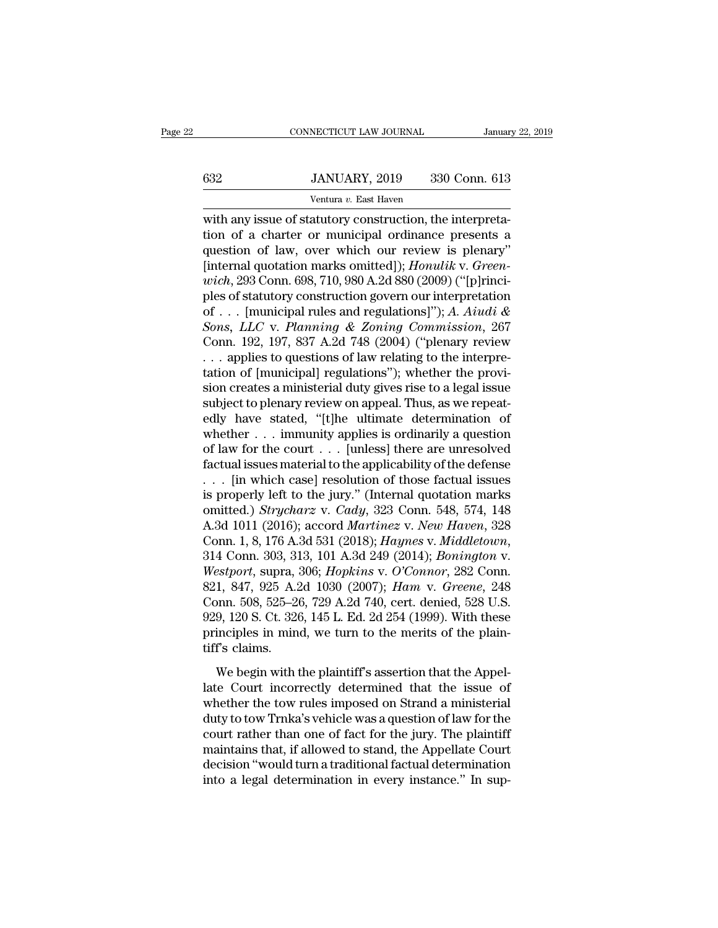## EXECUTE CONNECTICUT LAW JOURNAL January 22, 2019<br> **632** JANUARY, 2019 330 Conn. 613<br>
Ventura v. East Haven NECTICUT LAW JOURNAL<br>JANUARY, 2019 330<br>Ventura *v.* East Haven<br>atutory construction the

CONNECTICUT LAW JOURNAL<br>
SANUARY, 2019 330 Conn. 613<br>
Ventura v. East Haven<br>
With any issue of statutory construction, the interpreta-<br>
tion of a charter or municipal ordinance presents a<br>
cuestion of law, everywhich our r  $t = \frac{1}{\text{S32}}$   $\frac{J \text{ANUARY, } 2019}{\text{Ventura } v. \text{ East Haven}}$ <br>
with any issue of statutory construction, the interpreta-<br>
tion of a charter or municipal ordinance presents a<br>
question of law, over which our review is plenary"<br>
[in  $\begin{array}{r} \n 632 \text{ JANUARY, } 2019 \text{ } 330 \text{ Conn. } 613 \text{ Ventura } v. \text{ East Haven} \\
 \n \text{with any issue of statutory construction, the interpretation of a character or municipal ordiance presents a question of law, over which our review is plenary'} \n [internal quotation marks omitted]); *Homulik v. Green-weak 203 Comp. 608–710.080 A. 24.890 (2000) ("fibrinci"] \n*$ 532 JANUARY, 2019 330 Conn. 613<br>
Ventura v. East Haven<br>
with any issue of statutory construction, the interpreta-<br>
tion of a charter or municipal ordinance presents a<br>
question of law, over which our review is plenary"<br>
[i *Wentura v. East Haven*<br> *Wentura v. East Haven*<br>
with any issue of statutory construction, the interpreta-<br>
tion of a charter or municipal ordinance presents a<br>
question of law, over which our review is plenary"<br>
[interna ventura v. East Haven<br>with any issue of statutory construction, the interpreta-<br>tion of a charter or municipal ordinance presents a<br>question of law, over which our review is plenary"<br>[internal quotation marks omitted]]; with any issue of statutory construction, the interpretation of a charter or municipal ordinance presents a question of law, over which our review is plenary"<br>[internal quotation marks omitted]); *Honulik v. Greenwich*, 29 *Solution of a charter or municipal ordinance presents a*<br>question of law, over which our review is plenary"<br>[internal quotation marks omitted]); *Honulik v. Green-<br>wich*, 293 Conn. 698, 710, 980 A.2d 880 (2009) ("[p]rinci question of law, over which our review is plenary"<br>[internal quotation marks omitted]); *Honulik v. Green-<br>wich*, 293 Conn. 698, 710, 980 A.2d 880 (2009) ("[p]rinci-<br>ples of statutory construction govern our interpretatio [internal quotation marks omitted]); *Honulik v. Greenwich*, 293 Conn. 698, 710, 980 A.2d 880 (2009) ("[p]rinciples of statutory construction govern our interpretation of . . . [municipal rules and regulations]"); *A. Aiu wich*, 293 Conn. 698, 710, 980 A.2d 880 (2009) ("[p]rinciples of statutory construction govern our interpretation of . . . [municipal rules and regulations]"); *A. Aiudi & Sons, LLC* v. *Planning & Zoning Commission*, 26 ples of statutory construction govern our interpretation<br>of . . . [municipal rules and regulations]"); A. Aiudi &<br>Sons, LLC v. Planning & Zoning Commission, 267<br>Conn. 192, 197, 837 A.2d 748 (2004) ("plenary review<br>. . . a of . . . [municipal rules and regulations]"); *A. Aiudi &*<br>Sons, *LLC* v. *Planning & Zoning Commission*, 267<br>Conn. 192, 197, 837 A.2d 748 (2004) ("plenary review<br>. . . applies to questions of law relating to the interpre Sons, LLC v. Planning & Zoning Commission, 267<br>Conn. 192, 197, 837 A.2d 748 (2004) ("plenary review<br>... applies to questions of law relating to the interpre-<br>tation of [municipal] regulations"); whether the provi-<br>sion cr Conn. 192, 197, 837 A.2d 748 (2004) ("plenary review<br>
... applies to questions of law relating to the interpre-<br>
tation of [municipal] regulations"); whether the provi-<br>
sion creates a ministerial duty gives rise to a leg ... applies to questions of law relating to the interpretation of [municipal] regulations"); whether the provision creates a ministerial duty gives rise to a legal issue subject to plenary review on appeal. Thus, as we rep factual issues material during the applicability of the stated subject to plenary review on appeal. Thus, as we repeatedly have stated, "[t]he ultimate determination of whether  $\dots$  immunity applies is ordinarily a questi sion creates a ministerial duty gives rise to a legal issue<br>subject to plenary review on appeal. Thus, as we repeat-<br>edly have stated, "[t]he ultimate determination of<br>whether . . . immunity applies is ordinarily a questi subject to plenary review on appeal. Thus, as we repeatedly have stated, "[t]he ultimate determination of whether . . . immunity applies is ordinarily a question of law for the court . . . [unless] there are unresolved fa edly have stated, "[t]he ultimate determination of<br>whether . . . immunity applies is ordinarily a question<br>of law for the court . . . [unless] there are unresolved<br>factual issues material to the applicability of the defens whether . . . immunity applies is ordinarily a question<br>of law for the court . . . [unless] there are unresolved<br>factual issues material to the applicability of the defense<br>. . . [in which case] resolution of those factual of law for the court . . . [unless] there are unresolved<br>factual issues material to the applicability of the defense<br>. . . [in which case] resolution of those factual issues<br>is properly left to the jury." (Internal quotati *Wereroff The Westportian Strippersolution of those factual issues* is properly left to the jury." (Internal quotation marks omitted.) *Strycharz v. Cady*, 323 Conn. 548, 574, 148 A.3d 1011 (2016); accord *Martinez v. New* is properly left to the jury." (Internal quotation marks<br>
omitted.) *Strycharz* v. *Cady*, 323 Conn. 548, 574, 148<br>
A.3d 1011 (2016); accord *Martinez* v. *New Haven*, 328<br>
Conn. 1, 8, 176 A.3d 531 (2018); *Haynes* v. *Mid* omitted.) *Strycharz v. Cady*, 323 Conn. 548, 574, 148<br>A.3d 1011 (2016); accord *Martinez v. New Haven*, 328<br>Conn. 1, 8, 176 A.3d 531 (2018); *Haynes v. Middletown*,<br>314 Conn. 303, 313, 101 A.3d 249 (2014); *Bonington v.*<br> A.3d 1011 (2016); accord *Martinez v. New Haven*, 328<br>Conn. 1, 8, 176 A.3d 531 (2018); *Haynes v. Middletown*,<br>314 Conn. 303, 313, 101 A.3d 249 (2014); *Bonington v.*<br>Westport, supra, 306; *Hopkins v. O'Connor*, 282 Conn.<br> Conn. 1, 8, 176 A.3d 531 (2018); Haynes v. Middletown, 314 Conn. 303, 313, 101 A.3d 249 (2014); Bonington v.<br>Westport, supra, 306; Hopkins v. O'Connor, 282 Conn.<br>821, 847, 925 A.2d 1030 (2007); Ham v. Greene, 248<br>Conn. 508 314 Conn. 303, 31<br>Westport, supra, 3<br>821, 847, 925 A.2<br>Conn. 508, 525–20<br>929, 120 S. Ct. 326<br>principles in minutiff's claims.<br>We begin with t 1, 847, 925 A.2d 1030 (2007);  $Ham$  v.  $Green$ , 248<br>1, 847, 925 A.2d 1030 (2007);  $Ham$  v.  $Green$ , 248<br>9nn. 508, 525–26, 729 A.2d 740, cert. denied, 528 U.S.<br>9, 120 S. Ct. 326, 145 L. Ed. 2d 254 (1999). With these<br>inciples in mind, Conn. 508, 525–26, 729 A.2d 740, cert. denied, 528 U.S.<br>929, 120 S. Ct. 326, 145 L. Ed. 2d 254 (1999). With these<br>principles in mind, we turn to the merits of the plain-<br>tiff's claims.<br>We begin with the plaintiff's assert

929, 120 S. Ct. 326, 145 L. Ed. 2d 254 (1999). With these<br>principles in mind, we turn to the merits of the plain-<br>tiff's claims.<br>We begin with the plaintiff's assertion that the Appel-<br>late Court incorrectly determined th below, the since of single mind, we turn to the merits of the plain-<br>tiff's claims.<br>We begin with the plaintiff's assertion that the Appel-<br>late Court incorrectly determined that the issue of<br>whether the tow rules imposed tiff's claims.<br>We begin with the plaintiff's assertion that the Appellate Court incorrectly determined that the issue of<br>whether the tow rules imposed on Strand a ministerial<br>duty to tow Trnka's vehicle was a question of l We begin with the plaintiff's assertion that the Appellate Court incorrectly determined that the issue of whether the tow rules imposed on Strand a ministerial duty to tow Trnka's vehicle was a question of law for the cour We begin with the plaintiff's assertion that the Appellate Court incorrectly determined that the issue of whether the tow rules imposed on Strand a ministerial duty to tow Trnka's vehicle was a question of law for the cour late Court incorrectly determined that the issue of whether the tow rules imposed on Strand a ministerial duty to tow Trnka's vehicle was a question of law for the court rather than one of fact for the jury. The plaintiff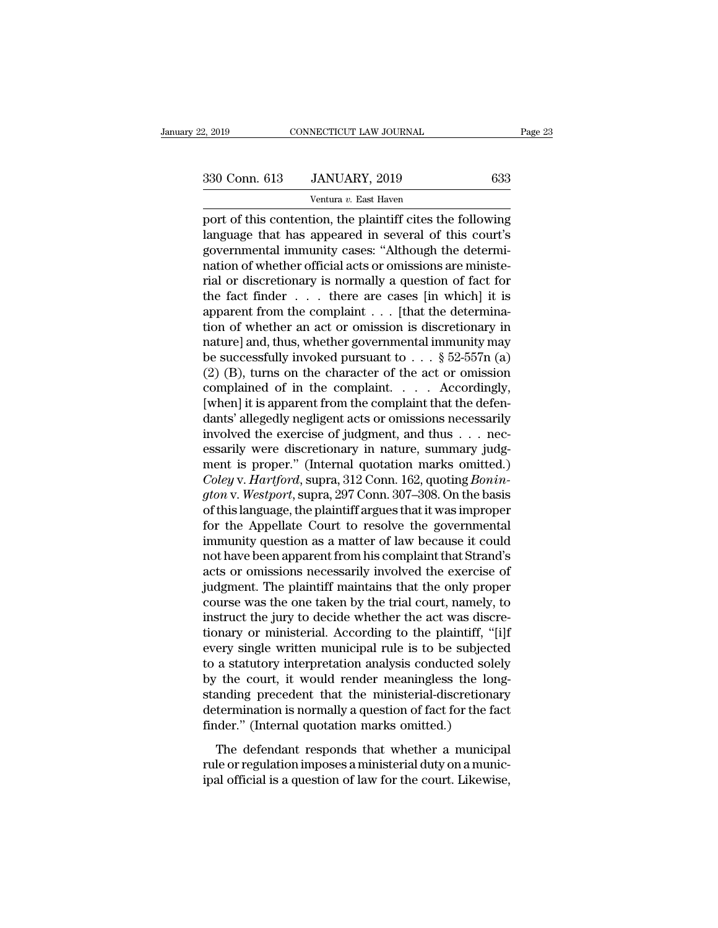NECTICUT LAW JOURNAL<br>JANUARY, 2019<br>Ventura *v.* East Haven<br>tion the plaintiff cites the Page 23<br>
Page 23<br>
330 Conn. 613 JANUARY, 2019 633<br>
Ventura v. East Haven<br>
port of this contention, the plaintiff cites the following<br>
language that has appeared in several of this court's<br>
dovernmental immunity cases: "Alt 330 Conn. 613 JANUARY, 2019 633<br>
Ventura v. East Haven<br>
port of this contention, the plaintiff cites the following<br>
language that has appeared in several of this court's<br>
governmental immunity cases: "Although the determi- $\frac{330 \text{ Conn. } 613}{\text{Ventura } v. \text{ East Haven}}$  633<br>
port of this contention, the plaintiff cites the following<br>
language that has appeared in several of this court's<br>
governmental immunity cases: "Although the determi-<br>
nation of whe 330 Conn. 613 JANUARY, 2019 633<br>
Ventura v. East Haven<br>
port of this contention, the plaintiff cites the following<br>
language that has appeared in several of this court's<br>
governmental immunity cases: "Although the determi Ventura v. East Haven<br>port of this contention, the plaintiff cites the following<br>language that has appeared in several of this court's<br>governmental immunity cases: "Although the determi-<br>nation of whether official acts or ventura v. East Haven<br>port of this contention, the plaintiff cites the following<br>language that has appeared in several of this court's<br>governmental immunity cases: "Although the determi-<br>nation of whether official acts or port of this contention, the plaintiff cites the following<br>language that has appeared in several of this court's<br>governmental immunity cases: "Although the determi-<br>nation of whether official acts or omissions are ministelanguage that has appeared in several of this court's<br>governmental immunity cases: "Although the determi-<br>nation of whether official acts or omissions are ministe-<br>rial or discretionary is normally a question of fact for<br> governmental immunity cases: "Although the determination of whether official acts or omissions are ministe-<br>rial or discretionary is normally a question of fact for<br>the fact finder . . . there are cases [in which] it is<br>a mation of whether official acts or omissions are ministe-<br>rial or discretionary is normally a question of fact for<br>the fact finder . . . there are cases [in which] it is<br>apparent from the complaint . . . [that the determi rial or discretionary is normally a question of fact for<br>the fact finder . . . there are cases [in which] it is<br>apparent from the complaint . . . [that the determina-<br>tion of whether an act or omission is discretionary in the fact finder . . . . there are cases [in which] it is<br>apparent from the complaint . . . [that the determina-<br>tion of whether an act or omission is discretionary in<br>nature] and, thus, whether governmental immunity may<br>b apparent from the complaint  $\ldots$  [that the determination of whether an act or omission is discretionary in nature] and, thus, whether governmental immunity may be successfully invoked pursuant to  $\ldots$  § 52-557n (a) (2) tion of whether an act or omission is discretionary in<br>nature] and, thus, whether governmental immunity may<br>be successfully invoked pursuant to  $\dots$  § 52-557n (a)<br>(2) (B), turns on the character of the act or omission<br>com nature] and, thus, whether governmental immunity may<br>be successfully invoked pursuant to . . . § 52-557n (a)<br>(2) (B), turns on the character of the act or omission<br>complained of in the complaint. . . . . Accordingly,<br>[whe be successfully invoked pursuant to  $\ldots$  § 52-557n (a) (2) (B), turns on the character of the act or omission complained of in the complaint.  $\ldots$  Accordingly, [when] it is apparent from the complaint that the defendant (2) (B), turns on the character of the act or omission<br>complained of in the complaint. . . . . Accordingly,<br>[when] it is apparent from the complaint that the defen-<br>dants' allegedly negligent acts or omissions necessarily complained of in the complaint. . . . . Accordingly,<br>[when] it is apparent from the complaint that the defen-<br>dants' allegedly negligent acts or omissions necessarily<br>involved the exercise of judgment, and thus . . . nec-<br> [when] it is apparent from the complaint that the defendants' allegedly negligent acts or omissions necessarily<br>involved the exercise of judgment, and thus . . . nec-<br>essarily were discretionary in nature, summary judg-<br>me dants' allegedly negligent acts or omissions necessarily<br>involved the exercise of judgment, and thus  $\dots$  nec-<br>essarily were discretionary in nature, summary judg-<br>ment is proper." (Internal quotation marks omitted.)<br>*Col* involved the exercise of judgment, and thus . . . necessarily were discretionary in nature, summary judgment is proper." (Internal quotation marks omitted.) Coley v. Hartford, supra, 312 Conn. 162, quoting *Bonington* v. essarily were discretionary in nature, summary judgment is proper." (Internal quotation marks omitted.)<br>Coley v. Hartford, supra, 312 Conn. 162, quoting Bonington v. Westport, supra, 297 Conn. 307–308. On the basis<br>of this ment is proper." (Internal quotation marks omitted.)<br>Coley v. Hartford, supra, 312 Conn. 162, quoting Bonin-<br>gton v. Westport, supra, 297 Conn. 307–308. On the basis<br>of this language, the plaintiff argues that it was impro Coley v. Hartford, supra, 312 Conn. 162, quoting Bonin-<br>gton v. Westport, supra, 297 Conn. 307–308. On the basis<br>of this language, the plaintiff argues that it was improper<br>for the Appellate Court to resolve the government gton v. Westport, supra, 297 Conn. 307–308. On the basis<br>of this language, the plaintiff argues that it was improper<br>for the Appellate Court to resolve the governmental<br>immunity question as a matter of law because it could of this language, the plaintiff argues that it was improper<br>for the Appellate Court to resolve the governmental<br>immunity question as a matter of law because it could<br>not have been apparent from his complaint that Strand's<br> for the Appellate Court to resolve the governmental<br>immunity question as a matter of law because it could<br>not have been apparent from his complaint that Strand's<br>acts or omissions necessarily involved the exercise of<br>judgm immunity question as a matter of law because it could<br>not have been apparent from his complaint that Strand's<br>acts or omissions necessarily involved the exercise of<br>judgment. The plaintiff maintains that the only proper<br>co not have been apparent from his complaint that Strand's<br>acts or omissions necessarily involved the exercise of<br>judgment. The plaintiff maintains that the only proper<br>course was the one taken by the trial court, namely, to<br> acts or omissions necessarily involved the exercise of<br>judgment. The plaintiff maintains that the only proper<br>course was the one taken by the trial court, namely, to<br>instruct the jury to decide whether the act was discre-<br> judgment. The plaintiff maintains that the only proper<br>course was the one taken by the trial court, namely, to<br>instruct the jury to decide whether the act was discre-<br>tionary or ministerial. According to the plaintiff, "[i course was the one taken by the trial court, namely, to<br>instruct the jury to decide whether the act was discre-<br>tionary or ministerial. According to the plaintiff, "[i]f<br>every single written municipal rule is to be subject instruct the jury to decide whether the act was discretionary or ministerial. According to the plaintiff, "[i]f every single written municipal rule is to be subjected to a statutory interpretation analysis conducted solely tionary or ministerial. According to the plaintiff, "[every single written municipal rule is to be subject<br>to a statutory interpretation analysis conducted sole<br>by the court, it would render meaningless the lor<br>standing pr Eq. 3 angle which manisepar rate is to be balayered<br>a statutory interpretation analysis conducted solely<br>the court, it would render meaningless the long-<br>anding precedent that the ministerial-discretionary<br>termination is regulation is a manipulated and set of the court, it would render meaningless the long-<br>standing precedent that the ministerial-discretionary<br>determination is normally a question of fact for the fact<br>finder." (Internal quo Equivalent that the ministerial-discretionary<br>standing precedent that the ministerial-discretionary<br>determination is normally a question of fact for the fact<br>finder." (Internal quotation marks omitted.)<br>The defendant respo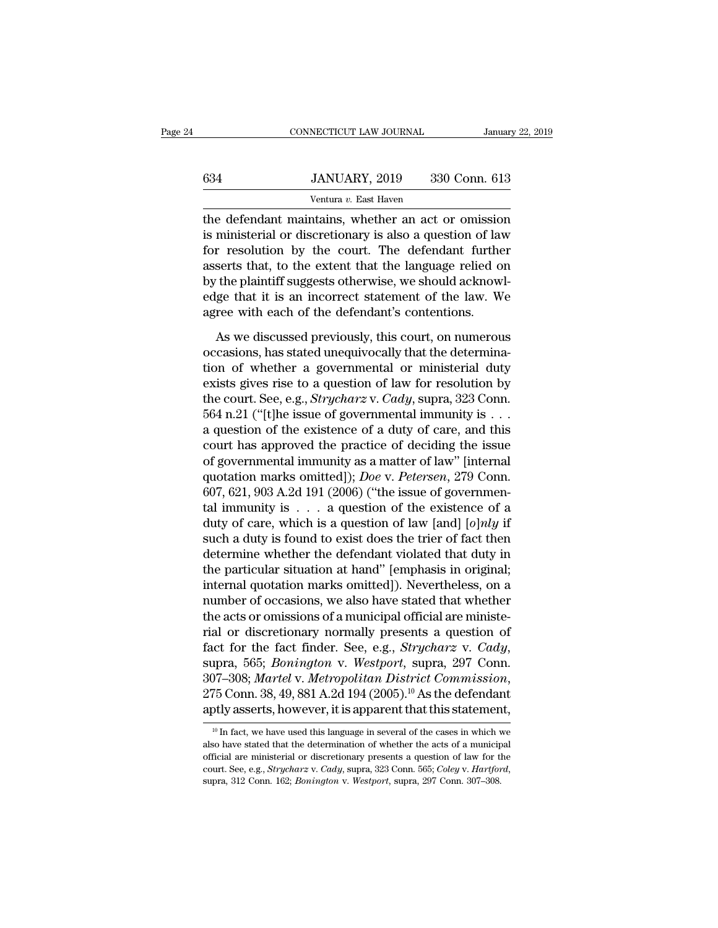|     | CONNECTICUT LAW JOURNAL                             | January 22, 2019 |
|-----|-----------------------------------------------------|------------------|
|     |                                                     |                  |
| 634 | JANUARY, 2019<br>Ventura v. East Haven              | 330 Conn. 613    |
|     | the defendant maintains, whether an act or omission |                  |

CONNECTICUT LAW JOURNAL January 22, 2019<br> **EXECUTE ANTI SET ANTI SET ANTI SET ANTI SET ANTI SET ALL OF A SET ALL OF A SET AND SET AND SET AND SET AND SET AND SET AND SET AND SET AND SET AND SET AND SET AND SET AND SET AND** <sup>634</sup> JANUARY, 2019 330 Conn. 613<br>
<sup>Ventura v. East Haven<br>
the defendant maintains, whether an act or omission<br>
is ministerial or discretionary is also a question of law<br>
for resolution by the court. The defendant further<br></sup>  $534$  JANUARY, 2019 330 Conn. 613<br>
Ventura v. East Haven<br>
the defendant maintains, whether an act or omission<br>
is ministerial or discretionary is also a question of law<br>
for resolution by the court. The defendant further<br>  $330 \text{ Conn. } 613$ <br>
Ventura v. East Haven<br>
the defendant maintains, whether an act or omission<br>
is ministerial or discretionary is also a question of law<br>
for resolution by the court. The defendant further<br>
asserts that, to Ventura v. East Haven<br>the defendant maintains, whether an act or omission<br>is ministerial or discretionary is also a question of law<br>for resolution by the court. The defendant further<br>asserts that, to the extent that the l ventura  $v$ . East haven<br>the defendant maintains, whether an act or omission<br>is ministerial or discretionary is also a question of law<br>for resolution by the court. The defendant further<br>asserts that, to the extent that the the defendant maintains, whether an act or omissio<br>is ministerial or discretionary is also a question of lav<br>for resolution by the court. The defendant furthe<br>asserts that, to the extent that the language relied o<br>by the p r resolution by the court. The defendant further<br>serts that, to the extent that the language relied on<br>the plaintiff suggests otherwise, we should acknowl-<br>ge that it is an incorrect statement of the law. We<br>ree with each For state that, to the extent that the language relied on<br>by the plaintiff suggests otherwise, we should acknowl-<br>edge that it is an incorrect statement of the law. We<br>agree with each of the defendant's contentions.<br>As we

the plaintiff suggests otherwise, we should acknowledge that it is an incorrect statement of the law. We agree with each of the defendant's contentions.<br>As we discussed previously, this court, on numerous occasions, has s edge that it is an incorrect statement of the law. We<br>agree with each of the defendant's contentions.<br>As we discussed previously, this court, on numerous<br>occasions, has stated unequivocally that the determina-<br>tion of whe agree with each of the defendant's contentions.<br>As we discussed previously, this court, on numerous<br>occasions, has stated unequivocally that the determina-<br>tion of whether a governmental or ministerial duty<br>exists gives ri As we discussed previously, this court, on numerous<br>occasions, has stated unequivocally that the determina-<br>tion of whether a governmental or ministerial duty<br>exists gives rise to a question of law for resolution by<br>the c As we discussed previously, this court, on numerous<br>occasions, has stated unequivocally that the determina-<br>tion of whether a governmental or ministerial duty<br>exists gives rise to a question of law for resolution by<br>the c occasions, has stated unequivocally that the determination of whether a governmental or ministerial duty exists gives rise to a question of law for resolution by the court. See, e.g., *Strycharz* v. *Cady*, supra, 323 Con tion of whether a governmental or ministerial duty<br>exists gives rise to a question of law for resolution by<br>the court. See, e.g., *Strycharz* v. *Cady*, supra, 323 Conn.<br>564 n.21 ("[t]he issue of governmental immunity is exists gives rise to a question of law for resolution by<br>the court. See, e.g., *Strycharz* v. *Cady*, supra, 323 Conn.<br>564 n.21 ("[t]he issue of governmental immunity is . . .<br>a question of the existence of a duty of care, the court. See, e.g., *Strycharz* v. *Cady*, supra, 323 Conn.<br>564 n.21 ("[t]he issue of governmental immunity is . . .<br>a question of the existence of a duty of care, and this<br>court has approved the practice of deciding th 564 n.21 ("[t]he issue of governmental immunity is . . .<br>a question of the existence of a duty of care, and this<br>court has approved the practice of deciding the issue<br>of governmental immunity as a matter of law" [internal a question of the existence of a duty of care, and this<br>court has approved the practice of deciding the issue<br>of governmental immunity as a matter of law" [internal<br>quotation marks omitted]); *Doe* v. *Petersen*, 279 Conn court has approved the practice of deciding the issue<br>of governmental immunity as a matter of law" [internal<br>quotation marks omitted]); *Doe* v. Petersen, 279 Conn.<br>607, 621, 903 A.2d 191 (2006) ("the issue of governmen-<br> of governmental immunity as a matter of law" [internal<br>quotation marks omitted]); *Doe* v. *Petersen*, 279 Conn.<br>607, 621, 903 A.2d 191 (2006) ("the issue of governmen-<br>tal immunity is . . . a question of the existence of quotation marks omitted]); *Doe* v. *Petersen*, 279 Conn.<br>607, 621, 903 A.2d 191 (2006) ("the issue of governmen-<br>tal immunity is . . . a question of the existence of a<br>duty of care, which is a question of law [and] [*o*] 607, 621, 903 A.2d 191 (2006) ("the issue of governmental immunity is  $\dots$  a question of the existence of a duty of care, which is a question of law [and] [*o*]*nly* if such a duty is found to exist does the trier of fact tal immunity is . . . a question of the existence of a<br>duty of care, which is a question of law [and] [*o*]*nly* if<br>such a duty is found to exist does the trier of fact then<br>determine whether the defendant violated that d duty of care, which is a question of law [and] [o]*nly* if<br>such a duty is found to exist does the trier of fact then<br>determine whether the defendant violated that duty in<br>the particular situation at hand" [emphasis in ori such a duty is found to exist does the trier of fact then<br>determine whether the defendant violated that duty in<br>the particular situation at hand" [emphasis in original;<br>internal quotation marks omitted]). Nevertheless, on determine whether the defendant violated that duty in<br>the particular situation at hand" [emphasis in original;<br>internal quotation marks omitted]). Nevertheless, on a<br>number of occasions, we also have stated that whether<br>th internal quotation marks omitted]). Nevertheless, on a<br>number of occasions, we also have stated that whether<br>the acts or omissions of a municipal official are ministe-<br>rial or discretionary normally presents a question of<br> the acts or omissions of a municipal official are ministerial or discretionary normally presents a question of fact for the fact finder. See, e.g., *Strycharz v. Cady*, supra, 565; *Bonington v. Westport*, supra, 297 Conn <sup>10</sup> In fact, we have used this language in several of the cases in which we 307–308; *Martel v. Metropolitan District Commission*,<br>275 Conn. 38, 49, 881 A.2d 194 (2005).<sup>10</sup> As the defendant<br>aptly asserts, however, it is apparent that this statement,<br><sup>10</sup> In fact, we have used this language in se

<sup>275</sup> Conn. 38, 49, 881 A.2d 194 (2005).<sup>10</sup> As the defendant aptly asserts, however, it is apparent that this statement,<br> $\frac{10 \text{ In fact, we have used this language in several of the cases in which we also have stated that the determination of whether the acts of a municipal official are ministerial or discrepancy presents a question of law for the court. See, e.g., *Strycharz v. Cady*, supra, 323 Conn. 565, *Coley v. Hartford*,$ aptly asserts, however, it is apparent that this statement,<br>
<sup>10</sup> In fact, we have used this language in several of the cases in which we<br>
also have stated that the determination of whether the acts of a municipal<br>
officia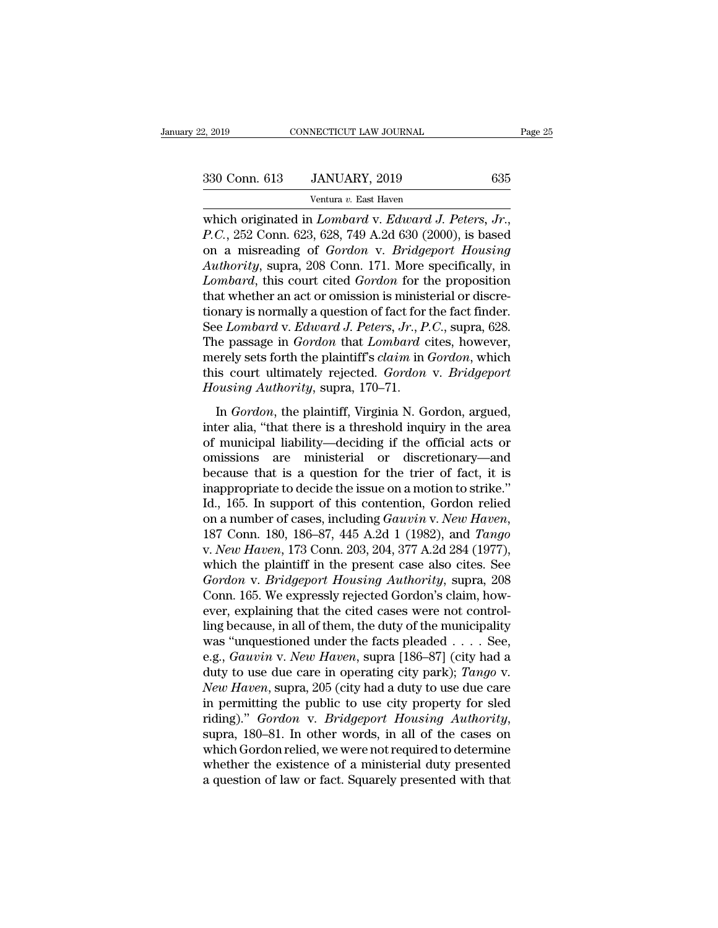NECTICUT LAW JOURNAL<br>JANUARY, 2019<br><sup>Ventura v.</sup> East Haven<br>1 *Lombard v. Edward J* which originated in *Lombard* v. *Edward J. Peters, Jr.*, *P.C.*, 252 Conn. 623, 628, 749 A.2d 630 (2000), is based<br>on a misreading of *Gordon* v. *Edward J. Peters, Jr.*, *P.C.*, 252 Conn. 623, 628, 749 A.2d 630 (2000), i 330 Conn. 613 JANUARY, 2019 635<br>
Ventura v. East Haven<br>
which originated in *Lombard* v. *Edward J. Peters, Jr.*,<br> *P.C.*, 252 Conn. 623, 628, 749 A.2d 630 (2000), is based<br>
on a misreading of *Gordon* v. *Bridgeport Housi* <sup>330</sup> Conn. 613 JANUARY, 2019 635<br>
Ventura v. East Haven<br>
which originated in *Lombard* v. *Edward J. Peters, Jr.*,<br> *P.C.*, 252 Conn. 623, 628, 749 A.2d 630 (2000), is based<br>
on a misreading of *Gordon* v. *Bridgeport Hou Lombard v. East Haven*<br> *Lombard v. Edward J. Peters, Jr.*<br> *P.C.*, 252 Conn. 623, 628, 749 A.2d 630 (2000), is based<br>
on a misreading of *Gordon v. Bridgeport Housing*<br> *Authority*, supra, 208 Conn. 171. More specificall ventura v. East Haven<br>which originated in *Lombard* v. Edward J. Peters, Jr.,<br>P.C., 252 Conn. 623, 628, 749 A.2d 630 (2000), is based<br>on a misreading of *Gordon* v. Bridgeport Housing<br>Authority, supra, 208 Conn. 171. More which originated in *Lombard* v. *Edward J. Peters, Jr.*, *P.C.*, 252 Conn. 623, 628, 749 A.2d 630 (2000), is based<br>on a misreading of *Gordon* v. *Bridgeport Housing*<br>*Authority*, supra, 208 Conn. 171. More specifically, *P.C.*, 252 Conn. 623, 628, 749 A.2d 630 (2000), is based<br>on a misreading of *Gordon* v. *Bridgeport Housing*<br>*Authority*, supra, 208 Conn. 171. More specifically, in<br>*Lombard*, this court cited *Gordon* for the propositio on a misreading of *Gordon* v. *Bridgeport Housing*<br>Authority, supra, 208 Conn. 171. More specifically, in<br>*Lombard*, this court cited *Gordon* for the proposition<br>that whether an act or omission is ministerial or discre-<br> Authority, supra, 208 Conn. 171. More specifically, in<br>Lombard, this court cited *Gordon* for the proposition<br>that whether an act or omission is ministerial or discre-<br>tionary is normally a question of fact for the fact fi Lombard, this court cited *Gordon* for the proposition<br>that whether an act or omission is ministerial or discre-<br>tionary is normally a question of fact for the fact finder.<br>See Lombard v. *Edward J. Peters, Jr., P.C.*, sup *Hauthorican and the mission is minist*<br> *Housing is normally a question of fact for*<br> *Housing Authority, P. P. The passage in Gordon that Lombard c*<br> *Housing Authority, supra, 170–71.*<br> *Housing Authority, supra, 170–71* in *Gordon States Internals* and *Gordon Chatters, Jr., P.C.*, supra, 628.<br>
He passage in *Gordon* that *Lombard* cites, however,<br>
erely sets forth the plaintiff's *claim* in *Gordon*, which<br>
is court ultimately rejected. The passage in *Gordon* that *Lombard* cites, however,<br>merely sets forth the plaintiff's *claim* in *Gordon*, which<br>this court ultimately rejected. *Gordon* v. *Bridgeport*<br>*Housing Authority*, supra, 170–71.<br>In *Gordon*,

The passage in Gordon and Eomean enter, nowever,<br>merely sets forth the plaintiff's *claim* in *Gordon*, which<br>this court ultimately rejected. *Gordon* v. *Bridgeport*<br>Housing Authority, supra, 170–71.<br>In *Gordon*, the plai mercy sets form the plantal is statim in dortion, which<br>this court ultimately rejected. *Gordon* v. *Bridgeport*<br>Housing Authority, supra, 170–71.<br>In *Gordon*, the plaintiff, Virginia N. Gordon, argued,<br>inter alia, "that t *Because that interior*, supra, 170–71.<br>
In *Gordon*, the plaintiff, Virginia N. Gordon, argued,<br>
inter alia, "that there is a threshold inquiry in the area<br>
of municipal liability—deciding if the official acts or<br>
omissi In *Gordon*, the plaintiff, Virginia N. Gordon, argued,<br>inter alia, "that there is a threshold inquiry in the area<br>of municipal liability—deciding if the official acts or<br>omissions are ministerial or discretionary—and<br>bec In *Gordon*, the plaintiff, Virginia N. Gordon, argued,<br>inter alia, "that there is a threshold inquiry in the area<br>of municipal liability—deciding if the official acts or<br>omissions are ministerial or discretionary—and<br>bec inter alia, "that there is a threshold inquiry in the area<br>of municipal liability—deciding if the official acts or<br>omissions are ministerial or discretionary—and<br>because that is a question for the trier of fact, it is<br>inap omissions are ministerial or discretionary—and<br>because that is a question for the trier of fact, it is<br>inappropriate to decide the issue on a motion to strike."<br>Id., 165. In support of this contention, Gordon relied<br>on a n because that is a question for the trier of fact, it is<br>inappropriate to decide the issue on a motion to strike."<br>Id., 165. In support of this contention, Gordon relied<br>on a number of cases, including *Gawin v. New Haven*, inappropriate to decide the issue on a motion to strike."<br>Id., 165. In support of this contention, Gordon relied<br>on a number of cases, including *Gauvin v. New Haven*,<br>187 Conn. 180, 186–87, 445 A.2d 1 (1982), and *Tango*<br> Id., 165. In support of this contention, Gordon relied<br>on a number of cases, including *Gauvin v. New Haven*,<br>187 Conn. 180, 186–87, 445 A.2d 1 (1982), and *Tango*<br>v. *New Haven*, 173 Conn. 203, 204, 377 A.2d 284 (1977),<br>w on a number of cases, including *Gauvin v. New Haven*, 187 Conn. 180, 186–87, 445 A.2d 1 (1982), and *Tango* v. *New Haven*, 173 Conn. 203, 204, 377 A.2d 284 (1977), which the plaintiff in the present case also cites. See 187 Conn. 180, 186–87, 445 A.2d 1 (1982), and *Tango* v. *New Haven*, 173 Conn. 203, 204, 377 A.2d 284 (1977), which the plaintiff in the present case also cites. See *Gordon v. Bridgeport Housing Authority*, supra, 208 C v. *New Haven*, 173 Conn. 203, 204, 377 A.2d 284 (1977),<br>which the plaintiff in the present case also cites. See<br>Gordon v. *Bridgeport Housing Authority*, supra, 208<br>Conn. 165. We expressly rejected Gordon's claim, how-<br>e which the plaintiff in the present case also cites. See<br>Gordon v. *Bridgeport Housing Authority*, supra, 208<br>Conn. 165. We expressly rejected Gordon's claim, how-<br>ever, explaining that the cited cases were not control-<br>lin Gordon v. *Bridgeport Housing Authority*, supra, 208<br>Conn. 165. We expressly rejected Gordon's claim, how-<br>ever, explaining that the cited cases were not control-<br>ling because, in all of them, the duty of the municipality<br> Conn. 165. We expressly rejected Gordon's claim, how-<br>ever, explaining that the cited cases were not control-<br>ling because, in all of them, the duty of the municipality<br>was "unquestioned under the facts pleaded . . . . See ever, explaining that the cited cases were not controlling because, in all of them, the duty of the municipality was "unquestioned under the facts pleaded . . . . See, e.g., *Gauvin v. New Haven*, supra [186–87] (city had ling because, in all of them, the duty of the municipality<br>was "unquestioned under the facts pleaded . . . . See,<br>e.g., *Gauvin v. New Haven*, supra [186–87] (city had a<br>duty to use due care in operating city park); *Tango* e.g., *Gauvin v. New Haven*, supra [186–87] (city had a<br>duty to use due care in operating city park); *Tango v.*<br>New Haven, supra, 205 (city had a duty to use due care<br>in permitting the public to use city property for sled duty to use due care in operating city park); *Tango v.*<br>New Haven, supra, 205 (city had a duty to use due care<br>in permitting the public to use city property for sled<br>riding)." *Gordon v. Bridgeport Housing Authority*,<br>sup New Haven, supra, 205 (city had a duty to use due care<br>in permitting the public to use city property for sled<br>riding)." *Gordon* v. *Bridgeport Housing Authority*,<br>supra, 180–81. In other words, in all of the cases on<br>whic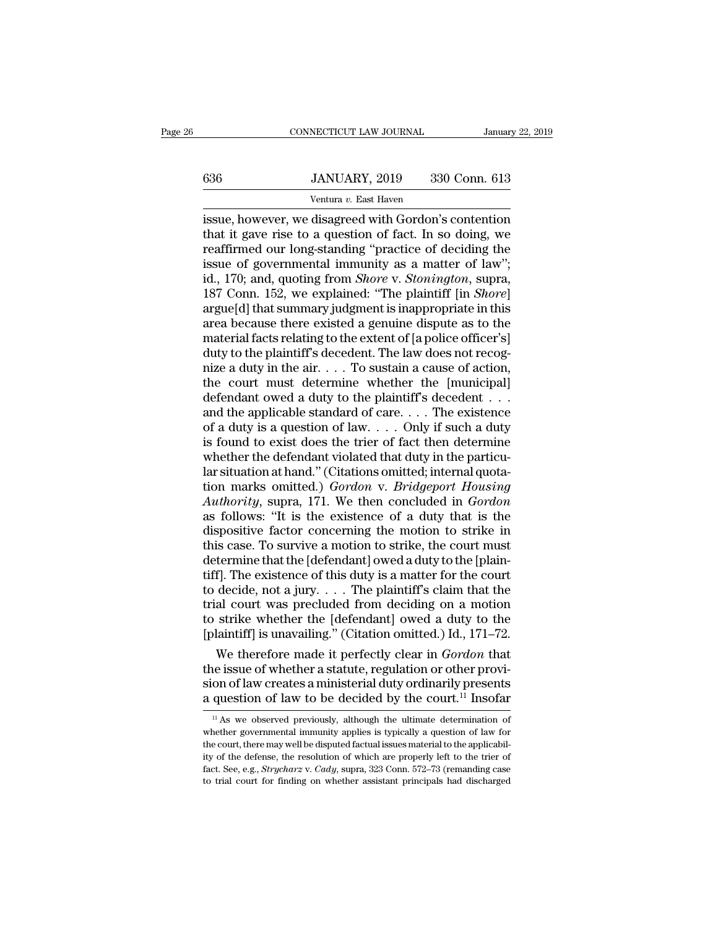# EXECUTE CONNECTICUT LAW JOURNAL January 22, 2019<br> **636** JANUARY, 2019 330 Conn. 613<br>
Ventura v. East Haven

CONNECTICUT LAW JOURNAL Januar<br>
Sandar JANUARY, 2019 330 Conn. 613<br>
Ventura *v*. East Haven<br>
ISSUE, however, we disagreed with Gordon's contention CONNECTICUT LAW JOURNAL January 22, 2019<br> **EXECUTE ANTICARY, 2019** 330 Conn. 613<br>
Ventura v. East Haven<br>
ISSUE, however, we disagreed with Gordon's contention<br>
that it gave rise to a question of fact. In so doing, we<br>
reaf 636 JANUARY, 2019 330 Conn. 613<br>
Ventura v. East Haven<br>
issue, however, we disagreed with Gordon's contention<br>
that it gave rise to a question of fact. In so doing, we<br>
reaffirmed our long-standing "practice of deciding t Fig. 330 Conn. 613<br>
Fig. 330 Conn. 613<br>
Tentura v. East Haven<br>
Issue, however, we disagreed with Gordon's contention<br>
that it gave rise to a question of fact. In so doing, we<br>
reaffirmed our long-standing "practice of dec 636 JANUARY, 2019 330 Conn. 613<br>
Ventura v. East Haven<br>
issue, however, we disagreed with Gordon's contention<br>
that it gave rise to a question of fact. In so doing, we<br>
reaffirmed our long-standing "practice of deciding t Ventura v. East Haven<br>
issue, however, we disagreed with Gordon's contention<br>
that it gave rise to a question of fact. In so doing, we<br>
reaffirmed our long-standing "practice of deciding the<br>
issue of governmental immunity Ventura v. East Haven<br>
issue, however, we disagreed with Gordon's contention<br>
that it gave rise to a question of fact. In so doing, we<br>
reaffirmed our long-standing "practice of deciding the<br>
issue of governmental immunity issue, however, we disagreed with Gordon's contention<br>that it gave rise to a question of fact. In so doing, we<br>reaffirmed our long-standing "practice of deciding the<br>issue of governmental immunity as a matter of law";<br>id., that it gave rise to a question of fact. In so doing, we<br>reaffirmed our long-standing "practice of deciding the<br>issue of governmental immunity as a matter of law";<br>id., 170; and, quoting from *Shore* v. *Stonington*, supra reaffirmed our long-standing "practice of deciding the<br>issue of governmental immunity as a matter of law";<br>id., 170; and, quoting from *Shore* v. *Stonington*, supra,<br>187 Conn. 152, we explained: "The plaintiff [in *Shore* issue of governmental immunity as a matter of law";<br>id., 170; and, quoting from *Shore* v. *Stonington*, supra,<br>187 Conn. 152, we explained: "The plaintiff [in *Shore*]<br>argue[d] that summary judgment is inappropriate in t id., 170; and, quoting from *Shore* v. *Stonington*, supra, 187 Conn. 152, we explained: "The plaintiff [in *Shore*] argue[d] that summary judgment is inappropriate in this area because there existed a genuine dispute as t 187 Conn. 152, we explained: "The plaintiff [in *Shore*]<br>argue[d] that summary judgment is inappropriate in this<br>area because there existed a genuine dispute as to the<br>material facts relating to the extent of [a police of argue[d] that summary judgment is inappropriate in this<br>area because there existed a genuine dispute as to the<br>material facts relating to the extent of [a police officer's]<br>duty to the plaintiff's decedent. The law does n area because there existed a genuine dispute as to the<br>material facts relating to the extent of [a police officer's]<br>duty to the plaintiff's decedent. The law does not recog-<br>nize a duty in the air. . . . To sustain a cau material facts relating to the extent of [a police officer's]<br>duty to the plaintiff's decedent. The law does not recog-<br>nize a duty in the air. . . . To sustain a cause of action,<br>the court must determine whether the [muni duty to the plaintiff's decedent. The law does not recognize a duty in the air.  $\dots$  To sustain a cause of action, the court must determine whether the [municipal] defendant owed a duty to the plaintiff's decedent  $\dots$  an nize a duty in the air.... To sustain a cause of action,<br>the court must determine whether the [municipal]<br>defendant owed a duty to the plaintiff's decedent ...<br>and the applicable standard of care.... The existence<br>of a du the court must determine whether the [municipal]<br>defendant owed a duty to the plaintiff's decedent ...<br>and the applicable standard of care.... The existence<br>of a duty is a question of law.... Only if such a duty<br>is found defendant owed a duty to the plaintiff's decedent . . . .<br>and the applicable standard of care. . . . The existence<br>of a duty is a question of law. . . . Only if such a duty<br>is found to exist does the trier of fact then det and the applicable standard of care. . . . The existence<br>of a duty is a question of law. . . . Only if such a duty<br>is found to exist does the trier of fact then determine<br>whether the defendant violated that duty in the pa of a duty is a question of law.... Only if such a duty<br>is found to exist does the trier of fact then determine<br>whether the defendant violated that duty in the particu-<br>lar situation at hand." (Citations omitted; internal is found to exist does the trier of fact then determine<br>whether the defendant violated that duty in the particu-<br>lar situation at hand." (Citations omitted; internal quota-<br>tion marks omitted.) *Gordon* v. *Bridgeport Hous* whether the defendant violated that duty in the particu-<br>lar situation at hand." (Citations omitted; internal quota-<br>tion marks omitted.) *Gordon* v. *Bridgeport Housing*<br>Authority, supra, 171. We then concluded in *Gordon* lar situation at hand." (Citations omitted; internal quotation marks omitted.) *Gordon* v. *Bridgeport Housing*<br>Authority, supra, 171. We then concluded in *Gordon*<br>as follows: "It is the existence of a duty that is the<br>di tion marks omitted.) *Gordon* v. *Bridgeport Housing*<br>Authority, supra, 171. We then concluded in *Gordon*<br>as follows: "It is the existence of a duty that is the<br>dispositive factor concerning the motion to strike in<br>this Authority, supra, 171. We then concluded in *Gordon*<br>as follows: "It is the existence of a duty that is the<br>dispositive factor concerning the motion to strike in<br>this case. To survive a motion to strike, the court must<br>det as follows: "It is the existence of a duty that is the<br>dispositive factor concerning the motion to strike in<br>this case. To survive a motion to strike, the court must<br>determine that the [defendant] owed a duty to the [plai dispositive factor concerning the motion to strike in<br>this case. To survive a motion to strike, the court must<br>determine that the [defendant] owed a duty to the [plain-<br>tiff]. The existence of this duty is a matter for th this case. To survive a motion to strike, the court must<br>determine that the [defendant] owed a duty to the [plain-<br>tiff]. The existence of this duty is a matter for the court<br>to decide, not a jury. . . . The plaintiff's c termine that the [defendant] owed a duty to the [plain-<br>f]. The existence of this duty is a matter for the court<br>decide, not a jury.... The plaintiff's claim that the<br>al court was precluded from deciding on a motion<br>strik tiff]. The existence of this duty is a matter for the court<br>to decide, not a jury.... The plaintiff's claim that the<br>trial court was precluded from deciding on a motion<br>to strike whether the [defendant] owed a duty to the

to decide, not a jury.... The plaintiff's claim that the<br>trial court was precluded from deciding on a motion<br>to strike whether the [defendant] owed a duty to the<br>[plaintiff] is unavailing." (Citation omitted.) Id., 171–72 trial court was precluded from deciding on a motion<br>to strike whether the [defendant] owed a duty to the<br>[plaintiff] is unavailing." (Citation omitted.) Id., 171–72.<br>We therefore made it perfectly clear in *Gordon* that<br>t We therefore made it perfectly clear in *Gordon* that<br>he issue of whether a statute, regulation or other provi-<br>on of law creates a ministerial duty ordinarily presents<br>question of law to be decided by the court.<sup>11</sup> Inso the issue of whether a statute, regulation or other provision of law creates a ministerial duty ordinarily presents a question of law to be decided by the court.<sup>11</sup> Insofar  $\frac{1}{10}$  As we observed previously, although

sion of law creates a ministerial duty ordinarily presents<br>a question of law to be decided by the court.<sup>11</sup> Insofar<br> $\frac{1}{10}$  As we observed previously, although the ultimate determination of<br>whether governmental immuni a question of law to be decided by the court.<sup>11</sup> Insofar<br>
<sup>11</sup> As we observed previously, although the ultimate determination of<br>
whether governmental immunity applies is typically a question of law for<br>
the court, there a question of fact of the decrease of the decrease of the court.<sup>--</sup> Insolar<br><sup>11</sup> As we observed previously, although the ultimate determination of<br>whether governmental immunity applies is typically a question of law for<br>t <sup>11</sup> As we observed previously, although the ultimate determination of whether governmental immunity applies is typically a question of law for the court, there may well be disputed factual issues material to the applicab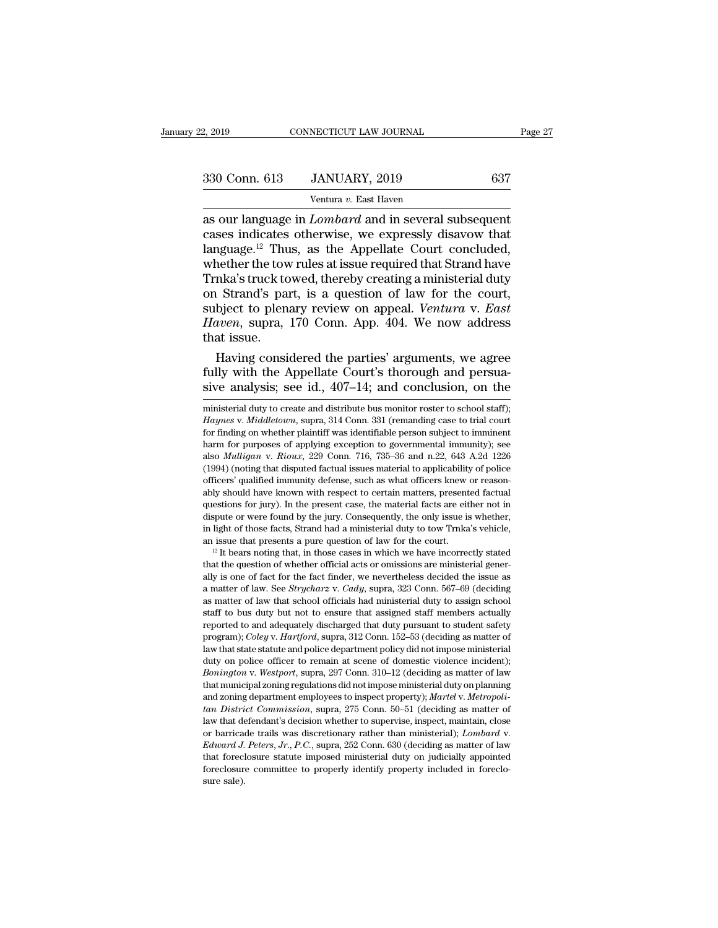| 2, 2019       | CONNECTICUT LAW JOURNAL | Page 27 |  |
|---------------|-------------------------|---------|--|
| 330 Conn. 613 | JANUARY, 2019           | 637     |  |
|               | Ventura v. East Haven   |         |  |

2, 2019 CONNECTICUT LAW JOURNAL<br>
330 Conn. 613 JANUARY, 2019 637<br>
Ventura *v*. East Haven<br>
as our language in *Lombard* and in several subsequent 2, 2019 CONNECTICUT LAW JOURNAL Page 2'<br>
330 Conn. 613 JANUARY, 2019 637<br>
Ventura v. East Haven<br>
as our language in *Lombard* and in several subsequent<br>
cases indicates otherwise, we expressly disavow that<br>
language <sup>12</sup> T 330 Conn. 613 JANUARY, 2019 637<br>
Ventura v. East Haven<br>
as our language in *Lombard* and in several subsequent<br>
cases indicates otherwise, we expressly disavow that<br>
language.<sup>12</sup> Thus, as the Appellate Court concluded,<br> 330 Conn. 613 JANUARY, 2019 637<br>
Ventura v. East Haven<br>
as our language in *Lombard* and in several subsequent<br>
cases indicates otherwise, we expressly disavow that<br>
language.<sup>12</sup> Thus, as the Appellate Court concluded,<br> 330 Conn. 613 JANUARY, 2019 637<br>
Ventura v. East Haven<br>
as our language in *Lombard* and in several subsequent<br>
cases indicates otherwise, we expressly disavow that<br>
language.<sup>12</sup> Thus, as the Appellate Court concluded,<br> Ventura v. East Haven<br>
Sold Collar. 019 Ventura v. East Haven<br>
as our language in *Lombard* and in several subsequent<br>
cases indicates otherwise, we expressly disavow that<br>
language.<sup>12</sup> Thus, as the Appellate Court concl Ventura v. East Haven<br>as our language in *Lombard* and in several subsequent<br>cases indicates otherwise, we expressly disavow that<br>language.<sup>12</sup> Thus, as the Appellate Court concluded,<br>whether the tow rules at issue requir as our language in *Lombard* and in several subsequent cases indicates otherwise, we expressly disavow that language.<sup>12</sup> Thus, as the Appellate Court concluded, whether the tow rules at issue required that Strand have Trn cases indicates otherwise, we expressly disavow that<br>language.<sup>12</sup> Thus, as the Appellate Court concluded,<br>whether the tow rules at issue required that Strand have<br>Trnka's truck towed, thereby creating a ministerial duty<br>o language.<sup>12</sup> Thus, as the Appellate Court concluded, whether the tow rules at issue required that Strand have Trnka's truck towed, thereby creating a ministerial duty on Strand's part, is a question of law for the court, nether the tow rules at issue required that Strand have<br>nka's truck towed, thereby creating a ministerial duty<br>i Strand's part, is a question of law for the court,<br>bject to plenary review on appeal. *Ventura v. East<br>nven*, Trnka's truck towed, thereby creating a ministerial duty<br>on Strand's part, is a question of law for the court,<br>subject to plenary review on appeal. Ventura v. East<br>Haven, supra, 170 Conn. App. 404. We now address<br>that issu on Strand's part, is a question of law for the court,<br>subject to plenary review on appeal. *Ventura v. East*<br>*Haven*, supra, 170 Conn. App. 404. We now address<br>that issue.<br>Having considered the parties' arguments, we agree

Having considered the parties' arguments, we agree<br>fully with the Appellate Court's thorough and persua-<br>sive analysis; see id., 407–14; and conclusion, on the<br>ministerial duty to create and distribute bus monitor roster t Having considered the parties' arguments, we agree fully with the Appellate Court's thorough and persua-<br>sive analysis; see id., 407–14; and conclusion, on the<br>ministerial duty to create and distribute bus monitor roster t

fully with the Appellate Court's thorough and persua-<br>sive analysis; see id.,  $407-14$ ; and conclusion, on the<br>ministerial duty to create and distribute bus monitor roster to school staff);<br>*Haynes* v. *Middletown*, supra harm for purposes of applying exception to governmental immunity); see also *Mulligan* v. *Rioux*, 229 Conn. 331 (remanding case to trial court for finding on whether plaintiff was identifiable person subject to imminent SIVe analysis; see 1d.,  $40$ /-14; and conclusion, on the ministerial duty to create and distribute bus monitor roster to school staff); *Haynes v. Middletown*, supra, 314 Conn. 331 (remanding case to trial court for findi ministerial duty to create and distribute bus monitor roster to school staff);<br>Haynes v. Middletown, supra, 314 Conn. 331 (remanding case to trial court<br>for finding on whether plaintiff was identifiable person subject to i Haynes v. *Middletown*, supra, 314 Conn. 331 (remanding case to trial court<br>for finding on whether plaintiff was identifiable person subject to imminent<br>harm for purposes of applying exception to governmental immunity); se Fragmes v. *matateoun,* supra, 914 Collit. 951 (tentanting case to that court<br>for finding on whether plaintiff was identifiable person subject to imminent<br>harm for purposes of applying exception to governmental immunity); for maing on wheater plantin was accurated person staglect to mainletin<br>harm for purposes of applying exception to governmental immunity); see<br>also *Mulligan* v. *Rioux*, 229 Conn. 716, 735–36 and n.22, 643 A.2d 1226<br>(1994 dispute or were found by the jury. Consequently, the only issue is whether, the jury. The found issues material to applicability of police officers' qualified immunity defense, such as what officers knew or reasonably shou (1994) (noting that disputed factual issues material to applicability of police officers' qualified immunity defense, such as what officers knew or reasonably should have known with respect to certain matters, presented f For the sent of the munity defense, such as what officers knew or reasonably should have known with respect to certain matters, presented factual questions for jury). In the present case, the material facts are either not ably should have known with respect to certain matters, presented factual questions for jury). In the present case, the material facts are either not in dispute or were found by the jury. Consequently, the only issue is w

dissuors for *jury)*. In the present case, the material races are enter not in dispute or were found by the jury. Consequently, the only issue is whether, in light of those facts, Strand had a ministerial duty to tow Trnk a matter of law. See *Strycharz* v. *Cady*, suppression of law for the court.<br>
<sup>12</sup> It bears noting that, in those cases in which we have incorrectly stated<br>
<sup>12</sup> It bears noting that, in those cases in which we have incor as matter of law that school officials had ministerial duty to associate,  $\frac{12}{12}$  it bears noting that, in those cases in which we have incorrectly stated that the question of whether official acts or omissions are mi <sup>12</sup> It bears noting that, in those cases in which we have incorrectly stated that the question of whether official acts or omissions are ministerial generally is one of fact for the fact finder, we nevertheless decided t reported to and adequately discharged that duty pursuant to student safety program); Coley v. *Hartford*, supra, 323 Conn. 567–69 (deciding as matter of law. See *Strycharz* v. *Cady*, supra, 323 Conn. 567–69 (deciding as and the question of whether official acts of omissions are infiliated generally is one of fact for the fact finder, we nevertheless decided the issue as a matter of law. See *Strycharz* v. *Cady*, supra, 323 Conn. 567–69 ( any is one of law hat fact in the fact indet, we nevertheess decided the issue as<br>a matter of law. See *Strycharz* v. *Cady*, supra, 323 Conn. 567–69 (deciding<br>as matter of law that school officials had ministerial duty to a matter of law. See *Sirgenary* v. eday, sapid, 525 collit. 501–55 (declaing as matter of law that school officials had ministerial duty to assign school staff to bus duty but not to ensure that assigned staff members act *Bonington* v. *Westport*, supra, 297 Conn. 310–12 (deciding as matter of law that state statuly discharged that duty pursuant to student safety program); *Coley v. Hartford*, supra, 312 Conn. 152–53 (deciding as matter of stant to bus tary but not to chisate that assigned stant includers actually<br>reported to and adequately discharged that duty pursuant to student safety<br>program); Coley v. Hartford, supra, 312 Conn. 152–53 (deciding as matte program); *Coley v. Hartford*, supra, 312 Conn. 152–53 (deciding as matter of law that state statute and police department policy did not impose ministerial duty on police officer to remain at scene of domestic violence in law that state statute and police department policy did not impose ministerial<br>duty on police officer to remain at scene of domestic violence incident);<br>*Bonington* v. *Westport*, supra, 297 Conn. 310–12 (deciding as matte duty on police officer to remain at scene of domestic violence incident);<br>duty on police officer to remain at scene of domestic violence incident);<br>Bonington v. Westport, supra, 297 Conn. 310–12 (deciding as matter of law<br> *Bonington v. Westport*, supra, 297 Conn. 310–12 (deciding as matter of law that municipal zoning regulations did not impose ministerial duty on planning and zoning department employees to inspect property); *Martel v. Met* that municipal zoning regulations undiversing oxidinate intuitive and disposition District Commission, supra, 275 Conn. 50–51 (deciding as matter of law that defendant's decision whether to supervise, inspect, maintain, cl *tan District Commission*, supra, 275 Conn. 50–51 (deciding as matter of law that defendant's decision whether to supervise, inspect, maintain, close or barricade trails was discretionary rather than ministerial); *Lombar* law that defendant's decision whether to supervise, inspect, maintain, close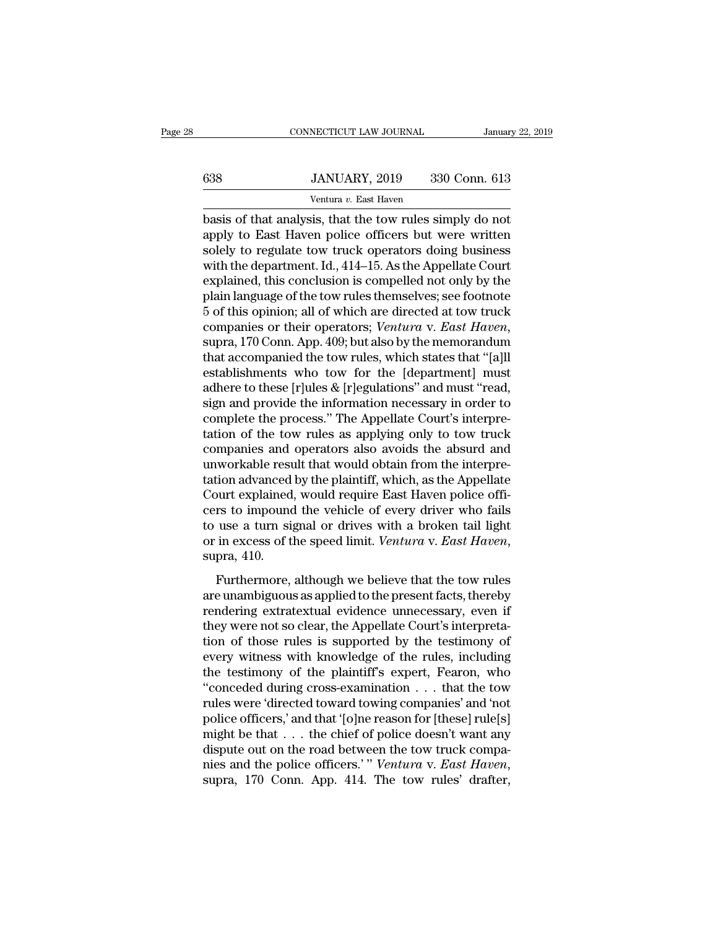## EXECUTE CONNECTICUT LAW JOURNAL January 22, 2019<br> **638** JANUARY, 2019 330 Conn. 613<br>
Ventura v. East Haven NECTICUT LAW JOURNAL<br>JANUARY, 2019 330<br>Ventura *v.* East Haven<br>sis that the tow rules sim

CONNECTICUT LAW JOURNAL January 22, 2019<br> **Basis of that analysis, that the tow rules simply do not**<br> **basis of that analysis, that the tow rules simply do not**<br>
apply to East Haven police officers but were written<br>
solely 638 JANUARY, 2019 330 Conn. 613<br>
Ventura v. East Haven<br>
basis of that analysis, that the tow rules simply do not<br>
apply to East Haven police officers but were written<br>
solely to regulate tow truck operators doing business<br>  $\begin{array}{lll}\n & \text{JANUARY, } 2019 & 330 \text{ Conn. } 613 \\
 \hline\n & \text{Ventura } v. \text{ East Haven} \\
 \hline\n \text{basis of that analysis, that the town rules simply do not apply to East Haven police officers but were written solely to regulate to w truck operators doing business with the department. Id., 414–15. As the Appellate Court explained, this conclusion is compiled not only by the\n\end{array}$  $\frac{330 \text{ Conn. } 613}{\text{Ventura } v. \text{ East Haven}}$ <br>basis of that analysis, that the tow rules simply do not<br>apply to East Haven police officers but were written<br>solely to regulate tow truck operators doing business<br>with the department. I Ventura v. East Haven<br>
basis of that analysis, that the tow rules simply do not<br>
apply to East Haven police officers but were written<br>
solely to regulate tow truck operators doing business<br>
with the department. Id., 414–15 ventura  $v$ . East Haven<br>basis of that analysis, that the tow rules simply do not<br>apply to East Haven police officers but were written<br>solely to regulate tow truck operators doing business<br>with the department. Id., 414–15. basis of that analysis, that the tow rules simply do not<br>apply to East Haven police officers but were written<br>solely to regulate tow truck operators doing business<br>with the department. Id., 414–15. As the Appellate Court<br>e apply to East Haven police officers but were written<br>solely to regulate tow truck operators doing business<br>with the department. Id., 414–15. As the Appellate Court<br>explained, this conclusion is compelled not only by the<br>pl with the department. Id., 414–15. As the Appellate Court<br>explained, this conclusion is compelled not only by the<br>plain language of the tow rules themselves; see footnote<br>5 of this opinion; all of which are directed at tow explained, this conclusion is compelled not only by the<br>plain language of the tow rules themselves; see footnote<br>5 of this opinion; all of which are directed at tow truck<br>companies or their operators; *Ventura v. East Have* plain language of the tow rules themselves; see footnote<br>5 of this opinion; all of which are directed at tow truck<br>companies or their operators; *Ventura v. East Haven*,<br>supra, 170 Conn. App. 409; but also by the memorandu 5 of this opinion; all of which are directed at tow truck<br>companies or their operators; *Ventura v. East Haven*,<br>supra, 170 Conn. App. 409; but also by the memorandum<br>that accompanied the tow rules, which states that "[a] companies or their operators; *Ventura v. East Haven*, supra, 170 Conn. App. 409; but also by the memorandum that accompanied the tow rules, which states that "[a]ll establishments who tow for the [department] must adhere supra, 170 Conn. App. 409; but also by the memorandum<br>that accompanied the tow rules, which states that "[a]ll<br>establishments who tow for the [department] must<br>adhere to these [r]ules & [r]egulations" and must "read,<br>sign that accompanied the tow rules, which states that "[a]ll<br>establishments who tow for the [department] must<br>adhere to these [r]ules & [r]egulations" and must "read,<br>sign and provide the information necessary in order to<br>comp establishments who tow for the [department] must<br>adhere to these [r]ules & [r]egulations" and must "read,<br>sign and provide the information necessary in order to<br>complete the process." The Appellate Court's interpre-<br>tation adhere to these [r]ules & [r]egulations" and must "read,<br>sign and provide the information necessary in order to<br>complete the process." The Appellate Court's interpre-<br>tation of the tow rules as applying only to tow truck<br>c sign and provide the information necessary in order to complete the process." The Appellate Court's interpretation of the tow rules as applying only to tow truck companies and operators also avoids the absurd and unworkabl complete the process." The Appellate Court's interpre-<br>tation of the tow rules as applying only to tow truck<br>companies and operators also avoids the absurd and<br>unworkable result that would obtain from the interpre-<br>tation tation of the tow rules as applying only to tow truck<br>companies and operators also avoids the absurd and<br>unworkable result that would obtain from the interpre-<br>tation advanced by the plaintiff, which, as the Appellate<br>Cour companies and operators also avoids the absurd and<br>unworkable result that would obtain from the interpre-<br>tation advanced by the plaintiff, which, as the Appellate<br>Court explained, would require East Haven police offi-<br>cer Furthermore, although we believe that the tow rules<br>a turn signal or drives with a broken tail light<br>in excess of the speed limit. Ventura v. East Haven,<br>pra, 410.<br>Furthermore, although we believe that the tow rules<br>e unam court expansed, would require Eust riated police officers to impound the vehicle of every driver who fails to use a turn signal or drives with a broken tail light or in excess of the speed limit. *Ventura v. East Haven*, s

to use a turn signal or drives with a broken tail light<br>or in excess of the speed limit. Ventura v. East Haven,<br>supra, 410.<br>Furthermore, although we believe that the tow rules<br>are unambiguous as applied to the present fac they were not so clear, the speed limit. Ventura v. East Haven,<br>supra, 410.<br>Furthermore, although we believe that the tow rules<br>are unambiguous as applied to the present facts, thereby<br>rendering extratextual evidence unnec the those rules of the speed mate. Contains that the tow rules<br>are unambiguous as applied to the present facts, thereby<br>rendering extratextual evidence unnecessary, even if<br>they were not so clear, the Appellate Court's in Furthermore, although we believe that the tow rules<br>are unambiguous as applied to the present facts, thereby<br>rendering extratextual evidence unnecessary, even if<br>they were not so clear, the Appellate Court's interpreta-<br>ti Furthermore, although we believe that the tow rules<br>are unambiguous as applied to the present facts, thereby<br>rendering extratextual evidence unnecessary, even if<br>they were not so clear, the Appellate Court's interpreta-<br>t are unambiguous as applied to the present facts, thereby<br>
rendering extratextual evidence unnecessary, even if<br>
they were not so clear, the Appellate Court's interpreta-<br>
tion of those rules is supported by the testimony o rendering extratextual evidence unnecessary, even if<br>they were not so clear, the Appellate Court's interpreta-<br>tion of those rules is supported by the testimony of<br>every witness with knowledge of the rules, including<br>the t they were not so clear, the Appellate Court's interpretation of those rules is supported by the testimony of every witness with knowledge of the rules, including the testimony of the plaintiff's expert, Fearon, who "conced tion of those rules is supported by the testimony of<br>every witness with knowledge of the rules, including<br>the testimony of the plaintiff's expert, Fearon, who<br>"conceded during cross-examination . . . that the tow<br>rules we every witness with knowledge of the rules, including<br>the testimony of the plaintiff's expert, Fearon, who<br>"conceded during cross-examination . . . that the tow<br>rules were 'directed toward towing companies' and 'not<br>police the testimony of the plaintiff's expert, Fearon, who<br>"conceded during cross-examination . . . that the tow<br>rules were 'directed toward towing companies' and 'not<br>police officers,' and that '[o]ne reason for [these] rule[s]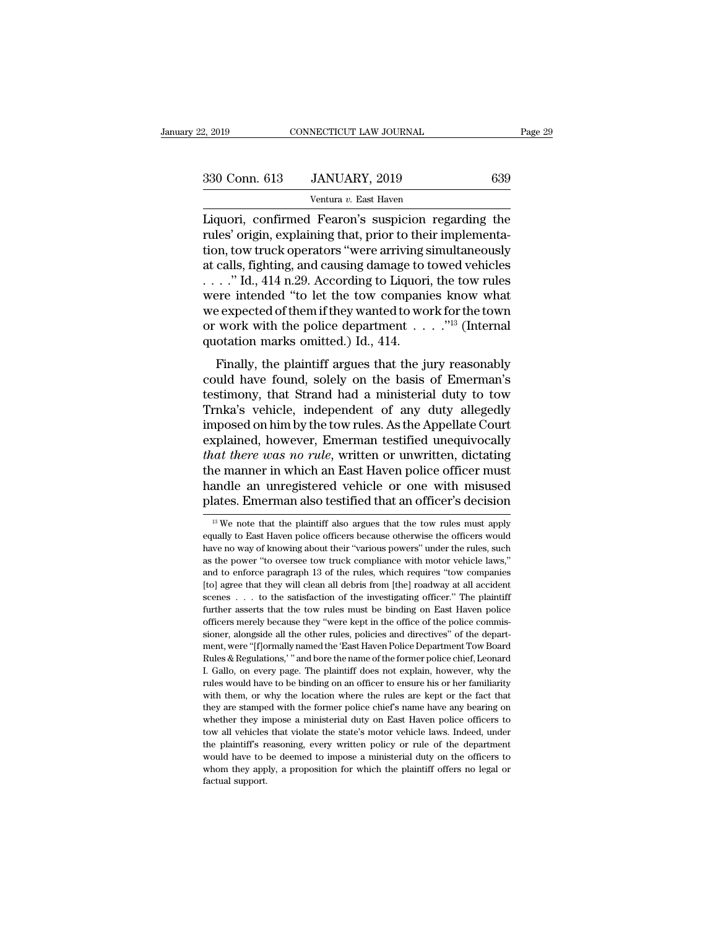| 2, 2019       | CONNECTICUT LAW JOURNAL                            |     | Page 29 |
|---------------|----------------------------------------------------|-----|---------|
|               |                                                    |     |         |
| 330 Conn. 613 | JANUARY, 2019                                      | 639 |         |
|               | Ventura v. East Haven                              |     |         |
|               | Liquori confirmed Fearon's suspicion regarding the |     |         |

2, 2019 CONNECTICUT LAW JOURNAL Page 29<br>
330 Conn. 613 JANUARY, 2019 639<br>
Ventura v. East Haven<br>
Liquori, confirmed Fearon's suspicion regarding the<br>
rules' origin, explaining that, prior to their implementa-<br>
tion tow tru 330 Conn. 613 JANUARY, 2019 639<br>
Ventura v. East Haven<br>
Liquori, confirmed Fearon's suspicion regarding the<br>
rules' origin, explaining that, prior to their implementa-<br>
tion, tow truck operators "were arriving simultaneous 330 Conn. 613 JANUARY, 2019 639<br>
Ventura v. East Haven<br>
Liquori, confirmed Fearon's suspicion regarding the<br>
rules' origin, explaining that, prior to their implementa-<br>
tion, tow truck operators "were arriving simultaneou 330 Conn. 613 JANUARY, 2019 639<br>
Ventura v. East Haven<br>
Liquori, confirmed Fearon's suspicion regarding the<br>
rules' origin, explaining that, prior to their implementa-<br>
tion, tow truck operators "were arriving simultaneou Ventura v. East Haven<br>Liquori, confirmed Fearon's suspicion regarding the<br>rules' origin, explaining that, prior to their implementa-<br>tion, tow truck operators "were arriving simultaneously<br>at calls, fighting, and causing Ventura v. East Haven<br>Liquori, confirmed Fearon's suspicion regarding the<br>rules' origin, explaining that, prior to their implementa-<br>tion, tow truck operators "were arriving simultaneously<br>at calls, fighting, and causing Liquori, confirmed Fearon's suspicion regarding the<br>rules' origin, explaining that, prior to their implementa-<br>tion, tow truck operators "were arriving simultaneously<br>at calls, fighting, and causing damage to towed vehicl rules' origin, explaining that, prior to their implementation, tow truck operators "were arriving simultaneously at calls, fighting, and causing damage to towed vehicles . . . ." Id., 414 n.29. According to Liquori, the t tion, tow truck operators "were arriving s<br>at calls, fighting, and causing damage to t<br> $\dots$ ." Id., 414 n.29. According to Liquori<br>were intended "to let the tow compani<br>we expected of them if they wanted to wo<br>or work with cans, ignting, and causing daniage to towed venteres<br>  $\therefore$  "Id., 414 n.29. According to Liquori, the tow rules<br>
ere intended "to let the tow companies know what<br>
expected of them if they wanted to work for the town<br>
work could have found a ministerial duty to tow The Tender's were intended "to let the tow companies know what<br>we expected of them if they wanted to work for the town<br>or work with the police department  $\dots$ ."<sup>13</sup> (Internal<br>quo

were interacted to let the tow companies know what<br>we expected of them if they wanted to work for the town<br>or work with the police department  $\ldots$ ..."<sup>13</sup> (Internal<br>quotation marks omitted.) Id., 414.<br>Finally, the plaint we expected of them they wanted to work for the town<br>or work with the police department  $\ldots$  ."<sup>13</sup> (Internal<br>quotation marks omitted.) Id., 414.<br>Finally, the plaintiff argues that the jury reasonably<br>could have found, s or work with the police department . . . . . (internation)<br>quotation marks omitted.) Id., 414.<br>Finally, the plaintiff argues that the jury reasonably<br>could have found, solely on the basis of Emerman's<br>testimony, that Stran Finally, the plaintiff argues that the jury reasonably<br>could have found, solely on the basis of Emerman's<br>testimony, that Strand had a ministerial duty to tow<br>Trnka's vehicle, independent of any duty allegedly<br>imposed on Finally, the plaintiff argues that the jury reasonably<br>could have found, solely on the basis of Emerman's<br>testimony, that Strand had a ministerial duty to tow<br>Trnka's vehicle, independent of any duty allegedly<br>imposed on h could have found, solely on the basis of Emerman's<br>testimony, that Strand had a ministerial duty to tow<br>Trnka's vehicle, independent of any duty allegedly<br>imposed on him by the tow rules. As the Appellate Court<br>explained, testimony, that Strand had a ministerial duty to tow<br>Trnka's vehicle, independent of any duty allegedly<br>imposed on him by the tow rules. As the Appellate Court<br>explained, however, Emerman testified unequivocally<br>*that ther* Trnka's vehicle, independent of any duty allegedly<br>imposed on him by the tow rules. As the Appellate Court<br>explained, however, Emerman testified unequivocally<br>*that there was no rule*, written or unwritten, dictating<br>the that there was no rule, written or unwritten, dictating<br>the manner in which an East Haven police officer must<br>handle an unregistered vehicle or one with misused<br>plates. Emerman also testified that an officer's decision<br> $\$ the manner in which an East Haven police officer must<br>handle an unregistered vehicle or one with misused<br>plates. Emerman also testified that an officer's decision<br><sup>13</sup> We note that the plaintiff also argues that the tow ru

handle an unregistered vehicle or one with misused<br>plates. Emerman also testified that an officer's decision<br> $B_{\text{W}}$  we note that the plaintiff also argues that the tow rules must apply<br>equally to East Haven police offi plates. Emerman also testified that an officer's decision<br><sup>13</sup> We note that the plaintiff also argues that the tow rules must apply<br>equally to East Haven police officers because otherwise the officers would<br>have no way of plates. Entertifiant also testified that all officer s decision<br><sup>13</sup> We note that the plaintiff also argues that the tow rules must apply<br>equally to East Haven police officers because otherwise the officers would<br>have no <sup>13</sup> We note that the plaintiff also argues that the tow rules must apply equally to East Haven police officers because otherwise the officers would have no way of knowing about their "various powers" under the rules, suc equally to East Haven police officers because otherwise the officers would<br>have no way of knowing about their "various powers" under the rules, such<br>as the power "to oversee tow truck compliance with motor vehicle laws,"<br>a equare, or way of knowing about their "various powers" under the rules, such as the power "to oversee tow truck compliance with motor vehicle laws," and to enforce paragraph 13 of the rules, which requires "tow companies [ as the power "to oversee tow truck compliance with motor vehicle laws," and to enforce paragraph 13 of the rules, which requires "tow companies [to] agree that they will clean all debris from [the] roadway at all accident and to enforce paragraph 13 of the rules, which requires "tow companies" and the ''[f]ormally named the '''[f]ormally named the ''' [for ] agree that they will clean all debris from [the] roadway at all accident scenes . . . to the satisfaction of the investigating officer." The plaintiff furth Further asserts that the tow rules must be binding officer." The plaintiff further asserts that the tow rules must be binding on East Haven police officers merely because they "were kept in the office of the police commiss Further asserts that the tow rules must be binding on East Haven police officers merely because they "were kept in the office of the police commissioner, alongside all the other rules, policies and directives" of the depar officers merely because they "were kept in the office of the police commis-<br>sioner, alongside all the other rules, policies and directives" of the depart-<br>ment, were "[f]ormally named the 'East Haven Police Department Tow Rules & Regulations,' " and bore the name of the former police chief, Leonard I. Gallo, on every page. The plaintiff does not explain, however, why the rules would have to be binding on an officer to ensure his or her fami ment, were "[f]ormally named the 'East Haven Police Department Tow Board Rules & Regulations,' " and bore the name of the former police chief, Leonard Rules & Regulations,' " and bore the name of the former police chief, L Rules & Regulations," and bore the name of the former police chief, Leonard I. Gallo, on every page. The plaintiff does not explain, however, why the rules would have to be binding on an officer to ensure his or her famili I. Gallo, on every page. The plaintiff does not explain, however, why the rules would have to be binding on an officer to ensure his or her familiarity with them, or why the location where the rules are kept or the fact th rules would have to be binding on an officer to ensure his or her familiarity with them, or why the location where the rules are kept or the fact that they are stamped with the former police chief's name have any bearing o with them, or why the location where the rules are kept or the fact that they are stamped with the former police chief's name have any bearing on whether they impose a ministerial duty on East Haven police officers to tow they are stamped with the former police chief's name have any bearing on whether they impose a ministerial duty on East Haven police officers to tow all vehicles that violate the state's motor vehicle laws. Indeed, under t whether they impose a ministerial duty on East Haven police officers to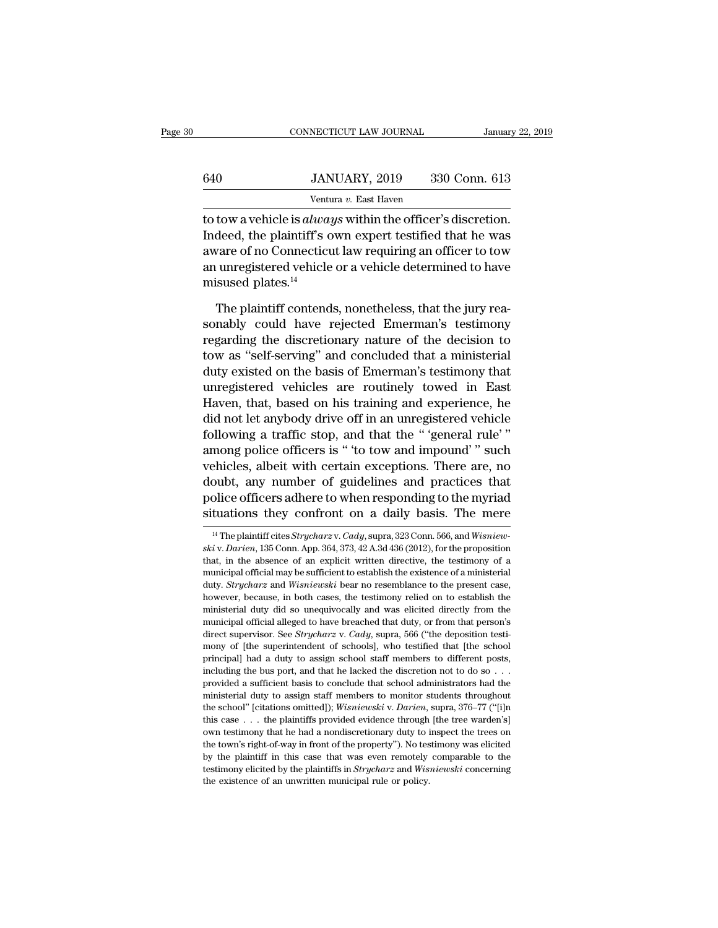|     | CONNECTICUT LAW JOURNAL                                           | January 22, 2019 |
|-----|-------------------------------------------------------------------|------------------|
|     |                                                                   |                  |
| 640 | JANUARY, 2019                                                     | 330 Conn. 613    |
|     | Ventura v. East Haven                                             |                  |
|     | to tow a vehicle is <i>always</i> within the officer's discretion |                  |

CONNECTICUT LAW JOURNAL January 22, 20<br>
640 JANUARY, 2019 330 Conn. 613<br>
Ventura v. East Haven<br>
to tow a vehicle is *always* within the officer's discretion.<br>
Indeed, the plaintiff's own expert testified that he was  $\begin{array}{r} \text{JANUARY, 2019} \qquad 330 \text{ Conn. } 613 \ \text{Ventura } v. \text{ East Haven} \end{array}$ <br>to tow a vehicle is *always* within the officer's discretion.<br>Indeed, the plaintiff's own expert testified that he was<br>aware of no Connecticut law requiring an  $\frac{330 \text{ Conn. } 613}{540}$ <br>
Ventura v. East Haven<br>
to tow a vehicle is *always* within the officer's discretion.<br>
Indeed, the plaintiff's own expert testified that he was<br>
aware of no Connecticut law requiring an officer to 640 JANUARY, 2019 330 Conn. 613<br>
Ventura v. East Haven<br>
to tow a vehicle is *always* within the officer's discretion.<br>
Indeed, the plaintiff's own expert testified that he was<br>
aware of no Connecticut law requiring an off Ventu<br>to tow a vehicle is *alwag*<br>Indeed, the plaintiff's c<br>aware of no Connecticu<br>an unregistered vehicle<br>misused plates.<sup>14</sup><br>The plaintiff contend tow a vehicle is *always* within the officer's discretion.<br>deed, the plaintiff's own expert testified that he was<br>vare of no Connecticut law requiring an officer to tow<br>unregistered vehicle or a vehicle determined to have<br> Indeed, the plaintiff's own expert testified that he was<br>aware of no Connecticut law requiring an officer to tow<br>an unregistered vehicle or a vehicle determined to have<br>misused plates.<sup>14</sup><br>The plaintiff contends, nonethele

aware of no Connecticut law requiring an officer to tow<br>an unregistered vehicle or a vehicle determined to have<br>misused plates.<sup>14</sup><br>The plaintiff contends, nonetheless, that the jury rea-<br>sonably could have rejected Emerma an unregistered vehicle or a vehicle determined to have<br>
misused plates.<sup>14</sup><br>
The plaintiff contends, nonetheless, that the jury reasonably could have rejected Emerman's testimony<br>
regarding the discretionary nature of the misused plates.<sup>14</sup><br>The plaintiff contends, nonetheless, that the jury reasonably could have rejected Emerman's testimony<br>regarding the discretionary nature of the decision to<br>tow as "self-serving" and concluded that a min The plaintiff contends, nonetheless, that the jury reasonably could have rejected Emerman's testimony regarding the discretionary nature of the decision to tow as "self-serving" and concluded that a ministerial duty existe The plaintiff contends, nonetheless, that the jury reasonably could have rejected Emerman's testimony<br>regarding the discretionary nature of the decision to<br>tow as "self-serving" and concluded that a ministerial<br>duty existe sonably could have rejected Emerman's testimony<br>regarding the discretionary nature of the decision to<br>tow as "self-serving" and concluded that a ministerial<br>duty existed on the basis of Emerman's testimony that<br>unregistere regarding the discretionary nature of the decision to<br>tow as "self-serving" and concluded that a ministerial<br>duty existed on the basis of Emerman's testimony that<br>unregistered vehicles are routinely towed in East<br>Haven, th tow as "self-serving" and concluded that a ministerial<br>duty existed on the basis of Emerman's testimony that<br>unregistered vehicles are routinely towed in East<br>Haven, that, based on his training and experience, he<br>did not l duty existed on the basis of Emerman's testimony that<br>unregistered vehicles are routinely towed in East<br>Haven, that, based on his training and experience, he<br>did not let anybody drive off in an unregistered vehicle<br>followi unregistered vehicles are routinely towed in East<br>Haven, that, based on his training and experience, he<br>did not let anybody drive off in an unregistered vehicle<br>following a traffic stop, and that the "'general rule'"<br>among Haven, that, based on his training and experience, he<br>did not let anybody drive off in an unregistered vehicle<br>following a traffic stop, and that the "'general rule'"<br>among police officers is " to tow and impound'" such<br>ve did not let anybody drive off in an unregistered vehicle<br>following a traffic stop, and that the "'general rule'"<br>among police officers is "'to tow and impound'" such<br>vehicles, albeit with certain exceptions. There are, no vehicles, albeit with certain exceptions. There are, no<br>doubt, any number of guidelines and practices that<br>police officers adhere to when responding to the myriad<br>situations they confront on a daily basis. The mere<br> $\frac{14 \$ doubt, any number of guidelines and practices that<br>police officers adhere to when responding to the myriad<br>situations they confront on a daily basis. The mere<br> $\frac{14 \text{ The plaintiff cities Strycharz v. Cady, supra, 323 Conn. 566, and *Wisniew-ski v. Darien*, 135 Conn. App. 364$ 

police officers adhere to when responding to the myriad<br>situations they confront on a daily basis. The mere<br> $\frac{14}{1}$ The plaintiff cites *Strycharz* v. *Cady*, supra, 323 Conn. 566, and *Wisniewski* v. *Darien*, 135 Conn. situations they confront on a daily basis. The mere<br>
<sup>14</sup> The plaintiff cites *Strycharz* v. *Cady*, supra, 323 Conn. 566, and *Wisniewski* v. *Darien*, 135 Conn. App. 364, 373, 42 A.3d 436 (2012), for the proposition tha Mudulons they Comfort Off a daily basis. The fifete<br><sup>14</sup> The plaintiff cites *Strycharz* v. *Cady*, supra, 323 Conn. 566, and *Wisniewski* v. *Darien*, 135 Conn. App. 364, 373, 42 A.3d 436 (2012), for the proposition<br>that, <sup>14</sup> The plaintiff cites *Strycharz* v. *Cady*, supra, 323 Conn. 566, and *Wisniewski* v. *Darien*, 135 Conn. App. 364, 373, 42 A.3d 436 (2012), for the proposition that, in the absence of an explicit written directive, t skiv. Darien, 135 Conn. App. 364, 373, 42 A.3d 436 (2012), for the proposition that, in the absence of an explicit written directive, the testimony of a municipal official may be sufficient to establish the existence of a municipal official alleged to have breached that duty, or from that, in the absence of an explicit written directive, the testimony of a municipal official may be sufficient to establish the existence of a ministerial duty municipal official may be sufficient to establish the existence of a ministerial duty. *Strycharz* and *Wisniewski* bear no resemblance to the present case, however, because, in both cases, the testimony relied on to estab muture *Strycharz* and *Wisniewski* bear no resemblance to the present case, however, because, in both cases, the testimony relied on to establish the ministerial duty did so unequivocally and was elicited directly from th had a duty to assign school staff members to different posterior, because, in both cases, the testimony relied on to establish the ministerial duty did so unequivocally and was elicited directly from the municipal official ministerial duty did so unequivocally and was elicited directly from the municipal official alleged to have breached that duty, or from that person's direct supervisor. See *Strycharz* v. *Cady*, supra, 566 ("the depositi municipal official alleged to have breached that duty, or from that person's direct supervisor. See *Strycharz* v. *Cady*, supra, 566 ("the deposition testimony of [the superintendent of schools], who testified that [the direct supervisor. See *Strycharz* v. *Cady*, supra, 566 ("the deposition testimony of [the superintendent of schools], who testified that [the school principal] had a duty to assign school staff members to different posts mony of [the superintendent of schools], who testified that [the school<br>principal] had a duty to assign school staff members to different posts,<br>including the bus port, and that he lacked the discretion not to do so . . .<br> The principall had a duty to assign school staff members to different posts, including the bus port, and that he lacked the discretion not to do so  $\ldots$  provided a sufficient basis to conclude that school administrators principles and the bus port, and that he lacked the discretion not to do so . . . . . . . . provided a sufficient basis to conclude that school administrators had the ministerial duty to assign staff members to monitor stu provided a sufficient basis to conclude that school administrators had the ministerial duty to assign staff members to monitor students throughout the school" (citations omitted)); *Wisniewski* v. *Darien*, supra, 376–77 provident duty to assign staff members to monitor students throughout the school" [citations omitted]); *Wisniewski* v. *Darien*, supra, 376–77 ("[i]n this case . . . the plaintiffs provided evidence through [the tree war the school" [citations omitted]); *Wisniewski* v. *Darien*, supra, 376-77 ("[i]n this case . . . the plaintiffs provided evidence through [the tree warden's] own testimony that he had a nondiscretionary duty to inspect the the school" [citations omitted]); *Wisniewski* v. *Darien*, supra, 376–77 ("[i]n this case . . . the plaintiffs provided evidence through [the tree warden's] own testimony that he had a nondiscretionary duty to inspect th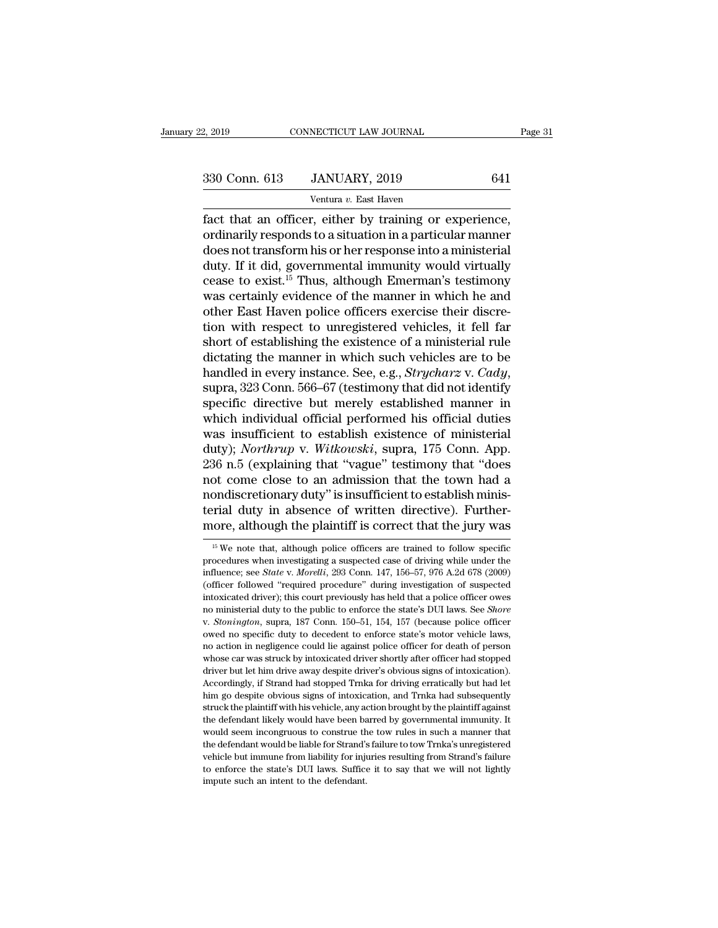| 2, 2019       | CONNECTICUT LAW JOURNAL | Page 31 |  |
|---------------|-------------------------|---------|--|
| 330 Conn. 613 | JANUARY, 2019           | 641     |  |
|               | Ventura v. East Haven   |         |  |

NECTICUT LAW JOURNAL<br>JANUARY, 2019<br>Ventura *v.* East Haven<br>r either by training or e Fage<br>
Fact that an officer, either by training or experience,<br>
ordinarily responds to a situation in a particular manner<br>
does not transform his or hor response into a ministerial 330 Conn. 613 JANUARY, 2019 641<br>
Ventura v. East Haven<br>
fact that an officer, either by training or experience,<br>
ordinarily responds to a situation in a particular manner<br>
does not transform his or her response into a mini 330 Conn. 613 JANUARY, 2019 641<br>
Ventura v. East Haven<br>
fact that an officer, either by training or experience,<br>
ordinarily responds to a situation in a particular manner<br>
does not transform his or her response into a min  $\begin{array}{c|c} \text{330 Conn. 613} & \text{JANUARY, 2019} & \text{641} \\ \hline \text{Ventura } v. \text{ East Haven} \\ \text{fact that an officer, either by training or experience, ordinarily responds to a situation in a particular manner does not transform his or her response into a ministerial duty. If it did, governmental immunity would virtually cease to exist.<sup>15</sup> Thus, although Emerman's testimony was certainly evidence of the manner in which he and$ Ventura v. East Haven<br>
Tact that an officer, either by training or experience,<br>
ordinarily responds to a situation in a particular manner<br>
does not transform his or her response into a ministerial<br>
duty. If it did, governm ventura v. East Haven<br>fact that an officer, either by training or experience,<br>ordinarily responds to a situation in a particular manner<br>does not transform his or her response into a ministerial<br>duty. If it did, governmenta fact that an officer, either by training or experience, ordinarily responds to a situation in a particular manner does not transform his or her response into a ministerial duty. If it did, governmental immunity would virtu ordinarily responds to a situation in a particular manner<br>does not transform his or her response into a ministerial<br>duty. If it did, governmental immunity would virtually<br>cease to exist.<sup>15</sup> Thus, although Emerman's testim does not transform his or her response into a ministerial<br>duty. If it did, governmental immunity would virtually<br>cease to exist.<sup>15</sup> Thus, although Emerman's testimony<br>was certainly evidence of the manner in which he and<br>o duty. If it did, governmental immunity would virtually<br>cease to exist.<sup>15</sup> Thus, although Emerman's testimony<br>was certainly evidence of the manner in which he and<br>other East Haven police officers exercise their discre-<br>tio cease to exist.<sup>15</sup> Thus, although Emerman's testimony<br>was certainly evidence of the manner in which he and<br>other East Haven police officers exercise their discre-<br>tion with respect to unregistered vehicles, it fell far<br>sh other East Haven police officers exercise their discretion with respect to unregistered vehicles, it fell far<br>short of establishing the existence of a ministerial rule<br>dictating the manner in which such vehicles are to be<br> tion with respect to unregistered vehicles, it fell far<br>short of establishing the existence of a ministerial rule<br>dictating the manner in which such vehicles are to be<br>handled in every instance. See, e.g., *Strycharz* v. short of establishing the existence of a ministerial rule<br>dictating the manner in which such vehicles are to be<br>handled in every instance. See, e.g., *Strycharz* v. *Cady*,<br>supra, 323 Conn. 566–67 (testimony that did not i dictating the manner in which such vehicles are to be handled in every instance. See, e.g., *Strycharz* v. *Cady*, supra, 323 Conn. 566–67 (testimony that did not identify specific directive but merely established manner i handled in every instance. See, e.g., *Strycharz* v. *Cady*,<br>supra, 323 Conn. 566–67 (testimony that did not identify<br>specific directive but merely established manner in<br>which individual official performed his official dut supra, 323 Conn. 566–67 (testimony that did not identify<br>specific directive but merely established manner in<br>which individual official performed his official duties<br>was insufficient to establish existence of ministerial<br>du specific directive but merely established manner in<br>which individual official performed his official duties<br>was insufficient to establish existence of ministerial<br>duty); *Northrup* v. Witkowski, supra, 175 Conn. App.<br>236 n which individual official performed his official duties<br>was insufficient to establish existence of ministerial<br>duty); *Northrup* v. *Witkowski*, supra, 175 Conn. App.<br>236 n.5 (explaining that "vague" testimony that "does<br> was insufficient to establish existence of ministerial duty); *Northrup* v. *Witkowski*, supra, 175 Conn. App. 236 n.5 (explaining that "vague" testimony that "does not come close to an admission that the town had a nondi or to the come close to an admission that the town had a<br>
ondiscretionary duty" is insufficient to establish minis-<br>
rial duty in absence of written directive). Further-<br>
ore, although the plaintiff is correct that the jur nondiscretionary duty" is insufficient to establish ministerial duty in absence of written directive). Furthermore, although the plaintiff is correct that the jury was  $\frac{15 \text{ We}}{15 \text{ We note that, although police officers are trained to follow specific procedures when investigating a suspected case of driving while under the influence; see *State v. Morelli*$ 

terial duty in absence of written directive). Furthermore, although the plaintiff is correct that the jury was<br>
<sup>15</sup> We note that, although police officers are trained to follow specific<br>
procedures when investigating a su more, although the plaintiff is correct that the jury was<br>
<sup>15</sup> We note that, although police officers are trained to follow specific<br>
procedures when investigating a suspected case of driving while under the<br>
influence; if we note that, although police officers are trained to follow specific<br>procedures when investigating a suspected case of driving while under the<br>influence; see *State v. Morelli*, 293 Com. 147, 156–57, 976 A.2d 678 (200 <sup>15</sup> We note that, although police officers are trained to follow specific procedures when investigating a suspected case of driving while under the influence; see *State* v. *Morelli*, 293 Conn. 147, 156–57, 976 A.2d 678 protects were *see State* v. *Morelli*, 293 Conn. 147, 156–57, 976 A.2d 678 (2009) (officer followed "required procedure" during investigation of suspected intoxicated driver); this court previously has held that a police (officer followed "required procedure" during investigation of suspected intoxicated driver); this court previously has held that a police officer owes no ministerial duty to the public to enforce the state's DUI laws. See entroxicated driver); this court previously has held that a police officer owes no ministerial duty to the public to enforce the state's DUI laws. See *Shore* v. *Stonington*, supra, 187 Conn. 150–51, 154, 157 (because pol no ministerial duty to the public to enforce the state's DUI laws. See *Shore* v. *Stonington*, supra, 187 Conn. 150–51, 154, 157 (because police officer owed no specific duty to decedent to enforce state's motor vehicle l Accordingly, if Strand had stopped Trnka for driving erratically but had stopped to specific duty to decedent to enforce state's motor vehicle laws, no action in negligence could lie against police officer for death of pe owed no specific duty to decedent to enforce state's motor vehicle laws, no action in negligence could lie against police officer for death of person whose car was struck by intoxicated driver shortly after officer had sto no action in negligence could lie against police officer for death of person<br>whose car was struck by intoxicated driver shortly after officer had stopped<br>driver but let him drive away despite driver's obvious signs of into the defendant likely would have been barred by governmental immunity. However but let him drive away despite driver's obvious signs of intoxication). Accordingly, if Strand had stopped Trnka for driving erratically but had driver but let him drive away despite driver's obvious signs of intoxication).<br>Accordingly, if Strand had stopped Trnka for driving erratically but had let<br>him go despite obvious signs of intoxication, and Trnka had subseq Accordingly, if Strand had stopped Trnka for driving erratically but had let Accordingly, if Strand had stopped Trnka for driving erratically but had let him go despite obvious signs of intoxication, and Trnka had subseque From any official and subsequently shim go despite obvious signs of intoxication, and Trnka had subsequently struck the plaintiff with his vehicle, any action brought by the plaintiff against the defendant likely would hav the state's the plaintiff with his vehicle, any action brought by the plaintiff against the defendant likely would have been barred by governmental immunity. It would seem incongruous to construe the tow rules in such a ma the defendant likely would have been barred by governmental immunity. It would seem incongruous to construe the tow rules in such a manner that the defendant would be liable for Strand's failure to tow Trnka's unregistered